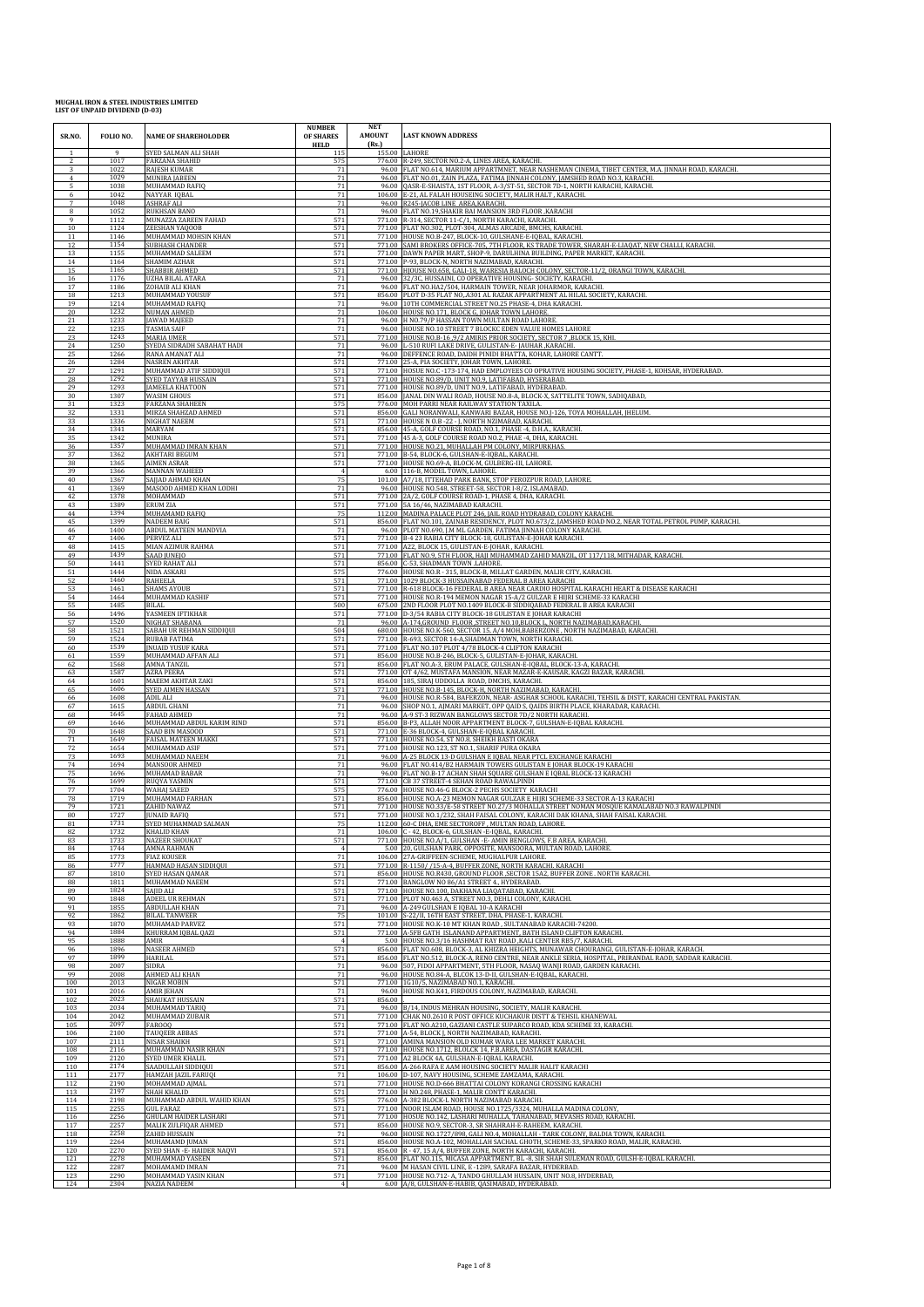| SR.NO.         | FOLIO NO.    | <b>NAME OF SHAREHOLODER</b>                  | <b>NUMBER</b><br>OF SHARES<br><b>HELD</b> | <b>NET</b><br><b>AMOUNT</b><br>(Rs.) | <b>LAST KNOWN ADDRESS</b>                                                                                                                              |
|----------------|--------------|----------------------------------------------|-------------------------------------------|--------------------------------------|--------------------------------------------------------------------------------------------------------------------------------------------------------|
| $\overline{1}$ | $\mathbf{Q}$ | SYED SALMAN ALI SHAH                         | 115                                       | 155.00                               | LAHORE                                                                                                                                                 |
| 2              | 1017         | <b>FARZANA SHAHID</b>                        | 575                                       |                                      | 776.00 R-249, SECTOR NO.2-A, LINES AREA, KARACHI.                                                                                                      |
|                | 1022         | <b>RAJESH KUMAR</b>                          | 71                                        |                                      | 96.00 FLAT NO.614, MARIUM APPARTMNET, NEAR NASHEMAN CINEMA, TIBET CENTER, M.A. [INNAH ROAD, KARACHI.                                                   |
|                | 1029<br>1038 | MUNIRA IABEEN<br>MUHAMMAD RAFIÇ              | 71<br>71                                  | 96.00                                | FLAT NO.01, ZAIN PLAZA, FATIMA JINNAH COLONY, JAMSHED ROAD NO.3, KARACHI.<br>QASR-E-SHAISTA, 1ST FLOOR, A-3/ST-51, SECTOR 7D-1, NORTH KARACHI, KARACHI |
| -6             | 1042         | NAYYAR IQBAL                                 | 71                                        | 106.00                               | E-21, AL FALAH HOUSEING SOCIETY, MALIR HALT, KARACHI.                                                                                                  |
| 7              | 1048         | <b>ASHRAF ALI</b>                            | 71                                        | 96.00                                | R245-JACOB LINE AREA, KARACHI.                                                                                                                         |
| 8              | 1052         | <b>RUKHSAN BANO</b>                          | 71                                        | 96.00                                | FLAT NO.19, SHAKIR BAI MANSION 3RD FLOOR , KARACHI                                                                                                     |
| 9              | 1112         | MUNAZZA ZAREEN FAHAD                         | 571                                       | 771.00                               | R-314, SECTOR 11-C/1, NORTH KARACHI, KARACHI,                                                                                                          |
| 10             | 1124         | ZEESHAN YAQOOB                               | 571                                       | 771.00                               | FLAT NO.302, PLOT-304, ALMAS ARCADE, BMCHS, KARACHI                                                                                                    |
| 11             | 1146         | MUHAMMAD MOHSIN KHAN                         | 571                                       | 771.00                               | HOUSE NO.B-247, BLOCK-10, GULSHANE-E-IQBAL, KARACHI.                                                                                                   |
| 12             | 1154         | SUBHASH CHANDER                              | 571                                       | 771.00                               | SAMI BROKERS OFFICE-705, 7TH FLOOR, KS TRADE TOWER, SHARAH-E-LIAQAT, NEW CHALLI, KARACHI.                                                              |
| 13             | 1155         | MUHAMMAD SALEEM                              | 571                                       | 771.00                               | DAWN PAPER MART, SHOP-9, DARULHINA BUILDING, PAPER MARKET, KARACHI.                                                                                    |
| 14             | 1164         | SHAMIM AZHAR                                 | 571                                       | 771.00                               | P-93, BLOCK-N, NORTH NAZIMABAD, KARACHI.                                                                                                               |
| 15             | 1165         | SHABBIR AHMED                                | 571                                       | 771.00                               | HJOUSE NO.658, GALI-18, WARESIA BALOCH COLONY, SECTOR-11/2, ORANGI TOWN, KARACHI.                                                                      |
| 16             | 1176         | <b>UZHA BILAL ATARA</b>                      | 71                                        | 96.00                                | 32/3C, HUSSAINI, CO OPERATIVE HOUSING- SOCIETY, KARACHI.                                                                                               |
| 17             | 1186         | ZOHAIB ALI KHAN                              | 71                                        | 96.00                                | FLAT NO.HA2/504, HARMAIN TOWER, NEAR JOHARMOR, KARACHI                                                                                                 |
| 18             | 1213         | MUHAMMAD YOUSUF                              | 571                                       | 856.00                               | PLOT D-35 FLAT NO, A301 AL RAZAK APPARTMENT AL HILAL SOCIETY, KARACHI.                                                                                 |
| 19             | 1214<br>1232 | MUHAMMAD RAFIQ<br>NUMAN AHMED                | 71<br>71                                  | 96.00<br>106.00                      | 10TH COMMERCIAL STREET NO.25 PHASE-4, DHA KARACHI,                                                                                                     |
| 20<br>21       | 1233         | <b>JAWAD MAJEED</b>                          | 71                                        | 96.00                                | HOUSE NO.171, BLOCK G, JOHAR TOWN LAHORE.<br>H NO.79/P HASSAN TOWN MULTAN ROAD LAHORE.                                                                 |
| 22             | 1235         | <b>TASMIA SAIF</b>                           | 71                                        | 96.00                                | HOUSE NO.10 STREET 7 BLOCKC EDEN VALUE HOMES LAHORE                                                                                                    |
| 23             | 1243         | <b>MARIA UMER</b>                            | 571                                       | 771.00                               | HOUSE NO.B-16 ,9/2 AMIRIS PRIOR SOCIETY, SECTOR 7 ,BLOCK 15, KHI.                                                                                      |
| 24             | 1250         | SYEDA SIDRADH SABAHAT HADI                   | 71                                        | 96.00                                | L-510 RUFI LAKE DRIVE, GULISTAN-E- JAUHAR ,KARACHI.                                                                                                    |
| 25             | 1266         | RANA AMANAT ALI                              | 71                                        | 96.00                                | DEFFENCE ROAD, DAIDH PINIDI BHATTA, KOHAR, LAHORE CANTT.                                                                                               |
| 26             | 1284         | <b>NASREN AKHTAR</b>                         | 571                                       | 771.00                               | 25-A, PIA SOCIETY, JOHAR TOWN, LAHORE.                                                                                                                 |
| 27             | 1291         | MUHAMMAD ATIF SIDDIQUI                       | 571                                       | 771.00                               | HOSUE NO.C -173-174, HAD EMPLOYEES CO OPRATIVE HOUSING SOCIETY, PHASE-1, KOHSAR, HYDERABAD.                                                            |
| 28             | 1292         | SYED TAYYAB HUSSAIN                          | 571                                       | 771.00                               | HOUSE NO.89/D, UNIT NO.9, LATIFABAD, HYSERABAD.                                                                                                        |
| 29             | 1293         | <b>JAMEELA KHATOON</b>                       | 571                                       | 771.00                               | HOUSE NO.89/D, UNIT NO.9, LATIFABAD, HYDERABAD.                                                                                                        |
| 30             | 1307         | <b>WASIM GHOUS</b>                           | 571                                       | 856.00                               | JANAL DIN WALI ROAD, HOUSE NO.8-A, BLOCK-X, SATTELITE TOWN, SADIQABAD                                                                                  |
| 31             | 1323         | FARZANA SHAHEEN                              | 575                                       | 776.00                               | MOH PARRI NEAR RAILWAY STATION TAXILA.                                                                                                                 |
| 32             | 1331         | MIRZA SHAHZAD AHMED                          | 571                                       | 856.00                               | GALI NORANWALI, KANWARI BAZAR, HOUSE NO.J-126, TOYA MOHALLAH, JHELUM                                                                                   |
| 33             | 1336         | NIGHAT NAEEM                                 | 571                                       | 856.00                               | 771.00 HOUSE N O.B - 22 - J, NORTH NZIMABAD, KARACHI.                                                                                                  |
| 34             | 1341         | MARYAM                                       | 571                                       |                                      | 45-A, GOLF COURSE ROAD, NO.1, PHASE -4, D.H.A., KARACHI.                                                                                               |
| 35             | 1342         | <b>MUNIRA</b>                                | 573                                       | 771.00                               | 45 A-3, GOLF COURSE ROAD NO.2, PHAE -4, DHA, KARACHI.                                                                                                  |
| 36             | 1357         | MUHAMMAD IMRAN KHAN                          | 571                                       | 771.00                               | HOUSE NO.21, MUHALLAH PM COLONY, MIRPURKHAS.                                                                                                           |
| 37             | 1362         | <b>AKHTARI BEGUM</b>                         | 571                                       | 771.00                               | B-54, BLOCK-6, GULSHAN-E-IQBAL, KARACHI                                                                                                                |
| 38             | 1365         | <b>AIMEN ASRAR</b>                           | 571                                       | 771.00                               | HOUSE NO.69-A, BLOCK-M, GULBERG-III, LAHORE.                                                                                                           |
| 39             | 1366         | <b>MANNAN WAHEED</b>                         |                                           | 6.00                                 | 116-B, MODEL TOWN, LAHORE.                                                                                                                             |
| 40             | 1367         | SAJJAD AHMAD KHAN                            | 75                                        | 101.00                               | A7/18, ITTEHAD PARK BANK, STOP FEROZPUR ROAD, LAHORE.                                                                                                  |
| 41             | 1369         | MASOOD AHMED KHAN LODHI                      | 71                                        |                                      | 96.00 HOUSE NO.548, STREET-58, SECTOR I-8/2, ISLAMABAD.                                                                                                |
| 42             | 1378         | MOHAMMAD                                     | 571                                       | 771.00                               | 2A/2, GOLF COURSE ROAD-1, PHASE 4, DHA, KARACHI,                                                                                                       |
| 43             | 1389         | ERUM ZIA                                     | 571                                       | 771.00                               | 5A 16/46, NAZIMABAD KARACHI.                                                                                                                           |
| 44             | 1394         | MUHAMAMD RAFIQ                               | 75                                        | 112.00                               | MADINA PALACE PLOT 246, JAIL ROAD HYDRABAD, COLONY KARACHI.                                                                                            |
| 45             | 1399         | <b>NADEEM BAIG</b>                           | 571                                       | 856.00                               | FLAT NO.101, ZAINAB RESIDENCY, PLOT NO.673/2, JAMSHED ROAD NO.2, NEAR TOTAL PETROL PUMP, KARACHI.                                                      |
| 46             | 1400         | ABDUL MATEEN MANDVIA                         | 71                                        | 771.00                               | 96.00 PLOT NO.690, J.M ML GARDEN. FATIMA JINNAH COLONY KARACHI.                                                                                        |
| 47             | 1406         | PERVEZ ALI                                   | 57'                                       |                                      | B-4 23 RABIA CITY BLOCK-18, GULISTAN-E-JOHAR KARACHI.                                                                                                  |
| 48             | 1415<br>1439 | MIAN AZIMUR RAHMA                            | 571<br>571                                | 771.00<br>771.00                     | A22, BLOCK 15, GULISTAN-E-JOHAR, KARACHI.                                                                                                              |
| 49<br>50       | 1441         | <b>SAAD JUNEJO</b><br>SYED RAHAT ALI         | 571                                       | 856.00                               | FLAT NO.9, 5TH FLOOR, HAJI MUHAMMAD ZAHID MANZIL, OT 117/118, MITHADAR, KARACHI.<br>C-53, SHADMAN TOWN .LAHORE.                                        |
| 51             | 1444         | <b>NIDA ASKARI</b>                           | 575                                       | 771.00                               | 776.00 HOUSE NO.R - 315, BLOCK-B, MILLAT GARDEN, MALIR CITY, KARACHI.                                                                                  |
| 52             | 1460         | RAHEELA                                      | 571                                       |                                      | 1029 BLOCK-3 HUSSAINABAD FEDERAL B AREA KARACHI                                                                                                        |
| 53             | 1461         | <b>SHAMS AYOUB</b>                           | 571                                       | 771.00                               | R-618 BLOCK-16 FEDERAL B AREA NEAR CARDIO HOSPITAL KARACHI HEART & DISEASE KARACHI                                                                     |
| 54             | 1464         | MUHAMMAD KASHIF                              | 571                                       | 771.00                               | HOUSE NO.R-194 MEMON NAGAR 15-A/2 GULZAR E HIJRI SCHEME-33 KARACHI                                                                                     |
| 55             | 1485         | <b>BILAL</b>                                 | 500                                       | 675.00                               | 2ND FLOOR PLOT NO.1409 BLOCK-B SIDDIQABAD FEDERAL B AREA KARACHI                                                                                       |
| 56             | 1496         | YASMEEN IFTIKHAR                             | 571                                       |                                      | 771.00 D-3/54 RABIA CITY BLOCK-18 GULISTAN E JOHAR KARACHI                                                                                             |
| 57             | 1520         | NIGHAT SHABANA                               | 71                                        | 96.00                                | A-174, GROUND FLOOR , STREET NO.10, BLOCK L, NORTH NAZIMABAD, KARACHI                                                                                  |
| 58             | 1521         | SABAH UR REHMAN SIDDIQUI                     | 504                                       | 680.00                               | HOUSE NO.K-560, SECTOR 15, A/4 MOH, BABERZONE, NORTH NAZIMABAD, KARACHI.                                                                               |
| 59             | 1524         | <b>RUBAB FATIMA</b>                          | 571                                       | 771.00                               | R-693, SECTOR 14-A, SHADMAN TOWN, NORTH KARACHI.                                                                                                       |
| 60             | 1539         | <b>JNUAID YUSUF KARA</b>                     | 571                                       | 771.00                               | FLAT NO.107 PLOT 4/78 BLOCK-4 CLIFTON KARACHI                                                                                                          |
| 61             | 1559         | MUHAMMAD AFFAN ALI                           | 571                                       |                                      | 856.00 HOUSE NO.B-246, BLOCK-5, GULISTAN-E-JOHAR, KARACHI.                                                                                             |
| 62             | 1568         | <b>AMNA TANZII</b>                           | 571                                       | 856.00                               | FLAT NO.A-3, ERUM PALACE, GULSHAN-E-IQBAL, BLOCK-13-A, KARACHI                                                                                         |
| 63             | 1587         | AZRA PEERA                                   | 571                                       | 771.00                               | OT 4/62, MUSTAFA MANSION, NEAR MAZAR-E-KAUSAR, KAGZI BAZAR, KARACHI.                                                                                   |
| 64             | 1601         | MAEEM AKHTAR ZAKI                            | 571                                       | 856.00                               | 185, SIRAJ UDDOLLA ROAD, DMCHS, KARACHI.                                                                                                               |
| 65             | 1606         | SYED AIMEN HASSAN                            | 571                                       | 771.00                               | HOUSE NO.B-145, BLOCK-H, NORTH NAZIMABAD, KARACHI.                                                                                                     |
| 66             | 1608         | <b>ADIL ALI</b>                              | 71                                        | 96.00                                | HOUSE NO.R-584, BAFERZON, NEAR-ASGHAR SCHOOL KARACHI, TEHSIL & DISTT, KARACHI CENTRAL PAKISTAN.                                                        |
| 67             | 1615         | <b>ABDUL GHANI</b>                           | 71                                        | 96.00                                | SHOP NO.1, AJMARI MARKET, OPP QAID S, QAIDS BIRTH PLACE, KHARADAR, KARACHI                                                                             |
| 68<br>69       | 1645<br>1646 | <b>FAHAD AHMED</b>                           | 71<br>571                                 | 96.00                                | A-9 ST-3 RIZWAN BANGLOWS SECTOR 7D/2 NORTH KARACHI.                                                                                                    |
| 70             | 1648         | MUHAMMAD ABDUL KARIM RIND<br>SAAD BIN MASOOD | 571                                       | 856.00<br>771.00                     | B-P3, ALLAH NOOR APPARTMENT BLOCK-7, GULSHAN-E-IQBAL KARACHI.<br>E-36 BLOCK-4, GULSHAN-E-IQBAL KARACHI.                                                |
| 71             | 1649         | <b>FAISAL MATEEN MAI</b>                     | 571                                       | 771.00                               | HOUSE NO.54, ST NO.8, SHEIKH BASTI OKARA                                                                                                               |
| 72             | 1654         | MUHAMMAD ASIF                                | 571                                       | 771.00                               | HOUSE NO.123, ST NO.1, SHARIF PURA OKARA                                                                                                               |
| 73             | 1693         | MUHAMMAD NAEEM                               | 71                                        | 96.00                                | A-25 BLOCK 13-D GULSHAN E IQBAL NEAR PTCL EXCHANGE KARACHI                                                                                             |
| 74             | 1694         | MANSOOR AHMED                                | 71                                        | 96.00                                | FLAT NO.414/B2 HARMAIN TOWERS GULISTAN E JOHAR BLOCK-19 KARACHI                                                                                        |
| 75             | 1696         | MUHAMAD BABAR                                | 71                                        | 96.00                                | FLAT NO.B-17 ACHAN SHAH SQUARE GULSHAN E IQBAL BLOCK-13 KARACHI                                                                                        |
| 76             | 1699         | <b>RUQYA YASMIN</b>                          | 571                                       | 771.00                               | CB 37 STREET-4 SEHAN ROAD RAWALPINDI                                                                                                                   |
| 77             | 1704         | <b>WAHAJ SAEED</b>                           | 575                                       | 776.00                               | HOUSE NO.46-G BLOCK-2 PECHS SOCIETY KARACHI                                                                                                            |
| 78             | 1719         | MUHAMMAD FARHAN                              | 571                                       | 856.00                               | HOUSE NO.A-23 MEMON NAGAR GULZAR E HIJRI SCHEME-33 SECTOR A-13 KARACHI                                                                                 |
| 79             | 1721         | ZAHID NAWAZ                                  | 571                                       | 771.00                               | HOUSE NO.33/E-58 STREET NO.27/3 MOHALLA STREET NOMAN MOSQUE KAMALABAD NO.3 RAWALPINDI                                                                  |
| 80<br>81       | 1727<br>1731 | <b>JUNAID RAFIQ</b><br>SYED MUHAMMAD SALMAN  | 571                                       |                                      | 771.00 HOUSE NO.1/232, SHAH FAISAL COLONY, KARACHI DAK KHANA, SHAH FAISAL KARACHI.<br>112.00 60-C DHA, EME SECTOROFF, MULTAN ROAD, LAHORE.             |
| 82             | 1732         | <b>KHALID KHAN</b>                           | 71                                        | 106.00                               | C - 42, BLOCK-6, GULSHAN - E-IQBAL, KARACHI.                                                                                                           |
| 83             | 1733         | NAZEER SHOUKAT                               | 571                                       | 771.00                               | HOUSE NO.A/1, GULSHAN - E- AMIN BENGLOWS, F.B AREA, KARACHI.                                                                                           |
| 84             | 1744         | AMNA RAHMAN                                  | 71                                        | 5.00                                 | 20, GULSHAN PARK, OPPOSITE, MANSOORA, MULTAN ROAD, LAHORE                                                                                              |
| 85             | 1773         | <b>FIAZ KOUSER</b>                           |                                           | 106.00                               | 27A-GRIFFEEN-SCHEME, MUGHALPUR LAHORE.                                                                                                                 |
| 86             | 1777         | HAMMAD HASAN SIDDIQUI                        | 571                                       | 771.00                               | R-1150/ /15-A-4, BUFFER ZONE, NORTH KARACHI. KARACHI                                                                                                   |
| 87             | 1810         | SYED HASAN QAMAR                             | 571                                       | 856.00                               | HOUSE NO.R430, GROUND FLOOR , SECTOR 15A2, BUFFER ZONE . NORTH KARACHI.                                                                                |
| 88             | 1811         | MUHAMMAD NAEEM                               | 571                                       | 771.00                               | BANGLOW NO 86/A1 STREET 4., HYDERABAD.                                                                                                                 |
| 89             | 1824         | SAJID ALI                                    | 571                                       | 771.00                               | HOUSE NO.100, DAKHANA LIAQATABAD, KARACHI.                                                                                                             |
| 90             | 1848<br>1855 | ADEEL UR REHMAN                              | 571                                       | 771.00                               | PLOT NO.463 A, STREET NO.3, DEHLI COLONY, KARACHI.                                                                                                     |
| 91             | 1862         | ABDULLAH KHAN                                | 71                                        | 96.00                                | A-249 GULSHAN E IQBAL 10-A KARACHI                                                                                                                     |
| 92             |              | <b>BILAL TANWEER</b>                         | 75                                        | 101.00                               | S-22/II, 16TH EAST STREET, DHA, PHASE-1, KARACHI.                                                                                                      |
| 93             | 1870         | MUHAMAD PARVEZ                               | 571                                       | 771.00                               | HOUSE NO.K-10 MT KHAN ROAD, SULTANABAD KARACHI-74200.                                                                                                  |
| 94             | 1884         | KHURRAM IQBAL QAZI                           | 571                                       | 771.00                               | A-5FB GATH ISLANAND APPARTMENT, BATH ISLAND CLIFTON KARACHI.                                                                                           |
| 95             | 1888         | AMIR                                         | 571                                       | 5.00                                 | HOUSE NO.3/16 HASHMAT RAY ROAD , KALI CENTER RB5/7, KARACHI.                                                                                           |
| 96             | 1896         | NASEER AHMED                                 |                                           | 856.00                               | FLAT NO.608, BLOCK-3, AL KHIZRA HEIGHTS, MUNAWAR CHOURANGI, GULISTAN-E-JOHAR, KARACH.                                                                  |
| 97             | 1899         | HARILAL                                      | 571                                       | 856.00                               | FLAT NO.512, BLOCK-A, RENO CENTRE, NEAR ANKLE SERIA, HOSPITAL, PRIRANDAL RAOD, SADDAR KARACHI,                                                         |
| 98             | 2007         | SIDRA                                        | 71                                        | 96.00                                | 507, FIDOI APPARTMENT, 5TH FLOOR, NASAQ WANJI ROAD, GARDEN KARACHI.                                                                                    |
| 99             | 2008         | AHMED ALI KHAN                               | 71                                        | 96.00                                | HOUSE NO.84-A. BLCOK 13-D-II. GULSHAN-E-IOBAL, KARACHI.                                                                                                |
| 100            | 2013         | NIGAR MOBIN                                  | 571                                       | 771.00                               | 1G10/5, NAZIMABAD NO.1, KARACHI.                                                                                                                       |
| 101            | 2016         | <b>AMIR JEHAN</b>                            | 71                                        | 96.00                                | HOUSE NO.K41, FIRDOUS COLONY, NAZIMABAD, KARACHI.                                                                                                      |
| 102            | 2023         | SHAUKAT HUSSAIN                              | 571                                       | 856.00                               | B/14, INDUS MEHRAN HOUSING, SOCIETY, MALIR KARACHI.                                                                                                    |
| 103            | 2034         | MUHAMMAD TARIQ                               | 71                                        | 96.00                                |                                                                                                                                                        |
| 104            | 2042         | MUHAMMAD ZUBAIR                              | 571                                       | 771.00                               | CHAK NO.2610 R POST OFFICE KUCHAKUR DISTT & TEHSIL KHANEWAL                                                                                            |
| 105            | 2097         | FAR000                                       | 571                                       | 771.00                               | FLAT NO.A210, GAZIANI CASTLE SUPARCO ROAD, KDA SCHEME 33, KARACHI.                                                                                     |
| 106            | 2100         | <b>TAUQEER ABBAS</b>                         | 571                                       | 771.00                               | A-54, BLOCK J, NORTH NAZIMABAD, KARACHI.                                                                                                               |
| 107            | 2111         | NISAR SHAIKH                                 | 571                                       | 771.00                               | AMINA MANSION OLD KUMAR WARA LEE MARKET KARACHI.                                                                                                       |
| 108            | 2116         | MUHAMMAD NASIR KHAN                          | 571                                       | 771.00                               | HOUSE NO.1712, BLOLCK 14, F.B.AREA, DASTAGIR KARACHI.                                                                                                  |
| 109            | 2120         | SYED UMER KHALIL                             | 571                                       | 771.00                               | A2 BLOCK 4A, GULSHAN-E-IQBAL KARACHI.                                                                                                                  |
| 110            | 2174<br>2177 | SAADULLAH SIDDIQUI                           | 571<br>71                                 | 856.00<br>106.00                     | A-266 RAFA E AAM HOUSING SOCIETY MALIR HALIT KARACHI                                                                                                   |
| 111<br>112     | 2190         | <b>HAMZAH JAZIL FARUQI</b><br>MOHAMMAD AJMAL | 571                                       | 771.00                               | D-107, NAVY HOUSING, SCHEME ZAMZAMA, KARACHI.<br>HOUSE NO.D-666 BHATTAI COLONY KORANGI CROSSING KARACHI                                                |
| 113            | 2197         | SHAH KHALID                                  | 571                                       | 771.00                               | H NO.248, PHASE-1, MALIR CONTT KARACHI.                                                                                                                |
| 114            | 2198         | MUHAMMAD ABDUL WAHID KHAN                    | 575                                       | 776.00                               | A-382 BLOCK-L NORTH NAZIMABAD KARACHI.                                                                                                                 |
| 115            | 2255         | <b>GUL FARAZ</b>                             | 571                                       | 771.00                               | NOOR ISLAM ROAD, HOUSE NO.1725/3324, MUHALLA MADINA COLONY,                                                                                            |
| 116            | 2256         | <b>GHULAM HAIDER LASHARI</b>                 | 571                                       | 771.00                               | HOSUE NO.142, LASHARI MUHALLA, TAHANABAD, MEVASHS ROAD, KARACHI                                                                                        |
| 117            | 2257         | MALIK ZULFIQAR AHMED                         | 571                                       | 856.00                               | HOUSE NO.9, SECTOR-3, SR SHAHRAH-E-RAHEEM, KARACHI.                                                                                                    |
| 118            | 2258         | ZAHID HUSSAIN                                | 71                                        | 96.00                                | HOUSE NO.1727/898, GALI NO.4, MOHALLAH - TARK COLONY, BALDIA TOWN, KARACHI.                                                                            |
| 119            | 2264         | MUHAMAMD IUMAN                               | 571                                       | 856.00                               | HOUSE NO.A-102, MOHALLAH SACHAL GHOTH, SCHEME-33, SPARKO ROAD, MALIR, KARACHI.                                                                         |
| 120            | 2270         | SYED SHAN - E- HAIDER NAQVI                  | 571                                       | 856.00                               | R - 47, 15 A/4, BUFFER ZONE, NORTH KARACHI, KARACHI.                                                                                                   |
| 121            | 2278         | MUHAMMAD YASEEN                              | 571                                       | 856.00                               | FLAT NO.115, MICASA APPARTMENT, BL -8, SIR SHAH SULEMAN ROAD, GULSH-E-IQBAL KARACHI.                                                                   |
| 122            | 2287         | MOHAMAMD IMRAN                               | 71                                        | 96.00                                | M HASAN CIVIL LINE, E -1289, SARAFA BAZAR, HYDERBAD.                                                                                                   |
| 123            | 2290         | MOHAMMAD YASIN KHAN                          | 571                                       |                                      | 771.00 HOUSE NO.712- A, TANDO GHULLAM HUSSAIN, UNIT NO.8, HYDERBAD,                                                                                    |
| 124            | 2304         | NAZIA NADEEM                                 | $\overline{4}$                            |                                      | 6.00 A/8, GULSHAN-E-HABIB, QASIMABAD, HYDERABAD.                                                                                                       |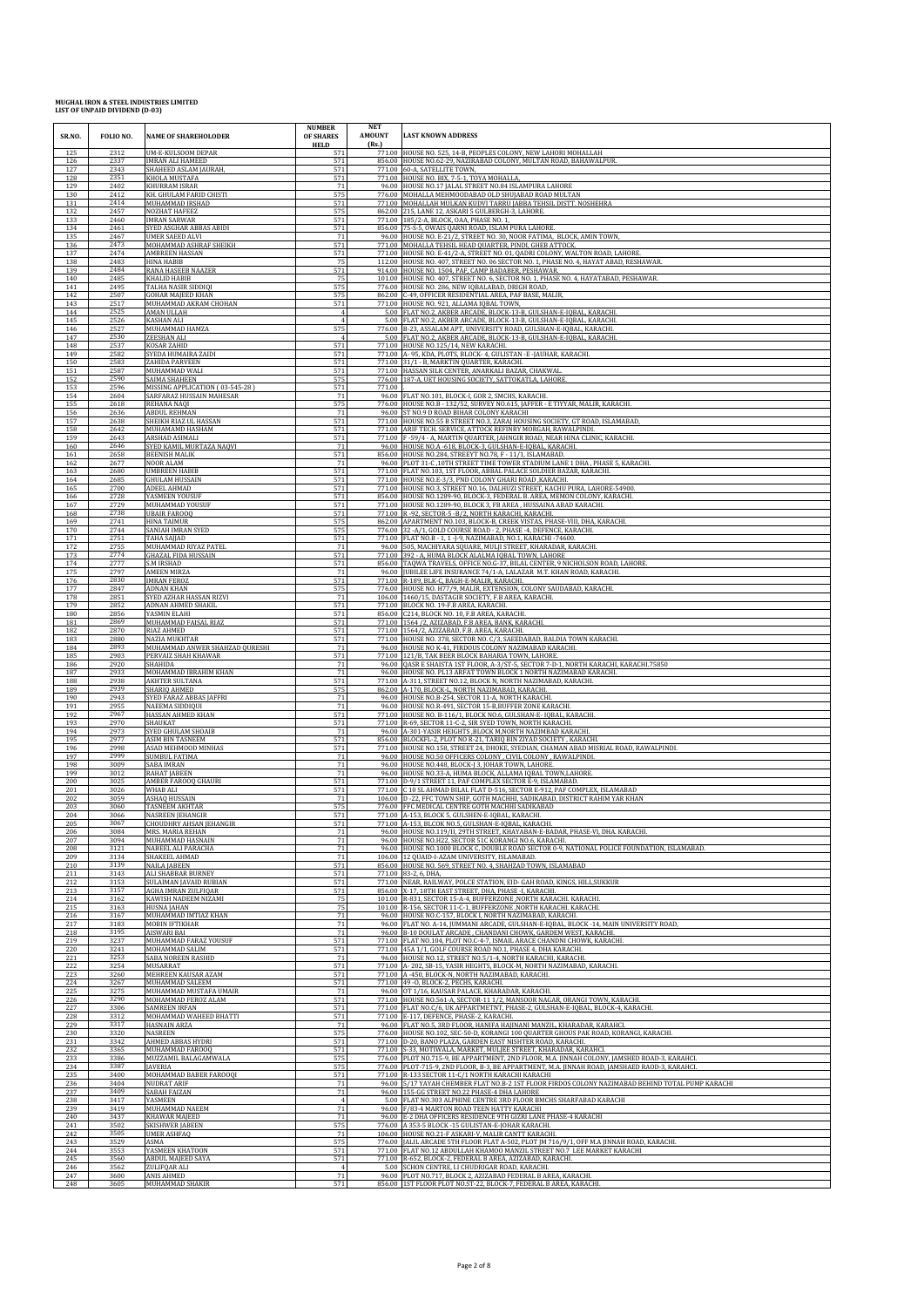| <b>HELD</b><br>(Rs.)<br>771.00 HOUSE NO. 525, 14-B, PEOPLES COLONY, NEW LAHORI MOHALLAH<br>2312<br>UM-E-KULSOOM DEPAR<br>125<br>571<br>856.00 HOUSE NO.62-29, NAZIRABAD COLONY, MULTAN ROAD, BAHAWALPUR<br>IMRAN ALI HAMEED<br>571<br>126<br>233.<br>571<br>2343<br>127<br>SHAHEED ASLAM JAURAH,<br>771.00 60-A, SATELLITE TOWN,<br>128<br>2351<br>KHOLA MUSTAFA<br>571<br>771.00 HOUSE NO. BIX, 7-5-1, TOYA MOHALLA,<br>2402<br>KHURRAM ISRAR<br>96.00 HOUSE NO.17 JALAL STREET NO.84 ISLAMPURA LAHORE<br>129<br>71<br>KH. GHULAM FARID CHISTI<br>575<br>776.00 MOHALLA MEHMOODABAD OLD SHUJABAD ROAD MULTAN<br>130<br>2412<br>131<br>2414<br>MUHAMMAD IRSHAD<br>571<br>771.00 MOHALLAH MULKAN KUDVI TARRU JABBA TEHSIL DISTT. NOSHEHRA<br>575<br>132<br>2457<br><b>NOZHAT HAFEEZ</b><br>862.00 215, LANE 12, ASKARI 5 GULBERGH-3, LAHORE<br>133<br>2460<br><b>IMRAN SARWAR</b><br>571<br>771.00 185/2-A, BLOCK, OAA, PHASE NO. 1,<br>2461<br>SYED ASGHAR ABBAS ABIDI<br>571<br>856.00 75-S-5, OWAIS OARNI ROAD, ISLAM PURA LAHORE<br>134<br><b>UMER SAEED ALVI</b><br>71<br>96.00 HOUSE NO. E-21/2, STREET NO. 30, NOOR FATIMA, BLOCK, AMIN TOWN,<br>135<br>2467<br>MOHAMMAD ASHRAF SHEIKH<br>136<br>2473<br>571<br>771.00 MOHALLA TEHSIL HEAD QUARTER, PINDI, GHEB ATTOCK.<br>571<br>771.00 HOUSE NO. E-41/2-A, STREET NO. 01, QADRI COLONY, WALTON ROAD, LAHORE<br>137<br>2474<br><b>AMBREEN HASSAN</b><br>138<br>2483<br>HINA HABIB<br>75<br>112.00 HOUSE NO. 407, STREET NO. 06 SECTOR NO. 1, PHASE NO. 4, HAYAT ABAD, RESHAWAR.<br>139<br>2484<br>RANA HASEEB NAAZER<br>571<br>914.00 HOUSE NO. 1504, PAF, CAMP BADABER, PESHAWAR.<br>101.00 HOUSE NO. 407, STREET NO. 6, SECTOR NO. 1, PHASE NO. 4, HAYATABAD, PESHAWAR.<br>2485<br>140<br>KHALID HABIB<br>75<br>141<br>2495<br>776.00 HOUSE NO. 286, NEW IQBALABAD, DRIGH ROAD,<br>TALHA NASIR SIDDIQI<br>575<br>575<br>2507<br>142<br><b>GOHAR MAJEED KHAN</b><br>862.00 C-49, OFFICER RESIDENTIAL AREA, PAF BASE, MALIR<br>2517<br>571<br>143<br>MUHAMMAD AKRAM CHOHAN<br>771.00 HOUSE NO. 921, ALLAMA IQBAL TOWN,<br>2525<br><b>AMAN ULLAH</b><br>5.00 FLAT NO.2, AKBER ARCADE, BLOCK-13-B, GULSHAN-E-IQBAL, KARACHI.<br>144<br>$\overline{A}$<br>145<br>2526<br>KASHAN ALI<br>$\overline{4}$<br>5.00 FLAT NO.2, AKBER ARCADE, BLOCK-13-B, GULSHAN-E-IQBAL, KARACHI.<br>2527<br>MUHAMMAD HAMZA<br>575<br>776.00 B-23, ASSALAM APT, UNIVERSITY ROAD, GULSHAN-E-IQBAL, KARACHI.<br>146<br>2530<br>147<br>ZEESHAN ALI<br>5.00 FLAT NO.2, AKBER ARCADE, BLOCK-13-B, GULSHAN-E-IQBAL, KARACHI.<br>148<br>2537<br>571<br>771.00 HOUSE NO.125/14, NEW KARACHI.<br><b>KOSAR ZAHID</b><br>2582<br>SYEDA HUMAIRA ZAIDI<br>771.00 A- 95, KDA, PLOTS, BLOCK- 4, GULISTAN - E-JAUHAR, KARACHI.<br>149<br>571<br>2583<br>571<br>771.00 31/1 - B, MARKTIN QUARTER, KARACHI.<br>150<br>ZAHIDA PARVEEN<br>151<br>2587<br>MUHAMMAD WALI<br>571<br>575<br>771.00 HASSAN SILK CENTER, ANARKALI BAZAR, CHAKWAL<br>2590<br>152<br>SAIMA SHAHEEN<br>776.00 187-A, UET HOUSING SOCIETY, SATTOKATLA, LAHORE<br>153<br>2596<br>MISSING APPLICATION (03-545-28)<br>571<br>771.00<br>2604<br>SARFARAZ HUSSAIN MAHESAR<br>96.00 FLAT NO.101, BLOCK-I, GOR 2, SMCHS, KARACHI.<br>154<br>71<br>575<br>155<br>776.00 HOUSE NO.B - 132/52, SURVEY NO.615, JAFFER - E TIYYAR, MALIR, KARACHI.<br>2618<br>REHANA NAQI<br>2636<br><b>ABDUL REHMAN</b><br>71<br>96.00 ST NO.9 D ROAD BIHAR COLONY KARACHI<br>156<br>571<br>157<br>2638<br>771.00 HOUSE NO.55 B STREET NO.3, ZARAJ HOUSING SOCIETY, GT ROAD, ISLAMABAD,<br>SHEIKH RIAZ UL HASSAN<br>2642<br>571<br>158<br>771.00 ARIF TECH. SERVICE, ATTOCK REFINRY MORGAH, RAWALPINDI.<br>MUHAMAMD HASHAM<br>159<br>771.00 F -59/4 - A, MARTIN QUARTER, JAHNGIR ROAD, NEAR HINA CLINIC, KARACHI.<br>2643<br>ARSHAD ASIMALI<br>571<br>SYED KAMIL MURTAZA NAQVI<br>160<br>2646<br>71<br>96.00 HOUSE NO.A -618, BLOCK-3, GULSHAN-E-IQBAL, KARACHI.<br>2658<br><b>BEENISH MALIK</b><br>571<br>856.00 HOUSE NO.284, STREEYT NO.78, F - 11/1, ISLAMABAD.<br>161<br>71<br>96.00 PLOT 31-C, 10TH STREET TIME TOWER STADIUM LANE 1 DHA, PHASE 5, KARACHI.<br>162<br>2677<br>NOOR ALAM<br>2680<br>571<br>163<br><b>UMBREEN HABIB</b><br>771.00 FLAT NO.103, 1ST FLOOR, ABBAL PALACE SOLDIER BAZAR, KARACHI<br>GHULAM HUSSAIN<br>771.00 HOUSE NO.E-3/3, PND COLONY GHARI ROAD, KARACHI.<br>164<br>2685<br>571<br>ADEEL AHMAD<br>571<br>771.00 HOUSE NO.3, STREET NO.16, DALHUZI STREET, KACHU PURA, LAHORE-54900.<br>165<br>2700<br>2728<br>YASMEEN YOUSUF<br>856.00 HOUSE NO.1289-90, BLOCK-3, FEDERAL B. AREA, MEMON COLONY, KARACHI.<br>166<br>571<br>167<br>2729<br>MUHAMMAD YOUSUF<br>571<br>771.00 HOUSE NO.1289-90, BLOCK 3, FB AREA , HUSSAINA ABAD KARACHI. |  |
|----------------------------------------------------------------------------------------------------------------------------------------------------------------------------------------------------------------------------------------------------------------------------------------------------------------------------------------------------------------------------------------------------------------------------------------------------------------------------------------------------------------------------------------------------------------------------------------------------------------------------------------------------------------------------------------------------------------------------------------------------------------------------------------------------------------------------------------------------------------------------------------------------------------------------------------------------------------------------------------------------------------------------------------------------------------------------------------------------------------------------------------------------------------------------------------------------------------------------------------------------------------------------------------------------------------------------------------------------------------------------------------------------------------------------------------------------------------------------------------------------------------------------------------------------------------------------------------------------------------------------------------------------------------------------------------------------------------------------------------------------------------------------------------------------------------------------------------------------------------------------------------------------------------------------------------------------------------------------------------------------------------------------------------------------------------------------------------------------------------------------------------------------------------------------------------------------------------------------------------------------------------------------------------------------------------------------------------------------------------------------------------------------------------------------------------------------------------------------------------------------------------------------------------------------------------------------------------------------------------------------------------------------------------------------------------------------------------------------------------------------------------------------------------------------------------------------------------------------------------------------------------------------------------------------------------------------------------------------------------------------------------------------------------------------------------------------------------------------------------------------------------------------------------------------------------------------------------------------------------------------------------------------------------------------------------------------------------------------------------------------------------------------------------------------------------------------------------------------------------------------------------------------------------------------------------------------------------------------------------------------------------------------------------------------------------------------------------------------------------------------------------------------------------------------------------------------------------------------------------------------------------------------------------------------------------------------------------------------------------------------------------------------------------------------------------------------------------------------------------------------------------------------------------------------------------------------------------------------------------------------------------------------------------------------------------------------------------------------------------------------------------------------------------------------------------------------------------------------------------------------------------------------------------------------------------------------------------------------------------------------------------------------------------------------------------------------------------------------------|--|
|                                                                                                                                                                                                                                                                                                                                                                                                                                                                                                                                                                                                                                                                                                                                                                                                                                                                                                                                                                                                                                                                                                                                                                                                                                                                                                                                                                                                                                                                                                                                                                                                                                                                                                                                                                                                                                                                                                                                                                                                                                                                                                                                                                                                                                                                                                                                                                                                                                                                                                                                                                                                                                                                                                                                                                                                                                                                                                                                                                                                                                                                                                                                                                                                                                                                                                                                                                                                                                                                                                                                                                                                                                                                                                                                                                                                                                                                                                                                                                                                                                                                                                                                                                                                                                                                                                                                                                                                                                                                                                                                                                                                                                                                                                                                  |  |
|                                                                                                                                                                                                                                                                                                                                                                                                                                                                                                                                                                                                                                                                                                                                                                                                                                                                                                                                                                                                                                                                                                                                                                                                                                                                                                                                                                                                                                                                                                                                                                                                                                                                                                                                                                                                                                                                                                                                                                                                                                                                                                                                                                                                                                                                                                                                                                                                                                                                                                                                                                                                                                                                                                                                                                                                                                                                                                                                                                                                                                                                                                                                                                                                                                                                                                                                                                                                                                                                                                                                                                                                                                                                                                                                                                                                                                                                                                                                                                                                                                                                                                                                                                                                                                                                                                                                                                                                                                                                                                                                                                                                                                                                                                                                  |  |
|                                                                                                                                                                                                                                                                                                                                                                                                                                                                                                                                                                                                                                                                                                                                                                                                                                                                                                                                                                                                                                                                                                                                                                                                                                                                                                                                                                                                                                                                                                                                                                                                                                                                                                                                                                                                                                                                                                                                                                                                                                                                                                                                                                                                                                                                                                                                                                                                                                                                                                                                                                                                                                                                                                                                                                                                                                                                                                                                                                                                                                                                                                                                                                                                                                                                                                                                                                                                                                                                                                                                                                                                                                                                                                                                                                                                                                                                                                                                                                                                                                                                                                                                                                                                                                                                                                                                                                                                                                                                                                                                                                                                                                                                                                                                  |  |
|                                                                                                                                                                                                                                                                                                                                                                                                                                                                                                                                                                                                                                                                                                                                                                                                                                                                                                                                                                                                                                                                                                                                                                                                                                                                                                                                                                                                                                                                                                                                                                                                                                                                                                                                                                                                                                                                                                                                                                                                                                                                                                                                                                                                                                                                                                                                                                                                                                                                                                                                                                                                                                                                                                                                                                                                                                                                                                                                                                                                                                                                                                                                                                                                                                                                                                                                                                                                                                                                                                                                                                                                                                                                                                                                                                                                                                                                                                                                                                                                                                                                                                                                                                                                                                                                                                                                                                                                                                                                                                                                                                                                                                                                                                                                  |  |
|                                                                                                                                                                                                                                                                                                                                                                                                                                                                                                                                                                                                                                                                                                                                                                                                                                                                                                                                                                                                                                                                                                                                                                                                                                                                                                                                                                                                                                                                                                                                                                                                                                                                                                                                                                                                                                                                                                                                                                                                                                                                                                                                                                                                                                                                                                                                                                                                                                                                                                                                                                                                                                                                                                                                                                                                                                                                                                                                                                                                                                                                                                                                                                                                                                                                                                                                                                                                                                                                                                                                                                                                                                                                                                                                                                                                                                                                                                                                                                                                                                                                                                                                                                                                                                                                                                                                                                                                                                                                                                                                                                                                                                                                                                                                  |  |
|                                                                                                                                                                                                                                                                                                                                                                                                                                                                                                                                                                                                                                                                                                                                                                                                                                                                                                                                                                                                                                                                                                                                                                                                                                                                                                                                                                                                                                                                                                                                                                                                                                                                                                                                                                                                                                                                                                                                                                                                                                                                                                                                                                                                                                                                                                                                                                                                                                                                                                                                                                                                                                                                                                                                                                                                                                                                                                                                                                                                                                                                                                                                                                                                                                                                                                                                                                                                                                                                                                                                                                                                                                                                                                                                                                                                                                                                                                                                                                                                                                                                                                                                                                                                                                                                                                                                                                                                                                                                                                                                                                                                                                                                                                                                  |  |
|                                                                                                                                                                                                                                                                                                                                                                                                                                                                                                                                                                                                                                                                                                                                                                                                                                                                                                                                                                                                                                                                                                                                                                                                                                                                                                                                                                                                                                                                                                                                                                                                                                                                                                                                                                                                                                                                                                                                                                                                                                                                                                                                                                                                                                                                                                                                                                                                                                                                                                                                                                                                                                                                                                                                                                                                                                                                                                                                                                                                                                                                                                                                                                                                                                                                                                                                                                                                                                                                                                                                                                                                                                                                                                                                                                                                                                                                                                                                                                                                                                                                                                                                                                                                                                                                                                                                                                                                                                                                                                                                                                                                                                                                                                                                  |  |
|                                                                                                                                                                                                                                                                                                                                                                                                                                                                                                                                                                                                                                                                                                                                                                                                                                                                                                                                                                                                                                                                                                                                                                                                                                                                                                                                                                                                                                                                                                                                                                                                                                                                                                                                                                                                                                                                                                                                                                                                                                                                                                                                                                                                                                                                                                                                                                                                                                                                                                                                                                                                                                                                                                                                                                                                                                                                                                                                                                                                                                                                                                                                                                                                                                                                                                                                                                                                                                                                                                                                                                                                                                                                                                                                                                                                                                                                                                                                                                                                                                                                                                                                                                                                                                                                                                                                                                                                                                                                                                                                                                                                                                                                                                                                  |  |
|                                                                                                                                                                                                                                                                                                                                                                                                                                                                                                                                                                                                                                                                                                                                                                                                                                                                                                                                                                                                                                                                                                                                                                                                                                                                                                                                                                                                                                                                                                                                                                                                                                                                                                                                                                                                                                                                                                                                                                                                                                                                                                                                                                                                                                                                                                                                                                                                                                                                                                                                                                                                                                                                                                                                                                                                                                                                                                                                                                                                                                                                                                                                                                                                                                                                                                                                                                                                                                                                                                                                                                                                                                                                                                                                                                                                                                                                                                                                                                                                                                                                                                                                                                                                                                                                                                                                                                                                                                                                                                                                                                                                                                                                                                                                  |  |
|                                                                                                                                                                                                                                                                                                                                                                                                                                                                                                                                                                                                                                                                                                                                                                                                                                                                                                                                                                                                                                                                                                                                                                                                                                                                                                                                                                                                                                                                                                                                                                                                                                                                                                                                                                                                                                                                                                                                                                                                                                                                                                                                                                                                                                                                                                                                                                                                                                                                                                                                                                                                                                                                                                                                                                                                                                                                                                                                                                                                                                                                                                                                                                                                                                                                                                                                                                                                                                                                                                                                                                                                                                                                                                                                                                                                                                                                                                                                                                                                                                                                                                                                                                                                                                                                                                                                                                                                                                                                                                                                                                                                                                                                                                                                  |  |
|                                                                                                                                                                                                                                                                                                                                                                                                                                                                                                                                                                                                                                                                                                                                                                                                                                                                                                                                                                                                                                                                                                                                                                                                                                                                                                                                                                                                                                                                                                                                                                                                                                                                                                                                                                                                                                                                                                                                                                                                                                                                                                                                                                                                                                                                                                                                                                                                                                                                                                                                                                                                                                                                                                                                                                                                                                                                                                                                                                                                                                                                                                                                                                                                                                                                                                                                                                                                                                                                                                                                                                                                                                                                                                                                                                                                                                                                                                                                                                                                                                                                                                                                                                                                                                                                                                                                                                                                                                                                                                                                                                                                                                                                                                                                  |  |
|                                                                                                                                                                                                                                                                                                                                                                                                                                                                                                                                                                                                                                                                                                                                                                                                                                                                                                                                                                                                                                                                                                                                                                                                                                                                                                                                                                                                                                                                                                                                                                                                                                                                                                                                                                                                                                                                                                                                                                                                                                                                                                                                                                                                                                                                                                                                                                                                                                                                                                                                                                                                                                                                                                                                                                                                                                                                                                                                                                                                                                                                                                                                                                                                                                                                                                                                                                                                                                                                                                                                                                                                                                                                                                                                                                                                                                                                                                                                                                                                                                                                                                                                                                                                                                                                                                                                                                                                                                                                                                                                                                                                                                                                                                                                  |  |
|                                                                                                                                                                                                                                                                                                                                                                                                                                                                                                                                                                                                                                                                                                                                                                                                                                                                                                                                                                                                                                                                                                                                                                                                                                                                                                                                                                                                                                                                                                                                                                                                                                                                                                                                                                                                                                                                                                                                                                                                                                                                                                                                                                                                                                                                                                                                                                                                                                                                                                                                                                                                                                                                                                                                                                                                                                                                                                                                                                                                                                                                                                                                                                                                                                                                                                                                                                                                                                                                                                                                                                                                                                                                                                                                                                                                                                                                                                                                                                                                                                                                                                                                                                                                                                                                                                                                                                                                                                                                                                                                                                                                                                                                                                                                  |  |
|                                                                                                                                                                                                                                                                                                                                                                                                                                                                                                                                                                                                                                                                                                                                                                                                                                                                                                                                                                                                                                                                                                                                                                                                                                                                                                                                                                                                                                                                                                                                                                                                                                                                                                                                                                                                                                                                                                                                                                                                                                                                                                                                                                                                                                                                                                                                                                                                                                                                                                                                                                                                                                                                                                                                                                                                                                                                                                                                                                                                                                                                                                                                                                                                                                                                                                                                                                                                                                                                                                                                                                                                                                                                                                                                                                                                                                                                                                                                                                                                                                                                                                                                                                                                                                                                                                                                                                                                                                                                                                                                                                                                                                                                                                                                  |  |
|                                                                                                                                                                                                                                                                                                                                                                                                                                                                                                                                                                                                                                                                                                                                                                                                                                                                                                                                                                                                                                                                                                                                                                                                                                                                                                                                                                                                                                                                                                                                                                                                                                                                                                                                                                                                                                                                                                                                                                                                                                                                                                                                                                                                                                                                                                                                                                                                                                                                                                                                                                                                                                                                                                                                                                                                                                                                                                                                                                                                                                                                                                                                                                                                                                                                                                                                                                                                                                                                                                                                                                                                                                                                                                                                                                                                                                                                                                                                                                                                                                                                                                                                                                                                                                                                                                                                                                                                                                                                                                                                                                                                                                                                                                                                  |  |
|                                                                                                                                                                                                                                                                                                                                                                                                                                                                                                                                                                                                                                                                                                                                                                                                                                                                                                                                                                                                                                                                                                                                                                                                                                                                                                                                                                                                                                                                                                                                                                                                                                                                                                                                                                                                                                                                                                                                                                                                                                                                                                                                                                                                                                                                                                                                                                                                                                                                                                                                                                                                                                                                                                                                                                                                                                                                                                                                                                                                                                                                                                                                                                                                                                                                                                                                                                                                                                                                                                                                                                                                                                                                                                                                                                                                                                                                                                                                                                                                                                                                                                                                                                                                                                                                                                                                                                                                                                                                                                                                                                                                                                                                                                                                  |  |
|                                                                                                                                                                                                                                                                                                                                                                                                                                                                                                                                                                                                                                                                                                                                                                                                                                                                                                                                                                                                                                                                                                                                                                                                                                                                                                                                                                                                                                                                                                                                                                                                                                                                                                                                                                                                                                                                                                                                                                                                                                                                                                                                                                                                                                                                                                                                                                                                                                                                                                                                                                                                                                                                                                                                                                                                                                                                                                                                                                                                                                                                                                                                                                                                                                                                                                                                                                                                                                                                                                                                                                                                                                                                                                                                                                                                                                                                                                                                                                                                                                                                                                                                                                                                                                                                                                                                                                                                                                                                                                                                                                                                                                                                                                                                  |  |
|                                                                                                                                                                                                                                                                                                                                                                                                                                                                                                                                                                                                                                                                                                                                                                                                                                                                                                                                                                                                                                                                                                                                                                                                                                                                                                                                                                                                                                                                                                                                                                                                                                                                                                                                                                                                                                                                                                                                                                                                                                                                                                                                                                                                                                                                                                                                                                                                                                                                                                                                                                                                                                                                                                                                                                                                                                                                                                                                                                                                                                                                                                                                                                                                                                                                                                                                                                                                                                                                                                                                                                                                                                                                                                                                                                                                                                                                                                                                                                                                                                                                                                                                                                                                                                                                                                                                                                                                                                                                                                                                                                                                                                                                                                                                  |  |
|                                                                                                                                                                                                                                                                                                                                                                                                                                                                                                                                                                                                                                                                                                                                                                                                                                                                                                                                                                                                                                                                                                                                                                                                                                                                                                                                                                                                                                                                                                                                                                                                                                                                                                                                                                                                                                                                                                                                                                                                                                                                                                                                                                                                                                                                                                                                                                                                                                                                                                                                                                                                                                                                                                                                                                                                                                                                                                                                                                                                                                                                                                                                                                                                                                                                                                                                                                                                                                                                                                                                                                                                                                                                                                                                                                                                                                                                                                                                                                                                                                                                                                                                                                                                                                                                                                                                                                                                                                                                                                                                                                                                                                                                                                                                  |  |
|                                                                                                                                                                                                                                                                                                                                                                                                                                                                                                                                                                                                                                                                                                                                                                                                                                                                                                                                                                                                                                                                                                                                                                                                                                                                                                                                                                                                                                                                                                                                                                                                                                                                                                                                                                                                                                                                                                                                                                                                                                                                                                                                                                                                                                                                                                                                                                                                                                                                                                                                                                                                                                                                                                                                                                                                                                                                                                                                                                                                                                                                                                                                                                                                                                                                                                                                                                                                                                                                                                                                                                                                                                                                                                                                                                                                                                                                                                                                                                                                                                                                                                                                                                                                                                                                                                                                                                                                                                                                                                                                                                                                                                                                                                                                  |  |
|                                                                                                                                                                                                                                                                                                                                                                                                                                                                                                                                                                                                                                                                                                                                                                                                                                                                                                                                                                                                                                                                                                                                                                                                                                                                                                                                                                                                                                                                                                                                                                                                                                                                                                                                                                                                                                                                                                                                                                                                                                                                                                                                                                                                                                                                                                                                                                                                                                                                                                                                                                                                                                                                                                                                                                                                                                                                                                                                                                                                                                                                                                                                                                                                                                                                                                                                                                                                                                                                                                                                                                                                                                                                                                                                                                                                                                                                                                                                                                                                                                                                                                                                                                                                                                                                                                                                                                                                                                                                                                                                                                                                                                                                                                                                  |  |
|                                                                                                                                                                                                                                                                                                                                                                                                                                                                                                                                                                                                                                                                                                                                                                                                                                                                                                                                                                                                                                                                                                                                                                                                                                                                                                                                                                                                                                                                                                                                                                                                                                                                                                                                                                                                                                                                                                                                                                                                                                                                                                                                                                                                                                                                                                                                                                                                                                                                                                                                                                                                                                                                                                                                                                                                                                                                                                                                                                                                                                                                                                                                                                                                                                                                                                                                                                                                                                                                                                                                                                                                                                                                                                                                                                                                                                                                                                                                                                                                                                                                                                                                                                                                                                                                                                                                                                                                                                                                                                                                                                                                                                                                                                                                  |  |
|                                                                                                                                                                                                                                                                                                                                                                                                                                                                                                                                                                                                                                                                                                                                                                                                                                                                                                                                                                                                                                                                                                                                                                                                                                                                                                                                                                                                                                                                                                                                                                                                                                                                                                                                                                                                                                                                                                                                                                                                                                                                                                                                                                                                                                                                                                                                                                                                                                                                                                                                                                                                                                                                                                                                                                                                                                                                                                                                                                                                                                                                                                                                                                                                                                                                                                                                                                                                                                                                                                                                                                                                                                                                                                                                                                                                                                                                                                                                                                                                                                                                                                                                                                                                                                                                                                                                                                                                                                                                                                                                                                                                                                                                                                                                  |  |
| 2738<br>571<br>168<br>771.00 R -92, SECTOR-5 - B/2, NORTH KARACHI, KARACHI.<br><b>UBAIR FAROOO</b><br>2741<br>862.00 APARTMENT NO.103, BLOCK-B, CREEK VISTAS, PHASE-VIII, DHA, KARACHI.<br>169<br><b>HINA TAIMUR</b><br>575                                                                                                                                                                                                                                                                                                                                                                                                                                                                                                                                                                                                                                                                                                                                                                                                                                                                                                                                                                                                                                                                                                                                                                                                                                                                                                                                                                                                                                                                                                                                                                                                                                                                                                                                                                                                                                                                                                                                                                                                                                                                                                                                                                                                                                                                                                                                                                                                                                                                                                                                                                                                                                                                                                                                                                                                                                                                                                                                                                                                                                                                                                                                                                                                                                                                                                                                                                                                                                                                                                                                                                                                                                                                                                                                                                                                                                                                                                                                                                                                                                                                                                                                                                                                                                                                                                                                                                                                                                                                                                      |  |
| 2744<br>SANIAH IMRAN SYED<br>575<br>776.00 32 - A/1, GOLD COURSE ROAD - 2, PHASE - 4, DEFENCE, KARACHI.<br>170<br>2751<br>571<br>771.00 FLAT NO.B - 1, 1 - 1-9, NAZIMABAD, NO.1, KARACHI -74600<br>171<br><b>TAHA SAJJAD</b>                                                                                                                                                                                                                                                                                                                                                                                                                                                                                                                                                                                                                                                                                                                                                                                                                                                                                                                                                                                                                                                                                                                                                                                                                                                                                                                                                                                                                                                                                                                                                                                                                                                                                                                                                                                                                                                                                                                                                                                                                                                                                                                                                                                                                                                                                                                                                                                                                                                                                                                                                                                                                                                                                                                                                                                                                                                                                                                                                                                                                                                                                                                                                                                                                                                                                                                                                                                                                                                                                                                                                                                                                                                                                                                                                                                                                                                                                                                                                                                                                                                                                                                                                                                                                                                                                                                                                                                                                                                                                                     |  |
| 2755<br>71<br>172<br>MUHAMMAD RIYAZ PATEL<br>96.00 505, MACHIYARA SQUARE, MULJI STREET, KHARADAR, KARACHI<br>2774<br>571<br>173<br><b>GHAZAL FIDA HUSSAIN</b><br>771.00 392 - A, HUMA BLOCK ALALMA IQBAL TOWN, LAHORE                                                                                                                                                                                                                                                                                                                                                                                                                                                                                                                                                                                                                                                                                                                                                                                                                                                                                                                                                                                                                                                                                                                                                                                                                                                                                                                                                                                                                                                                                                                                                                                                                                                                                                                                                                                                                                                                                                                                                                                                                                                                                                                                                                                                                                                                                                                                                                                                                                                                                                                                                                                                                                                                                                                                                                                                                                                                                                                                                                                                                                                                                                                                                                                                                                                                                                                                                                                                                                                                                                                                                                                                                                                                                                                                                                                                                                                                                                                                                                                                                                                                                                                                                                                                                                                                                                                                                                                                                                                                                                            |  |
| 2777<br>856.00 TAQWA TRAVELS, OFFICE NO.G-37, BILAL CENTER, 9 NICHOLSON ROAD, LAHORE.<br>174<br><b>S.M IRSHAD</b><br>571<br><b>AMEEN MIRZA</b><br>71<br>96.00 JUBILEE LIFE INSURANCE 74/1-A, LALAZAR M.T. KHAN ROAD, KARACHI.<br>2797                                                                                                                                                                                                                                                                                                                                                                                                                                                                                                                                                                                                                                                                                                                                                                                                                                                                                                                                                                                                                                                                                                                                                                                                                                                                                                                                                                                                                                                                                                                                                                                                                                                                                                                                                                                                                                                                                                                                                                                                                                                                                                                                                                                                                                                                                                                                                                                                                                                                                                                                                                                                                                                                                                                                                                                                                                                                                                                                                                                                                                                                                                                                                                                                                                                                                                                                                                                                                                                                                                                                                                                                                                                                                                                                                                                                                                                                                                                                                                                                                                                                                                                                                                                                                                                                                                                                                                                                                                                                                            |  |
| 175<br>2830<br><b>IMRAN FEROZ</b><br>571<br>771.00 R-189, BLK-C, BAGH-E-MALIR, KARACHI.<br>176                                                                                                                                                                                                                                                                                                                                                                                                                                                                                                                                                                                                                                                                                                                                                                                                                                                                                                                                                                                                                                                                                                                                                                                                                                                                                                                                                                                                                                                                                                                                                                                                                                                                                                                                                                                                                                                                                                                                                                                                                                                                                                                                                                                                                                                                                                                                                                                                                                                                                                                                                                                                                                                                                                                                                                                                                                                                                                                                                                                                                                                                                                                                                                                                                                                                                                                                                                                                                                                                                                                                                                                                                                                                                                                                                                                                                                                                                                                                                                                                                                                                                                                                                                                                                                                                                                                                                                                                                                                                                                                                                                                                                                   |  |
| 575<br>2847<br>776.00 HOUSE NO. H77/9, MALIR, EXTENSION, COLONY SAUDABAD, KARACHI.<br>177<br>ADNAN KHAN<br>2851<br>178<br>SYED AZHAR HASSAN RIZVI<br>71<br>106.00 1460/15, DASTAGIR SOCIETY, F.B AREA, KARACHI.                                                                                                                                                                                                                                                                                                                                                                                                                                                                                                                                                                                                                                                                                                                                                                                                                                                                                                                                                                                                                                                                                                                                                                                                                                                                                                                                                                                                                                                                                                                                                                                                                                                                                                                                                                                                                                                                                                                                                                                                                                                                                                                                                                                                                                                                                                                                                                                                                                                                                                                                                                                                                                                                                                                                                                                                                                                                                                                                                                                                                                                                                                                                                                                                                                                                                                                                                                                                                                                                                                                                                                                                                                                                                                                                                                                                                                                                                                                                                                                                                                                                                                                                                                                                                                                                                                                                                                                                                                                                                                                  |  |
| 179<br>ADNAN AHMED SHAKIL<br>771.00 BLOCK NO. 19-F.B AREA, KARACHI.<br>2852<br>571<br>180<br>571<br>856.00 C214, BLOCK NO. 10, F.B AREA, KARACHI.<br>2856<br>YASMIN ELAHI                                                                                                                                                                                                                                                                                                                                                                                                                                                                                                                                                                                                                                                                                                                                                                                                                                                                                                                                                                                                                                                                                                                                                                                                                                                                                                                                                                                                                                                                                                                                                                                                                                                                                                                                                                                                                                                                                                                                                                                                                                                                                                                                                                                                                                                                                                                                                                                                                                                                                                                                                                                                                                                                                                                                                                                                                                                                                                                                                                                                                                                                                                                                                                                                                                                                                                                                                                                                                                                                                                                                                                                                                                                                                                                                                                                                                                                                                                                                                                                                                                                                                                                                                                                                                                                                                                                                                                                                                                                                                                                                                        |  |
| MUHAMMAD FAISAL RIAZ<br>771.00 1564 /2, AZIZABAD, F.B AREA, BANK, KARACHI.<br>181<br>2869<br>571<br>571<br>182<br>2870<br>RIAZ AHMED<br>771.00 1564/2, AZIZABAD, F.B. AREA, KARACHI.                                                                                                                                                                                                                                                                                                                                                                                                                                                                                                                                                                                                                                                                                                                                                                                                                                                                                                                                                                                                                                                                                                                                                                                                                                                                                                                                                                                                                                                                                                                                                                                                                                                                                                                                                                                                                                                                                                                                                                                                                                                                                                                                                                                                                                                                                                                                                                                                                                                                                                                                                                                                                                                                                                                                                                                                                                                                                                                                                                                                                                                                                                                                                                                                                                                                                                                                                                                                                                                                                                                                                                                                                                                                                                                                                                                                                                                                                                                                                                                                                                                                                                                                                                                                                                                                                                                                                                                                                                                                                                                                             |  |
| 2880<br>571<br>771.00 HOUSE NO. 378, SECTOR NO. C/3, SAEEDABAD, BALDIA TOWN KARACHI.<br>183<br><b>NAZIA MUKHTAR</b><br>MUHAMMAD ANWER SHAHZAD QURESHI<br>71<br>96.00 HOUSE NO K-41, FIRDOUS COLONY NAZIMABAD KARACHI.<br>184<br>2893                                                                                                                                                                                                                                                                                                                                                                                                                                                                                                                                                                                                                                                                                                                                                                                                                                                                                                                                                                                                                                                                                                                                                                                                                                                                                                                                                                                                                                                                                                                                                                                                                                                                                                                                                                                                                                                                                                                                                                                                                                                                                                                                                                                                                                                                                                                                                                                                                                                                                                                                                                                                                                                                                                                                                                                                                                                                                                                                                                                                                                                                                                                                                                                                                                                                                                                                                                                                                                                                                                                                                                                                                                                                                                                                                                                                                                                                                                                                                                                                                                                                                                                                                                                                                                                                                                                                                                                                                                                                                             |  |
| 571<br>PERVAIZ SHAH KHAWAR<br>771.00 121/B, TAK BEER BLOCK BAHARIA TOWN, LAHORE.<br>185<br>2903<br>96.00 OASR E SHAISTA 1ST FLOOR, A-3/ST-5, SECTOR 7-D-1, NORTH KARACHI, KARACHI.75850<br>186<br>2920<br>SHAHIDA<br>71                                                                                                                                                                                                                                                                                                                                                                                                                                                                                                                                                                                                                                                                                                                                                                                                                                                                                                                                                                                                                                                                                                                                                                                                                                                                                                                                                                                                                                                                                                                                                                                                                                                                                                                                                                                                                                                                                                                                                                                                                                                                                                                                                                                                                                                                                                                                                                                                                                                                                                                                                                                                                                                                                                                                                                                                                                                                                                                                                                                                                                                                                                                                                                                                                                                                                                                                                                                                                                                                                                                                                                                                                                                                                                                                                                                                                                                                                                                                                                                                                                                                                                                                                                                                                                                                                                                                                                                                                                                                                                          |  |
| 71<br>187<br>2933<br>MOHAMMAD IBRAHIM KHAN<br>96.00 HOUSE NO. PL13 ARFAT TOWN BLOCK 1 NORTH NAZIMABAD KARACHI<br>2938<br>571<br>771.00 A-311, STREET NO.12, BLOCK N, NORTH NAZIMABAD, KARACHI<br>188<br><b>AKHTER SULTANA</b>                                                                                                                                                                                                                                                                                                                                                                                                                                                                                                                                                                                                                                                                                                                                                                                                                                                                                                                                                                                                                                                                                                                                                                                                                                                                                                                                                                                                                                                                                                                                                                                                                                                                                                                                                                                                                                                                                                                                                                                                                                                                                                                                                                                                                                                                                                                                                                                                                                                                                                                                                                                                                                                                                                                                                                                                                                                                                                                                                                                                                                                                                                                                                                                                                                                                                                                                                                                                                                                                                                                                                                                                                                                                                                                                                                                                                                                                                                                                                                                                                                                                                                                                                                                                                                                                                                                                                                                                                                                                                                    |  |
| 2939<br>862.00 A-170, BLOCK-L, NORTH NAZIMABAD, KARACHI.<br>189<br>SHARIO AHMED<br>575                                                                                                                                                                                                                                                                                                                                                                                                                                                                                                                                                                                                                                                                                                                                                                                                                                                                                                                                                                                                                                                                                                                                                                                                                                                                                                                                                                                                                                                                                                                                                                                                                                                                                                                                                                                                                                                                                                                                                                                                                                                                                                                                                                                                                                                                                                                                                                                                                                                                                                                                                                                                                                                                                                                                                                                                                                                                                                                                                                                                                                                                                                                                                                                                                                                                                                                                                                                                                                                                                                                                                                                                                                                                                                                                                                                                                                                                                                                                                                                                                                                                                                                                                                                                                                                                                                                                                                                                                                                                                                                                                                                                                                           |  |
| 2943<br>SYED FARAZ ABBAS JAFFRI<br>190<br>71<br>96.00 HOUSE NO.B-254, SECTOR 11-A, NORTH KARACHI.<br>191<br>2955<br>NAEEMA SIDDIQUI<br>71<br>96.00 HOUSE NO.R-491, SECTOR 15-B, BUFFER ZONE KARACHI.                                                                                                                                                                                                                                                                                                                                                                                                                                                                                                                                                                                                                                                                                                                                                                                                                                                                                                                                                                                                                                                                                                                                                                                                                                                                                                                                                                                                                                                                                                                                                                                                                                                                                                                                                                                                                                                                                                                                                                                                                                                                                                                                                                                                                                                                                                                                                                                                                                                                                                                                                                                                                                                                                                                                                                                                                                                                                                                                                                                                                                                                                                                                                                                                                                                                                                                                                                                                                                                                                                                                                                                                                                                                                                                                                                                                                                                                                                                                                                                                                                                                                                                                                                                                                                                                                                                                                                                                                                                                                                                             |  |
| 192<br>2967<br>HASSAN AHMED KHAN<br>571<br>771.00 HOUSE NO. B-116/1, BLOCK NO.6, GULSHAN-E- IQBAL, KARACHI.<br>2970<br>571<br>771.00 R-69, SECTOR 11-C-2, SIR SYED TOWN, NORTH KARACHI.<br>193<br>SHAUKAT                                                                                                                                                                                                                                                                                                                                                                                                                                                                                                                                                                                                                                                                                                                                                                                                                                                                                                                                                                                                                                                                                                                                                                                                                                                                                                                                                                                                                                                                                                                                                                                                                                                                                                                                                                                                                                                                                                                                                                                                                                                                                                                                                                                                                                                                                                                                                                                                                                                                                                                                                                                                                                                                                                                                                                                                                                                                                                                                                                                                                                                                                                                                                                                                                                                                                                                                                                                                                                                                                                                                                                                                                                                                                                                                                                                                                                                                                                                                                                                                                                                                                                                                                                                                                                                                                                                                                                                                                                                                                                                        |  |
| 2973<br>SYED GHULAM SHOAIB<br>71<br>96.00 A-301-YASIR HEIGHTS ,BLOCK M, NORTH NAZIMBAD KARACHI.<br>194<br>2977<br>195<br>ASIM BIN TASNEEM<br>571<br>856.00 BLOCKFL-2, PLOT NO R-21, TARIO BIN ZIYAD SOCIETY, KARACHI                                                                                                                                                                                                                                                                                                                                                                                                                                                                                                                                                                                                                                                                                                                                                                                                                                                                                                                                                                                                                                                                                                                                                                                                                                                                                                                                                                                                                                                                                                                                                                                                                                                                                                                                                                                                                                                                                                                                                                                                                                                                                                                                                                                                                                                                                                                                                                                                                                                                                                                                                                                                                                                                                                                                                                                                                                                                                                                                                                                                                                                                                                                                                                                                                                                                                                                                                                                                                                                                                                                                                                                                                                                                                                                                                                                                                                                                                                                                                                                                                                                                                                                                                                                                                                                                                                                                                                                                                                                                                                             |  |
| 2998<br>ASAD MEHMOOD MINHAS<br>771.00 HOUSE NO.158, STREET 24, DHOKE, SYEDIAN, CHAMAN ABAD MISRIAL ROAD, RAWALPINDI.<br>196<br>571<br>197<br>2999<br>SUMBUL FATIMA<br>71<br>96.00 HOUSE NO.50 OFFICERS COLONY, CIVIL COLONY, RAWALPINDI.                                                                                                                                                                                                                                                                                                                                                                                                                                                                                                                                                                                                                                                                                                                                                                                                                                                                                                                                                                                                                                                                                                                                                                                                                                                                                                                                                                                                                                                                                                                                                                                                                                                                                                                                                                                                                                                                                                                                                                                                                                                                                                                                                                                                                                                                                                                                                                                                                                                                                                                                                                                                                                                                                                                                                                                                                                                                                                                                                                                                                                                                                                                                                                                                                                                                                                                                                                                                                                                                                                                                                                                                                                                                                                                                                                                                                                                                                                                                                                                                                                                                                                                                                                                                                                                                                                                                                                                                                                                                                         |  |
| 3009<br>71<br>96.00 HOUSE NO.448, BLOCK-J 3, JOHAR TOWN, LAHORE<br>198<br>SABA IMRAN<br>199<br>71<br>96.00 HOUSE NO.33-A, HUMA BLOCK, ALLAMA IQBAL TOWN, LAHORE.<br>3012<br>RAHAT JABEEN                                                                                                                                                                                                                                                                                                                                                                                                                                                                                                                                                                                                                                                                                                                                                                                                                                                                                                                                                                                                                                                                                                                                                                                                                                                                                                                                                                                                                                                                                                                                                                                                                                                                                                                                                                                                                                                                                                                                                                                                                                                                                                                                                                                                                                                                                                                                                                                                                                                                                                                                                                                                                                                                                                                                                                                                                                                                                                                                                                                                                                                                                                                                                                                                                                                                                                                                                                                                                                                                                                                                                                                                                                                                                                                                                                                                                                                                                                                                                                                                                                                                                                                                                                                                                                                                                                                                                                                                                                                                                                                                         |  |
| AMBER FAROOQ GHAURI<br>200<br>3025<br>571<br>771.00 D-9/1 STREET 11, PAF COMPLEX SECTOR E-9, ISLAMABAD.<br>771.00 C 10 SL AHMAD BILAL FLAT D-516, SECTOR E-912, PAF COMPLEX, ISLAMABAD<br>201<br>3026<br>571<br>WHAR ALI                                                                                                                                                                                                                                                                                                                                                                                                                                                                                                                                                                                                                                                                                                                                                                                                                                                                                                                                                                                                                                                                                                                                                                                                                                                                                                                                                                                                                                                                                                                                                                                                                                                                                                                                                                                                                                                                                                                                                                                                                                                                                                                                                                                                                                                                                                                                                                                                                                                                                                                                                                                                                                                                                                                                                                                                                                                                                                                                                                                                                                                                                                                                                                                                                                                                                                                                                                                                                                                                                                                                                                                                                                                                                                                                                                                                                                                                                                                                                                                                                                                                                                                                                                                                                                                                                                                                                                                                                                                                                                         |  |
| 202<br>3059<br>ASHAQ HUSSAIN<br>71<br>106.00 D -22, FFC TOWN SHIP, GOTH MACHHI, SADIKABAD, DISTRICT RAHIM YAR KHAN<br><b>TASNEEM AKHTAR</b><br>575<br>776.00 FFC MEDICAL CENTRE GOTH MACHHI SADIKABAD<br>203<br>3060                                                                                                                                                                                                                                                                                                                                                                                                                                                                                                                                                                                                                                                                                                                                                                                                                                                                                                                                                                                                                                                                                                                                                                                                                                                                                                                                                                                                                                                                                                                                                                                                                                                                                                                                                                                                                                                                                                                                                                                                                                                                                                                                                                                                                                                                                                                                                                                                                                                                                                                                                                                                                                                                                                                                                                                                                                                                                                                                                                                                                                                                                                                                                                                                                                                                                                                                                                                                                                                                                                                                                                                                                                                                                                                                                                                                                                                                                                                                                                                                                                                                                                                                                                                                                                                                                                                                                                                                                                                                                                             |  |
| <b>NASREEN JEHANGIR</b><br>771.00 A-153, BLOCK 5, GULSHEN-E-IQBAL, KARACHI.<br>204<br>3066<br>571                                                                                                                                                                                                                                                                                                                                                                                                                                                                                                                                                                                                                                                                                                                                                                                                                                                                                                                                                                                                                                                                                                                                                                                                                                                                                                                                                                                                                                                                                                                                                                                                                                                                                                                                                                                                                                                                                                                                                                                                                                                                                                                                                                                                                                                                                                                                                                                                                                                                                                                                                                                                                                                                                                                                                                                                                                                                                                                                                                                                                                                                                                                                                                                                                                                                                                                                                                                                                                                                                                                                                                                                                                                                                                                                                                                                                                                                                                                                                                                                                                                                                                                                                                                                                                                                                                                                                                                                                                                                                                                                                                                                                                |  |
| 3067<br><b>CHOUDHRY AHSAN JEHANGIR</b><br>71.00 A-153, BLCOK NO.5, GULSHAN-E-IQBAL, KARACHI<br>206<br>3084<br>MRS. MARIA REHAN<br>71<br>96.00 HOUSE NO.119/II, 29TH STREET, KHAYABAN-E-BADAR, PHASE-VI, DHA. KARACHI.                                                                                                                                                                                                                                                                                                                                                                                                                                                                                                                                                                                                                                                                                                                                                                                                                                                                                                                                                                                                                                                                                                                                                                                                                                                                                                                                                                                                                                                                                                                                                                                                                                                                                                                                                                                                                                                                                                                                                                                                                                                                                                                                                                                                                                                                                                                                                                                                                                                                                                                                                                                                                                                                                                                                                                                                                                                                                                                                                                                                                                                                                                                                                                                                                                                                                                                                                                                                                                                                                                                                                                                                                                                                                                                                                                                                                                                                                                                                                                                                                                                                                                                                                                                                                                                                                                                                                                                                                                                                                                            |  |
| 207<br>3094<br>MUHAMMAD HASNAIN<br>71<br>96.00 HOUSE NO.H22, SECTOR 51C KORANGI NO.6, KARACHI.<br>NABEEL ALI PARACHA<br>71<br>96.00 HOUSE NO.1000 BLOCK C, DOUBLE ROAD SECTOR 0-9, NATIONAL POLICE FOUNDATION, ISLAMABAD.<br>208<br>3121                                                                                                                                                                                                                                                                                                                                                                                                                                                                                                                                                                                                                                                                                                                                                                                                                                                                                                                                                                                                                                                                                                                                                                                                                                                                                                                                                                                                                                                                                                                                                                                                                                                                                                                                                                                                                                                                                                                                                                                                                                                                                                                                                                                                                                                                                                                                                                                                                                                                                                                                                                                                                                                                                                                                                                                                                                                                                                                                                                                                                                                                                                                                                                                                                                                                                                                                                                                                                                                                                                                                                                                                                                                                                                                                                                                                                                                                                                                                                                                                                                                                                                                                                                                                                                                                                                                                                                                                                                                                                         |  |
| SHAKEEL AHMAD<br>71<br>106.00 12 QUAID-I-AZAM UNIVERSITY, ISLAMABAD.<br>209<br>3134<br>856.00 HOUSE NO. 569, STREET NO. 4, SHAHZAD TOWN, ISLAMABAD<br>3139<br><b>NAILA JABEEN</b><br>571<br>210                                                                                                                                                                                                                                                                                                                                                                                                                                                                                                                                                                                                                                                                                                                                                                                                                                                                                                                                                                                                                                                                                                                                                                                                                                                                                                                                                                                                                                                                                                                                                                                                                                                                                                                                                                                                                                                                                                                                                                                                                                                                                                                                                                                                                                                                                                                                                                                                                                                                                                                                                                                                                                                                                                                                                                                                                                                                                                                                                                                                                                                                                                                                                                                                                                                                                                                                                                                                                                                                                                                                                                                                                                                                                                                                                                                                                                                                                                                                                                                                                                                                                                                                                                                                                                                                                                                                                                                                                                                                                                                                  |  |
| 211<br>3143<br>ALI SHABBAR BURNEY<br>571<br>771.00 83-2, 6, DHA,<br>771.00 NEAR, RAILWAY, POLCE STATION, EID- GAH ROAD, KINGS, HILL, SUKKUR<br>212<br>3153<br>SULAIMAN JAVAID RUBIAN<br>571                                                                                                                                                                                                                                                                                                                                                                                                                                                                                                                                                                                                                                                                                                                                                                                                                                                                                                                                                                                                                                                                                                                                                                                                                                                                                                                                                                                                                                                                                                                                                                                                                                                                                                                                                                                                                                                                                                                                                                                                                                                                                                                                                                                                                                                                                                                                                                                                                                                                                                                                                                                                                                                                                                                                                                                                                                                                                                                                                                                                                                                                                                                                                                                                                                                                                                                                                                                                                                                                                                                                                                                                                                                                                                                                                                                                                                                                                                                                                                                                                                                                                                                                                                                                                                                                                                                                                                                                                                                                                                                                      |  |
| 213<br><b>AGHA IMRAN ZULFIQAR</b><br>571<br>856.00 X-17, 18TH EAST STREET, DHA, PHASE -I, KARACHI.<br>3157<br>KAWISH NADEEM NIZAMI<br>75<br>101.00 R-831, SECTOR 15-A-4, BUFFERZONE , NORTH KARACHI. KARACHI.<br>214<br>3162                                                                                                                                                                                                                                                                                                                                                                                                                                                                                                                                                                                                                                                                                                                                                                                                                                                                                                                                                                                                                                                                                                                                                                                                                                                                                                                                                                                                                                                                                                                                                                                                                                                                                                                                                                                                                                                                                                                                                                                                                                                                                                                                                                                                                                                                                                                                                                                                                                                                                                                                                                                                                                                                                                                                                                                                                                                                                                                                                                                                                                                                                                                                                                                                                                                                                                                                                                                                                                                                                                                                                                                                                                                                                                                                                                                                                                                                                                                                                                                                                                                                                                                                                                                                                                                                                                                                                                                                                                                                                                     |  |
| 101.00 R-156, SECTOR 11-C-1, BUFFERZONE , NORTH KARACHI. KARACHI.<br>HUSNA JAHAN<br>215<br>3163<br>75<br>MUHAMMAD IMTIAZ KHAN<br>3167<br>71<br>96.00 HOUSE NO.C-157, BLOCK I, NORTH NAZIMABAD, KARACHI,<br>216                                                                                                                                                                                                                                                                                                                                                                                                                                                                                                                                                                                                                                                                                                                                                                                                                                                                                                                                                                                                                                                                                                                                                                                                                                                                                                                                                                                                                                                                                                                                                                                                                                                                                                                                                                                                                                                                                                                                                                                                                                                                                                                                                                                                                                                                                                                                                                                                                                                                                                                                                                                                                                                                                                                                                                                                                                                                                                                                                                                                                                                                                                                                                                                                                                                                                                                                                                                                                                                                                                                                                                                                                                                                                                                                                                                                                                                                                                                                                                                                                                                                                                                                                                                                                                                                                                                                                                                                                                                                                                                   |  |
| 217<br>3183<br>MOBIN IFTIKHAR<br>71<br>96.00 FLAT NO. A-14, JUMMANI ARCADE, GULSHAN-E-IQBAL, BLOCK -14, MAIN UNIVERSITY ROAD,<br>218<br>71<br>96.00 B-10 DOULAT ARCADE, CHANDANI CHOWK, GARDEM WEST, KARACHI<br>3195<br>AISWARI BAI                                                                                                                                                                                                                                                                                                                                                                                                                                                                                                                                                                                                                                                                                                                                                                                                                                                                                                                                                                                                                                                                                                                                                                                                                                                                                                                                                                                                                                                                                                                                                                                                                                                                                                                                                                                                                                                                                                                                                                                                                                                                                                                                                                                                                                                                                                                                                                                                                                                                                                                                                                                                                                                                                                                                                                                                                                                                                                                                                                                                                                                                                                                                                                                                                                                                                                                                                                                                                                                                                                                                                                                                                                                                                                                                                                                                                                                                                                                                                                                                                                                                                                                                                                                                                                                                                                                                                                                                                                                                                              |  |
| 219<br>MUHAMMAD FARAZ YOUSUF<br>571<br>771.00 FLAT NO.104, PLOT NO.C-4-7, ISMAIL ARACE CHANDNI CHOWK, KARACHI.<br>3237<br>771.00 45A 1/1, GOLF COURSE ROAD NO.1, PHASE 4, DHA KARACHI.                                                                                                                                                                                                                                                                                                                                                                                                                                                                                                                                                                                                                                                                                                                                                                                                                                                                                                                                                                                                                                                                                                                                                                                                                                                                                                                                                                                                                                                                                                                                                                                                                                                                                                                                                                                                                                                                                                                                                                                                                                                                                                                                                                                                                                                                                                                                                                                                                                                                                                                                                                                                                                                                                                                                                                                                                                                                                                                                                                                                                                                                                                                                                                                                                                                                                                                                                                                                                                                                                                                                                                                                                                                                                                                                                                                                                                                                                                                                                                                                                                                                                                                                                                                                                                                                                                                                                                                                                                                                                                                                           |  |
| 220<br>3241<br>MOHAMMAD SALIM<br>571<br>96.00 HOUSE NO.12, STREET NO.5/1-4, NORTH KARACHI, KARACHI.<br>SABA NOREEN RASHID<br>71<br>221<br>3253                                                                                                                                                                                                                                                                                                                                                                                                                                                                                                                                                                                                                                                                                                                                                                                                                                                                                                                                                                                                                                                                                                                                                                                                                                                                                                                                                                                                                                                                                                                                                                                                                                                                                                                                                                                                                                                                                                                                                                                                                                                                                                                                                                                                                                                                                                                                                                                                                                                                                                                                                                                                                                                                                                                                                                                                                                                                                                                                                                                                                                                                                                                                                                                                                                                                                                                                                                                                                                                                                                                                                                                                                                                                                                                                                                                                                                                                                                                                                                                                                                                                                                                                                                                                                                                                                                                                                                                                                                                                                                                                                                                   |  |
| 3254<br>MUSARRAT<br>571<br>771.00 A-202, SB-15, YASIR HEGHTS, BLOCK-M, NORTH NAZIMABAD, KARACHI.<br>222<br>223<br>MEHREEN KAUSAR AZAM<br>571<br>771.00 A -450, BLOCK-N, NORTH NAZIMABAD, KARACHI.<br>3260                                                                                                                                                                                                                                                                                                                                                                                                                                                                                                                                                                                                                                                                                                                                                                                                                                                                                                                                                                                                                                                                                                                                                                                                                                                                                                                                                                                                                                                                                                                                                                                                                                                                                                                                                                                                                                                                                                                                                                                                                                                                                                                                                                                                                                                                                                                                                                                                                                                                                                                                                                                                                                                                                                                                                                                                                                                                                                                                                                                                                                                                                                                                                                                                                                                                                                                                                                                                                                                                                                                                                                                                                                                                                                                                                                                                                                                                                                                                                                                                                                                                                                                                                                                                                                                                                                                                                                                                                                                                                                                        |  |
| MUHAMMAD SALEEM<br>771.00 49 - 0, BLOCK-2, PECHS, KARACHI.<br>224<br>3267<br>571<br>3275<br>MUHAMMAD MUSTAFA UMAIR<br>71<br>96.00 OT 1/16, KAUSAR PALACE, KHARADAR, KARACHI.<br>225                                                                                                                                                                                                                                                                                                                                                                                                                                                                                                                                                                                                                                                                                                                                                                                                                                                                                                                                                                                                                                                                                                                                                                                                                                                                                                                                                                                                                                                                                                                                                                                                                                                                                                                                                                                                                                                                                                                                                                                                                                                                                                                                                                                                                                                                                                                                                                                                                                                                                                                                                                                                                                                                                                                                                                                                                                                                                                                                                                                                                                                                                                                                                                                                                                                                                                                                                                                                                                                                                                                                                                                                                                                                                                                                                                                                                                                                                                                                                                                                                                                                                                                                                                                                                                                                                                                                                                                                                                                                                                                                              |  |
| 771.00 HOUSE NO.561-A, SECTOR-11 1/2, MANSOOR NAGAR, ORANGI TOWN, KARACHI.<br>226<br>3290<br>MOHAMMAD FEROZ ALAM<br>571<br>227<br>3306<br><b>SAMREEN IRFAN</b><br>571<br>771.00 FLAT NO.C/6, UK APPARTMETNT, PHASE-2, GULSHAN-E-IQBAL, BLOCK-4, KARACHI.                                                                                                                                                                                                                                                                                                                                                                                                                                                                                                                                                                                                                                                                                                                                                                                                                                                                                                                                                                                                                                                                                                                                                                                                                                                                                                                                                                                                                                                                                                                                                                                                                                                                                                                                                                                                                                                                                                                                                                                                                                                                                                                                                                                                                                                                                                                                                                                                                                                                                                                                                                                                                                                                                                                                                                                                                                                                                                                                                                                                                                                                                                                                                                                                                                                                                                                                                                                                                                                                                                                                                                                                                                                                                                                                                                                                                                                                                                                                                                                                                                                                                                                                                                                                                                                                                                                                                                                                                                                                         |  |
| 228<br>MOHAMMAD WAHEED BHATTI<br>571<br>771.00 E-117, DEFENCE, PHASE-2, KARACHI.<br>3312<br>96.00 FLAT NO.5, 3RD FLOOR, HANIFA HAJINANI MANZIL, KHARADAR, KARAHCI.<br>229<br>3317<br>HASNAIN ARZA<br>71                                                                                                                                                                                                                                                                                                                                                                                                                                                                                                                                                                                                                                                                                                                                                                                                                                                                                                                                                                                                                                                                                                                                                                                                                                                                                                                                                                                                                                                                                                                                                                                                                                                                                                                                                                                                                                                                                                                                                                                                                                                                                                                                                                                                                                                                                                                                                                                                                                                                                                                                                                                                                                                                                                                                                                                                                                                                                                                                                                                                                                                                                                                                                                                                                                                                                                                                                                                                                                                                                                                                                                                                                                                                                                                                                                                                                                                                                                                                                                                                                                                                                                                                                                                                                                                                                                                                                                                                                                                                                                                          |  |
| 776.00 HOUSE NO.102, SEC-50-D, KORANGI 100 QUARTER GHOUS PAK ROAD, KORANGI, KARACHI.<br>230<br>3320<br><b>NASREEN</b><br>575<br>AHMED ABBAS HYDRI<br>231<br>3342<br>571<br>771.00 D-20, BANO PLAZA, GARDEN EAST NISHTER ROAD, KARACHI.                                                                                                                                                                                                                                                                                                                                                                                                                                                                                                                                                                                                                                                                                                                                                                                                                                                                                                                                                                                                                                                                                                                                                                                                                                                                                                                                                                                                                                                                                                                                                                                                                                                                                                                                                                                                                                                                                                                                                                                                                                                                                                                                                                                                                                                                                                                                                                                                                                                                                                                                                                                                                                                                                                                                                                                                                                                                                                                                                                                                                                                                                                                                                                                                                                                                                                                                                                                                                                                                                                                                                                                                                                                                                                                                                                                                                                                                                                                                                                                                                                                                                                                                                                                                                                                                                                                                                                                                                                                                                           |  |
| 3365<br>MUHAMMAD FAROOQ<br>571<br>771.00 S-33, MOTIWALA, MARKET, MULJEE STREET, KHARADAR, KARAHCI.<br>232<br>776.00 PLOT NO.715-9, BE APPARTMENT, 2ND FLOOR, M.A. JINNAH COLONY, JAMSHED ROAD-3, KARAHCI<br>233<br>MUZZAMIL BALAGAMWALA<br>575<br>3386                                                                                                                                                                                                                                                                                                                                                                                                                                                                                                                                                                                                                                                                                                                                                                                                                                                                                                                                                                                                                                                                                                                                                                                                                                                                                                                                                                                                                                                                                                                                                                                                                                                                                                                                                                                                                                                                                                                                                                                                                                                                                                                                                                                                                                                                                                                                                                                                                                                                                                                                                                                                                                                                                                                                                                                                                                                                                                                                                                                                                                                                                                                                                                                                                                                                                                                                                                                                                                                                                                                                                                                                                                                                                                                                                                                                                                                                                                                                                                                                                                                                                                                                                                                                                                                                                                                                                                                                                                                                           |  |
| 234<br>776.00 PLOT-715-9, 2ND FLOOR, B-3, BE APPARTMENT, M.A. JINNAH ROAD, JAMSHAED RAOD-3, KARAHCI.<br>3387<br><b>IAVERIA</b><br>575                                                                                                                                                                                                                                                                                                                                                                                                                                                                                                                                                                                                                                                                                                                                                                                                                                                                                                                                                                                                                                                                                                                                                                                                                                                                                                                                                                                                                                                                                                                                                                                                                                                                                                                                                                                                                                                                                                                                                                                                                                                                                                                                                                                                                                                                                                                                                                                                                                                                                                                                                                                                                                                                                                                                                                                                                                                                                                                                                                                                                                                                                                                                                                                                                                                                                                                                                                                                                                                                                                                                                                                                                                                                                                                                                                                                                                                                                                                                                                                                                                                                                                                                                                                                                                                                                                                                                                                                                                                                                                                                                                                            |  |
| MOHAMMAD BABER FAROOQI<br>771.00 R-133 SECTOR 11-C/1 NORTH KARACHI KARACHI<br>235<br>3400<br>571<br>96.00 5/17 YAYAH CHEMBER FLAT NO.B-2 1ST FLOOR FIRDOS COLONY NAZIMABAD BEHIND TOTAL PUMP KARACHI<br>3404<br>NUDRAT ARIF<br>71<br>236                                                                                                                                                                                                                                                                                                                                                                                                                                                                                                                                                                                                                                                                                                                                                                                                                                                                                                                                                                                                                                                                                                                                                                                                                                                                                                                                                                                                                                                                                                                                                                                                                                                                                                                                                                                                                                                                                                                                                                                                                                                                                                                                                                                                                                                                                                                                                                                                                                                                                                                                                                                                                                                                                                                                                                                                                                                                                                                                                                                                                                                                                                                                                                                                                                                                                                                                                                                                                                                                                                                                                                                                                                                                                                                                                                                                                                                                                                                                                                                                                                                                                                                                                                                                                                                                                                                                                                                                                                                                                         |  |
| 237<br>3409<br>SABAH FAIZAN<br>71<br>96.00 155-GG STREET NO.22 PHASE-4 DHA LAHORE<br>5.00 FLAT NO.303 ALPHINE CENTRE 3RD FLOOR BMCHS SHARFABAD KARACHI<br>238<br>3417<br><b>YASMEEN</b><br>$\overline{4}$                                                                                                                                                                                                                                                                                                                                                                                                                                                                                                                                                                                                                                                                                                                                                                                                                                                                                                                                                                                                                                                                                                                                                                                                                                                                                                                                                                                                                                                                                                                                                                                                                                                                                                                                                                                                                                                                                                                                                                                                                                                                                                                                                                                                                                                                                                                                                                                                                                                                                                                                                                                                                                                                                                                                                                                                                                                                                                                                                                                                                                                                                                                                                                                                                                                                                                                                                                                                                                                                                                                                                                                                                                                                                                                                                                                                                                                                                                                                                                                                                                                                                                                                                                                                                                                                                                                                                                                                                                                                                                                        |  |
| 239<br>MUHAMMAD NAEEM<br>71<br>96.00 F/83-4 MARTON ROAD TEEN HATTY KARACHI<br>3419<br>96.00 E-2 DHA OFFICERS RESIDENCE 9TH GIZRI LANE PHASE-4 KARACHI<br>240<br>3437<br>KHAWAR MAJEED<br>71                                                                                                                                                                                                                                                                                                                                                                                                                                                                                                                                                                                                                                                                                                                                                                                                                                                                                                                                                                                                                                                                                                                                                                                                                                                                                                                                                                                                                                                                                                                                                                                                                                                                                                                                                                                                                                                                                                                                                                                                                                                                                                                                                                                                                                                                                                                                                                                                                                                                                                                                                                                                                                                                                                                                                                                                                                                                                                                                                                                                                                                                                                                                                                                                                                                                                                                                                                                                                                                                                                                                                                                                                                                                                                                                                                                                                                                                                                                                                                                                                                                                                                                                                                                                                                                                                                                                                                                                                                                                                                                                      |  |
| 241<br>3502<br><b>SKISHWER JABEEN</b><br>575<br>776.00 A 353-5 BLOCK -15 GULISTAN-E-JOHAR KARACHI.<br>3505<br><b>UMER ASHFAQ</b><br>71<br>106.00 HOUSE NO.21-F ASKARI-V, MALIR CANTT KARACHI.<br>242                                                                                                                                                                                                                                                                                                                                                                                                                                                                                                                                                                                                                                                                                                                                                                                                                                                                                                                                                                                                                                                                                                                                                                                                                                                                                                                                                                                                                                                                                                                                                                                                                                                                                                                                                                                                                                                                                                                                                                                                                                                                                                                                                                                                                                                                                                                                                                                                                                                                                                                                                                                                                                                                                                                                                                                                                                                                                                                                                                                                                                                                                                                                                                                                                                                                                                                                                                                                                                                                                                                                                                                                                                                                                                                                                                                                                                                                                                                                                                                                                                                                                                                                                                                                                                                                                                                                                                                                                                                                                                                             |  |
| 776.00 JALIL ARCADE 5TH FLOOR FLAT A-502, PLOT JM 716/9/1, OFF M.A JINNAH ROAD, KARACHI.<br>243<br>3529<br>575<br>ASMA<br>YASMEEN KHATOON<br>771.00 FLAT NO.12 ABDULLAH KHAMOO MANZIL STREET NO.7 LEE MARKET KARACHI<br>244<br>3553<br>571                                                                                                                                                                                                                                                                                                                                                                                                                                                                                                                                                                                                                                                                                                                                                                                                                                                                                                                                                                                                                                                                                                                                                                                                                                                                                                                                                                                                                                                                                                                                                                                                                                                                                                                                                                                                                                                                                                                                                                                                                                                                                                                                                                                                                                                                                                                                                                                                                                                                                                                                                                                                                                                                                                                                                                                                                                                                                                                                                                                                                                                                                                                                                                                                                                                                                                                                                                                                                                                                                                                                                                                                                                                                                                                                                                                                                                                                                                                                                                                                                                                                                                                                                                                                                                                                                                                                                                                                                                                                                       |  |
| 771.00 R-652, BLOCK-2, FEDERAL B AREA, AZIZABAD, KARACHI.<br>245<br>3560<br><b>ABDUL MAJEED SAYA</b><br>571<br>246<br>3562<br>ZULIFQAR ALI<br>5.00 SCHON CENTRE, I.I CHUDRIGAR ROAD, KARACHI.                                                                                                                                                                                                                                                                                                                                                                                                                                                                                                                                                                                                                                                                                                                                                                                                                                                                                                                                                                                                                                                                                                                                                                                                                                                                                                                                                                                                                                                                                                                                                                                                                                                                                                                                                                                                                                                                                                                                                                                                                                                                                                                                                                                                                                                                                                                                                                                                                                                                                                                                                                                                                                                                                                                                                                                                                                                                                                                                                                                                                                                                                                                                                                                                                                                                                                                                                                                                                                                                                                                                                                                                                                                                                                                                                                                                                                                                                                                                                                                                                                                                                                                                                                                                                                                                                                                                                                                                                                                                                                                                    |  |
| 3600<br>ANIS AHMED<br>71<br>96.00 PLOT NO.717, BLOCK 2, AZIZABAD FEDERAL B AREA, KARACHI.<br>247<br>571<br>856.00 IST FLOOR PLOT NO.ST-22, BLOCK-7, FEDERAL B AREA, KARACHI.<br>248<br>3605<br>MUHAMMAD SHAKIR                                                                                                                                                                                                                                                                                                                                                                                                                                                                                                                                                                                                                                                                                                                                                                                                                                                                                                                                                                                                                                                                                                                                                                                                                                                                                                                                                                                                                                                                                                                                                                                                                                                                                                                                                                                                                                                                                                                                                                                                                                                                                                                                                                                                                                                                                                                                                                                                                                                                                                                                                                                                                                                                                                                                                                                                                                                                                                                                                                                                                                                                                                                                                                                                                                                                                                                                                                                                                                                                                                                                                                                                                                                                                                                                                                                                                                                                                                                                                                                                                                                                                                                                                                                                                                                                                                                                                                                                                                                                                                                   |  |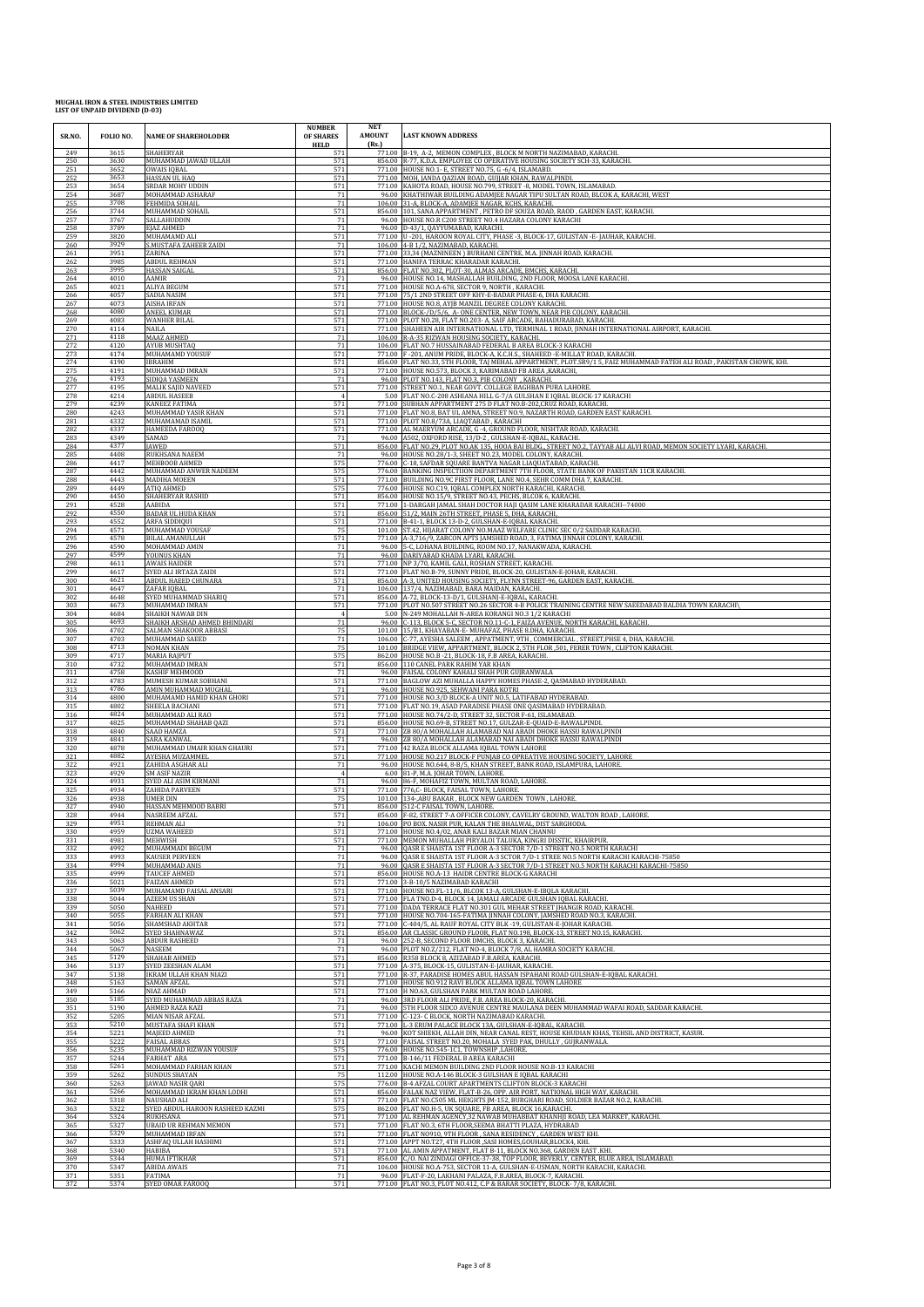| SR.NO.     | FOLIO NO.    | <b>NAME OF SHAREHOLODER</b>              | <b>NUMBER</b><br><b>OF SHARES</b><br><b>HELD</b> | <b>NET</b><br><b>AMOUNT</b><br>(Rs.) | <b>LAST KNOWN ADDRESS</b>                                                                                                                 |
|------------|--------------|------------------------------------------|--------------------------------------------------|--------------------------------------|-------------------------------------------------------------------------------------------------------------------------------------------|
| 249        | 3615         | <b>SHAHERYAR</b>                         | 571                                              |                                      | 771.00 B-19, A-2, MEMON COMPLEX, BLOCK M NORTH NAZIMABAD, KARACHI.                                                                        |
| 250        | 3630         | MUHAMMAD JAWAD ULLAH                     | 571                                              |                                      | 856.00 R-77, K.D.A. EMPLOYEE CO OPERATIVE HOUSING SOCIETY SCH-33, KARACHI.                                                                |
| 251        | 3652         | <b>OWAIS IQBAL</b>                       | 571                                              |                                      | 771.00 HOUSE NO.1- E, STREET NO.75, G -6/4, ISLAMABD.                                                                                     |
| 252        | 3653         | HASSAN UL HAQ                            | 571                                              |                                      | 771.00 MOH, JANDA QAZIAN ROAD, GUJJAR KHAN, RAWALPINDI.                                                                                   |
| 253        | 3654         | <b>SRDAR MOHY UDDIN</b>                  | 571                                              |                                      | 771.00 KAHOTA ROAD, HOUSE NO.799, STREET -8, MODEL TOWN, ISLAMABAD.                                                                       |
| 254        | 3687         | MOHAMMAD ASHARAF                         | 71                                               |                                      | 96.00 KHATHIWAR BUILDING ADAMJEE NAGAR TIPU SULTAN ROAD, BLCOK A, KARACHI, WEST                                                           |
| 255        | 3708         | FEHMIDA SOHAIL                           | 71                                               |                                      | 106.00 31-A, BLOCK-A, ADAMJEE NAGAR, KCHS, KARACHI.                                                                                       |
| 256        | 3744         | MUHAMMAD SOHAII                          | 571                                              |                                      | 856.00 101, SANA APPARTMENT, PETRO DF SOUZA ROAD, RAOD, GARDEN EAST, KARACHI                                                              |
| 257        | 3767         | SALLAHUDDIN                              | 71                                               |                                      | 96.00 HOUSE NO.R C200 STREET NO.4 HAZARA COLONY KARACHI                                                                                   |
| 258        | 3789         | EIAZ AHMED                               | 71                                               |                                      | 96.00 D-43/1, QAYYUMABAD, KARACHI                                                                                                         |
| 259        | 3820         | MUHAMAMD ALI                             | 571                                              |                                      | 771.00 U -201, HAROON ROYAL CITY, PHASE -3, BLOCK-17, GULISTAN -E-JAUHAR, KARACHI.                                                        |
| 260        | 3929         | S.MUSTAFA ZAHEER ZAIDI                   | 71                                               | 106.00                               | 4-B 1/2. NAZIMABAD. KARACHI.                                                                                                              |
| 261        | 3951         | ZARINA                                   | 571                                              | 771.00                               | 33,34 (MAZNINEEN) BURHANI CENTRE, M.A. JINNAH ROAD, KARACHI.                                                                              |
| 262        | 3985         | ABDUL REHMAN                             | 571                                              |                                      | 771.00 HANIFA TERRAC KHARADAR KARACHI.                                                                                                    |
| 263        | 3995         | HASSAN SAIGAL                            | 571                                              |                                      | 856.00 FLAT NO.302, PLOT-30, ALMAS ARCADE, BMCHS, KARACHI.                                                                                |
| 264        | 4010         | AAMIR                                    | 71                                               |                                      | 96.00 HOUSE NO.14, MASHALLAH BUILDING, 2ND FLOOR, MOOSA LANE KARACHI.                                                                     |
| 265        | 4021         | <b>ALIYA BEGUM</b>                       | 571                                              | 771.00                               | 771.00 HOUSE NO.A-678, SECTOR 9, NORTH, KARACHI.                                                                                          |
| 266        | 4057         | SADIA NASIM                              | 571                                              |                                      | 75/1 2ND STREET OFF KHY-E-BADAR PHASE-6, DHA KARACHI.                                                                                     |
| 267        | 4073         | AISHA IRFAN                              | 571                                              |                                      | 771.00 HOUSE NO.8, AYJB MANZIL DEGREE COLONY KARACHI.                                                                                     |
| 268        | 4080         | <b>ANEEL KUMAF</b>                       | 571                                              |                                      | 771.00 BLOCK-/D/5/6, A- ONE CENTER, NEW TOWN, NEAR PIB COLONY, KARACHI.                                                                   |
| 269        | 4083         | WANHER BILAL                             | 571                                              |                                      | 771.00 PLOT NO.28, FLAT NO.203- A, SAIF ARCADE, BAHADURABAD, KARACHI.                                                                     |
| 270        | 4114         | NAILA                                    | 571                                              |                                      | 771.00 SHAHEEN AIR INTERNATIONAL LTD, TERMINAL 1 ROAD, JINNAH INTERNATIONAL AIRPORT, KARACHI.                                             |
| 271        | 4118         | MAAZ AHMED                               | 71                                               |                                      | 106.00 R-A-35 RIZWAN HOUSING SOCIETY, KARACHI.                                                                                            |
| 272        | 4120         | <b>AYUB MUSHTAQ</b>                      | 71                                               |                                      | 106.00 FLAT NO.7 HUSSAINABAD FEDERAL B AREA BLOCK-3 KARACHI                                                                               |
| 273        | 4174         | MUHAMAMD YOUSUF                          | 571                                              |                                      | 771.00 F-201, ANUM PRIDE, BLOCK-A, K.C.H.S., SHAHEED - E-MILLAT ROAD, KARACHI.                                                            |
| 274        | 4190         | <b>IBRAHIM</b>                           | 571                                              |                                      | 856.00 FLAT NO.33, 5TH FLOOR, TAJ MEHAL APPARTMENT, PLOT.SR9/1 5, FAIZ MUHAMMAD FATEH ALI ROAD, PAKISTAN CHOWK, KHI.                      |
| 275        | 4191         | MUHAMMAD IMRAN                           | 571                                              |                                      | 771.00 HOUSE NO.573, BLOCK 3, KARIMABAD FB AREA , KARACHI,                                                                                |
| 276        | 4193         | SIDIQA YASMEEN                           | 71                                               | 96.00                                | PLOT NO.143, FLAT NO.3, PIB COLONY , KARACHI.                                                                                             |
| 277        | 4195         | MALIK SAJID NAVEED                       | 571                                              |                                      | 771.00 STREET NO.1, NEAR GOVT. COLLEGE BAGHBAN PURA LAHORE                                                                                |
| 278        | 4214         | <b>ABDUL HASEEB</b>                      | $\overline{4}$                                   |                                      | 5.00 FLAT NO.C-208 ASHIANA HILL G-7/A GULSHAN E IQBAL BLOCK-17 KARACHI                                                                    |
| 279        | 4239         | <b>KANEEZ FATIMA</b>                     | 571                                              |                                      | 771.00 SUBHAN APPARTMENT 275 D FLAT NO.B-202, CRUZ ROAD, KARACHI.                                                                         |
| 280        | 4243         | MUHAMMAD YASIR KHAN                      | 571                                              |                                      | 771.00 FLAT NO.8, BAT UL AMNA, STREET NO.9, NAZARTH ROAD, GARDEN EAST KARACHI.                                                            |
| 281        | 4332         | MUHAMAMAD ISAMIL                         | 571                                              |                                      | 771.00 PLOT NO.8/73A, LIAQTABAD, KARACHI                                                                                                  |
| 282        | 4337         | HAMEEDA FAROOQ                           | 571                                              | 96.00                                | 771.00 AL MAERYUM ARCADE, G -4, GROUND FLOOR, NISHTAR ROAD, KARACHI.                                                                      |
| 283        | 4349         | SAMAD                                    | 71                                               |                                      | A502, OXFORD RISE, 13/D-2, GULSHAN-E-IQBAL, KARACHI                                                                                       |
| 284        | 4377         | JAWED                                    | 571                                              |                                      | 856.00 FLAT NO.29, PLOT NO.AK 135, HOOA BAI BLDG., STREET NO.2, TAYYAB ALI ALVI ROAD, MEMON SOCIETY LYARI, KARACHI.                       |
| 285        | 4408         | RUKHSANA NAEEM                           | 71                                               |                                      | 96.00 HOUSE NO.28/1-3, SHEET NO.23, MODEL COLONY, KARACHI.                                                                                |
| 286        | 4417         | MEHBOOB AHMED                            | 575                                              | 776.00                               | C-18, SAFDAR SQUARE BANTVA NAGAR LIAQUATABAD, KARACHI.                                                                                    |
| 287        | 4442         | MUHAMMAD ANWER NADEEM                    | 575                                              |                                      | BANKING INSPECTIION DEPARTMENT 7TH FLOOR, STATE BANK OF PAKISTAN 11CR KARACHI.                                                            |
| 288        | 4443         | MADIHA MOEEN                             | 571                                              | 776.00                               | 771.00 BUILDING NO.9C FIRST FLOOR, LANE NO.4, SEHR COMM DHA 7, KARACHI                                                                    |
| 289        | 4449         | ATIQ AHMED                               | 575                                              |                                      | 776.00 HOUSE NO.C19, IQBAL COMPLEX NORTH KARACHI, KARACHI.                                                                                |
| 290        | 4450         | SHAHERYAR RASHID                         | 571                                              |                                      | 856.00 HOUSE NO.15/9, STREET NO.43, PECHS, BLCOK 6, KARACHI.                                                                              |
| 291        | 4528         | AABIDA                                   | 571                                              | 771.00                               | 1-DARGAH JAMAL SHAH DOCTOR HAJI QASIM LANE KHARADAR KARACHI--74000                                                                        |
| 292        | 4550         | <b>BADAR UL HUDA KHAN</b>                | 571                                              | 856.00                               | 51/2, MAIN 26TH STREET, PHASE 5, DHA, KARACHI,                                                                                            |
| 293        | 4552         | ARFA SIDDIQUI                            | 571                                              |                                      | 771.00 B-41-1, BLOCK 13-D-2, GULSHAN-E-IQBAL KARACHI                                                                                      |
| 294        | 4571         | MUHAMMAD YOUSAF                          | 75                                               |                                      | 101.00 ST.42, HIJARAT COLONY NO.MAAZ WELFARE CLINIC SEC 0/2 SADDAR KARACHI.                                                               |
| 295        | 4578         | <b>BILAL AMANULLAH</b>                   | 571                                              | 96.00                                | 771.00 A-3,716/9, ZARCON APTS JAMSHED ROAD, 3, FATIMA JINNAH COLONY, KARACHI.                                                             |
| 296        | 4590         | MOHAMMAD AMIN                            | 71                                               |                                      | 5-C, LOHANA BUILDING, ROOM NO.17, NANAKWADA, KARACHI.                                                                                     |
| 297        | 4599         | YOUNUS KHAN                              | 71                                               |                                      | 96.00 DARIYABAD KHADA LYARI, KARACHI.                                                                                                     |
| 298        | 4611         | <b>AWAIS HAIDER</b>                      | 571                                              |                                      | 771.00 NP 3/70, KAMIL GALI, ROSHAN STREET, KARACHI.                                                                                       |
| 299        | 4617         | SYED ALI IRTAZA ZAIDI                    | 571                                              |                                      | 771.00 FLAT NO.B-79, SUNNY PRIDE, BLOCK-20, GULISTAN-E-JOHAR, KARACHI.                                                                    |
| 300        | 4621         | ABDUL HAEED CHUNARA                      | 571                                              |                                      | 856.00 A-3, UNITED HOUSING SOCIETY, FLYNN STREET-96, GARDEN EAST, KARACHI.                                                                |
| 301        | 4647         | ZAFAR IQBAL                              | 71                                               |                                      | 106.00 137/4, NAZIMABAD, BARA MAIDAN, KARACHI.                                                                                            |
| 302        | 4648         | SYED MUHAMMAD SHARIQ                     | 571                                              |                                      | 856.00 A-72, BLOCK-13-D/1, GULSHANJ-E-IQBAL, KARACHI.                                                                                     |
| 303        | 4673         | MUHAMMAD IMRAN                           | 571                                              |                                      | 771.00 PLOT NO.507 STREET NO.26 SECTOR 4-B POLICE TRAINING CENTRE NEW SAEEDABAD BALDIA TOWN KARACHIV                                      |
| 304        | 4684         | SHAIKH NAWAB DIN                         | $\overline{4}$                                   |                                      | 5.00 N-249 MOHALLAH N-AREA KORANGI NO.3 1/2 KARACHI                                                                                       |
| 305        | 4693         | SHAIKH ARSHAD AHMED BHINDARI             | 71                                               |                                      | 96.00 C-113, BLOCK 5-C, SECTOR NO.11-C-1, FAIZA AVENUE, NORTH KARACHI, KARACHI.                                                           |
| 306        | 4702         | SALMAN SHAKOOR ABBASI                    | 75                                               |                                      | 101.00 15/B1, KHAYABAN-E- MUHAFAZ, PHASE 8.DHA, KARACHI.                                                                                  |
| 307        | 4703         | MUHAMMAD SAEED                           | 71                                               |                                      | 106.00 C-77, AYESHA SALEEM, APPATMENT, 9TH, COMMERCIAL, STREET, PHSE 4, DHA, KARACHI                                                      |
| 308        | 4713         | <b>NOMAN KHAN</b>                        | 75                                               |                                      | 101.00 BRIDGE VIEW, APPARTMENT, BLOCK 2, 5TH FLOR, 501, FERER TOWN, CLIFTON KARACHI.                                                      |
| 309        | 4717         | MARIA RAJPUT                             | 575                                              |                                      | 862.00 HOUSE NO.B -21, BLOCK-18, F.B AREA, KARACHI.                                                                                       |
| 310        | 4732         | MUHAMMAD IMRAN                           | 571                                              |                                      | 856.00 110 CANEL PARK RAHIM YAR KHAN                                                                                                      |
| 311        | 4758         | KASHIF MEHMOOD                           | 71                                               |                                      | 96.00 FAISAL COLONY KAHALI SHAH PUR GUJRANWALA                                                                                            |
| 312        | 4783         | MUMESH KUMAR SOBHAN                      | 571                                              |                                      | 771.00 BAGLOW AZI MUHALLA HAPPY HOMES PHASE-2, QASMABAD HYDERABAD.                                                                        |
| 313        | 4786         | AMIN MUHAMMAD MUGHAL                     | 71                                               |                                      | 96.00 HOUSE NO.925, SEHWANI PARA KOTRI                                                                                                    |
| 314        | 4800         | MUHAMAMD HAMID KHAN GHORI                | 571                                              |                                      | 771.00 HOUSE NO.3/D BLOCK-A UNIT NO.5, LATIFABAD HYDERABAD.                                                                               |
| 315        | 4802         | SHEELA BACHANI                           | 571                                              | 771.00                               | 771.00 FLAT NO.19, ASAD PARADISE PHASE ONE QASIMABAD HYDERABAD.                                                                           |
| 316        | 4824         | MUHAMMAD ALI RAO                         | 571                                              |                                      | HOUSE NO.74/2-D, STREET 32, SECTOR F-61, ISLAMABAD.                                                                                       |
| 317        | 4825         | MUHAMMAD SHAHAB QAZI                     | 571                                              | 856.00                               | HOUSE NO.69-B, STREET NO.17, GULZAR-E-QUAID-E-RAWALPIND                                                                                   |
| 318        | 4840         | SAAD HAMZA                               | 571                                              |                                      | 771.00 ZB 80/A MOHALLAH ALAMABAD NAI ABADI DHOKE HASSU RAWALPINDI                                                                         |
| 319        | 4841         | SARA KANWAI                              | 71                                               |                                      | 96.00 ZB 80/A MOHALLAH ALAMABAD NAI ABADI DHOKE HASSU RAWALPINDI                                                                          |
| 320        | 4878         | MUHAMMAD UMAIR KHAN GHAURI               | 571                                              |                                      | 771.00 42 RAZA BLOCK ALLAMA IQBAL TOWN LAHORE                                                                                             |
| 321        | 4882         | AYESHA MUZAMMEL                          | 571                                              | 771.00                               | HOUSE NO.217 BLOCK-F PUNJAB CO OPREATIVE HOUSING SOCIETY, LAHORE                                                                          |
| 322        | 4921         | ZAHIDA ASGHAR ALI                        | 71                                               | 96.00                                | HOUSE NO.644, 8-B/5, KHAN STREET, BANK ROAD, ISLAMPURA, LAHORE                                                                            |
| 323        | 4929         | <b>SM ASIF NAZIR</b>                     | $\overline{4}$                                   |                                      | 6.00 81-P, M.A. JOHAR TOWN, LAHORE.                                                                                                       |
| 324        | 4931         | SYED ALI ASIM KIRMANI                    | 71                                               |                                      | 96.00 86-F, MOHAFIZ TOWN, MULTAN ROAD, LAHORE.                                                                                            |
| 325        | 4934         | ZAHIDA PARVEEN<br><b>HMER DIN</b>        | 571                                              |                                      | 771.00 776,C- BLOCK, FAISAL TOWN, LAHORE.                                                                                                 |
| 326        | 4938         | HASSAN MEHMOOD BABRI                     | 75                                               | 101.00                               | 134-, ABU BAKAR, BLOCK NEW GARDEN TOWN, LAHORE.                                                                                           |
| 327        | 4940         |                                          | 571                                              | 856.00                               | 512-C FAISAL TOWN, LAHORE.                                                                                                                |
| 328<br>329 | 4944<br>4951 | NASREEM AFZAL<br><b>REHMAN ALI</b>       | 571                                              |                                      | 856.00 F-82, STREET 7-A OFFICER COLONY, CAVELRY GROUND, WALTON ROAD, LAHORE<br>106.00 PO BOX. NASIR PUR, KALAN THE BHALWAL, DIST SARGHOD/ |
| 330        | 4959         | <b>IIZMA WAHEED</b>                      | 571                                              | 771.00                               | 771.00 HOUSE NO.4/02, ANAR KALI BAZAR MIAN CHANNU                                                                                         |
| 331        | 4981         | MEHWISH                                  | 571                                              |                                      | MEMON MUHALLAH PIRYALOI TALUKA, KINGRI DISSTIC, KHAIRPUR                                                                                  |
| 332        | 4992         | MUHAMMADI BEGUM                          | 71                                               |                                      | 96.00 OASR E SHAISTA 1ST FLOOR A-3 SECTOR 7/D-1 STREET NO.5 NORTH KARACHI                                                                 |
| 333        | 4993         | <b>KAUSER PERVEEN</b>                    | 71                                               |                                      | 96.00 OASR E SHAISTA 1ST FLOOR A-3 SCTOR 7/D-1 STREE NO.5 NORTH KARACHI KARACHI-75850                                                     |
| 334        | 4994         | MUHAMMAD ANIS                            | 71                                               |                                      | 96.00 QASR E SHAISTA 1ST FLOOR A-3 SECTOR 7/D-1 STREET NO.5 NORTH KARACHI KARACHI-75850                                                   |
| 335        | 4999         | TAUCEF AHMED                             | 571                                              |                                      | 856.00 HOUSE NO.A-13 HAIDR CENTRE BLOCK-G KARACHI                                                                                         |
| 336        | 5021         | <b>FAIZAN AHMED</b>                      | 571                                              |                                      | 771.00 3-B-10/5 NAZIMABAD KARACHI                                                                                                         |
| 337        | 5039         | MUHAMAMD FAISAL ANSARI                   | 571                                              |                                      | 771.00 HOUSE NO.FL-11/6, BLCOK 13-A, GULSHAN-E-IBOLA KARACHI.                                                                             |
| 338        | 5044         | AZEEM US SHAN                            | 571                                              |                                      | 771.00 FLA TNO.D-4, BLOCK 14, JAMALI ARCADE GULSHAN IQBAL KARACHI                                                                         |
| 339        | 5050         | NAHEED                                   | 571                                              |                                      | 771.00 DADA TERRACE FLAT NO.301 GUL MEHAR STREET JHANGIR ROAD, KARACHI.                                                                   |
| 340        | 5055         | <b>FARHAN ALI KHAN</b>                   | 571                                              |                                      | 771.00 HOUSE NO.704-165-FATIMA JINNAH COLONY, JAMSHED ROAD NO.3, KARACHI.                                                                 |
| 341        | 5056         | SHAMSHAD AKHTAR                          | 571                                              | 771.00                               | C-404/5, AL RAUF ROYAL CITY BLK -19, GULISTAN-E-JOHAR KARACHI.                                                                            |
| 342        | 5062         | SYED SHAHNAWAZ                           | 571                                              |                                      | 856.00 AR CLASSIC GROUND FLOOR, FLAT NO.198, BLOCK-13, STREET NO.15, KARACHI.                                                             |
| 343        | 5063         | ABDUR RASHEED                            | 71                                               |                                      | 96.00 252-B, SECOND FLOOR DMCHS, BLOCK 3, KARACHI.                                                                                        |
| 344        | 5067         | <b>NASEEM</b>                            | 71                                               |                                      | 96.00 PLOT NO.Z/212, FLAT NO-4, BLOCK 7/8, AL HAMRA SOCIETY KARACHI.                                                                      |
| 345        | 5129         | SHAHAB AHMED                             | 571                                              | 771.00                               | 856.00 R358 BLOCK 8, AZIZABAD F.B.AREA, KARACHI.                                                                                          |
| 346        | 5137         | SYED ZEESHAN ALAM                        | 571                                              |                                      | A-375, BLOCK-15, GULISTAN-E-JAUHAR, KARACHI                                                                                               |
| 347        | 5138         | <b>IKRAM ULLAH KHAN NIAZI</b>            | 571                                              |                                      | 771.00 R-37, PARADISE HOMES ABUL HASSAN ISPAHANI ROAD GULSHAN-E-IQBAL KARACHI.                                                            |
| 348        | 5163         | <b>SAMAN AFZAL</b>                       | 571                                              |                                      | 771.00 HOUSE NO.912 RAVI BLOCK ALLAMA IQBAL TOWN LAHORE                                                                                   |
| 349        | 5166         | NIAZ AHMAD                               | 571                                              |                                      | 771.00 H NO.63, GULSHAN PARK MULTAN ROAD LAHORE.                                                                                          |
| 350        | 5185         | SYED MUHAMMAD ABBAS RAZA                 | 71                                               |                                      | 96.00 3RD FLOOR ALI PRIDE, F.B. AREA BLOCK-20, KARACHI.                                                                                   |
| 351        | 5190         | AHMED RAZA KAZI                          | 71                                               | 96.00                                | 5TH FLOOR SIDCO AVENUE CENTRE MAULANA DEEN MUHAMMAD WAFAI ROAD, SADDAR KARACHI.                                                           |
| 352        | 5205         | MIAN NISAR AFZAL                         | 571                                              |                                      | 771.00 C-123- C BLOCK, NORTH NAZIMABAD KARACHI.                                                                                           |
| 353        | 5210         | MUSTAFA SHAFI KHAN                       | 571                                              |                                      | 771.00 L-3 ERUM PALACE BLOCK 13A, GULSHAN-E-IQBAL, KARACHI.                                                                               |
| 354        | 5221         | MAIEED AHMED                             | 71                                               |                                      | 96.00 KOT SHIEKH, ALLAH DIN, NEAR CANAL REST, HOUSE KHUDIAN KHAS, TEHSIL AND DISTRICT, KASUR.                                             |
| 355        | 5222         | <b>FAISAL ARBAS</b>                      | 571                                              |                                      | 771.00 FAISAL STREET NO.20, MOHALA SYED PAK, DHULLY, GUJRANWALA.                                                                          |
| 356        | 5235         | MUHAMMAD RIZWAN YOUSUF                   | 575                                              | 776.00                               | HOUSE NO.545-1C1, TOWNSHIP ,LAHORE.                                                                                                       |
| 357        | 5244         | <b>FARHAT ARA</b>                        | 571                                              |                                      | 771.00 B-146/11 FEDERAL B AREA KARACHI                                                                                                    |
| 358        | 5261         | MOHAMMAD FARHAN KHAN                     | 571                                              |                                      | 771.00 KACHI MEMON BUILDING 2ND FLOOR HOUSE NO.B-13 KARACHI                                                                               |
| 359        | 5262         | <b>SUNDUS SHAYAN</b>                     | 75                                               |                                      | 112.00 HOUSE NO.A-146 BLOCK-3 GULSHAN E IQBAL KARACHI                                                                                     |
| 360        | 5263         | JAWAD NASIR QARI                         | 575                                              |                                      | 776.00 B-4 AFZAL COURT APARTMENTS CLIFTON BLOCK-3 KARACHI                                                                                 |
| 361        | 5266         | MOHAMMAD IKRAM KHAN LODHI                | 571                                              |                                      | 856.00 FALAK NAZ VIEW, FLAT-B-26, OPP. AIR PORT, NATIONAL HIGH WAY, KARACHI.                                                              |
| 362        | 5318         | NAUSHAD ALI                              | 571                                              |                                      | 771.00 FLAT NO.C505 ML HEIGHTS JM-152, BURGHARI ROAD, SOLDIER BAZAR NO.2, KARACHI                                                         |
| 363        | 5322         | SYED ABDUL HAROON RASHEED KAZMI          | 575                                              |                                      | 862.00 FLAT NO.H-5, UK SQUARE, FB AREA, BLOCK 16, KARACHI.                                                                                |
| 364        | 5324         | RUKHSANA<br><b>UBAID UR REHMAN MEMON</b> | 571                                              |                                      | 771.00 AL REHMAN AGENCY, 32 NAWAB MUHABBAT KHANHJI ROAD, LEA MARKET, KARACHI.                                                             |
| 365<br>366 | 5327<br>5329 | MUHAMMAD IRFAN                           | 571<br>571                                       |                                      | 771.00 FLAT NO.3, 6TH FLOOR, SEEMA BHATTI PLAZA, HYDRABAD<br>771.00 FLAT NO910, 9TH FLOOR, SANA RESIDENCY, GARDEN WEST KHI.               |
| 367        | 5333         | ASHFAQ ULLAH HASHIMI                     | 571                                              |                                      | 771.00 APPT NO.T27, 4TH FLOOR , SASI HOMES, GOUHAR, BLOCK4, KHI.                                                                          |
| 368        | 5340         | <b>HABIBA</b>                            | 571                                              |                                      | 771.00 AL AMIN APPATMENT, FLAT B-11, BLOCK NO.368, GARDEN EAST .KHI                                                                       |
| 369        | 5344         | HUMA IFTIKHAR                            | 571                                              |                                      | 856.00 C/O. NAI ZINDAGI OFFICE-37-38, TOP FLOOR, BEVERLY, CENTER, BLUE AREA, ISLAMABAD.                                                   |
| 370        | 5347         | <b>ABIDA AWAIS</b>                       | 71                                               |                                      | 106.00 HOUSE NO.A-753, SECTOR 11-A, GULSHAN-E-USMAN, NORTH KARACHI, KARACHI.                                                              |
| 371        | 5351         | <b>FATIMA</b>                            | 71                                               |                                      | 96.00 FLAT-F-20, LAKHANI PALAZA, F.B.AREA, BLOCK-7, KARACHI.                                                                              |
| 372        | 5374         | SYED OMAR FAROOQ                         | 571                                              |                                      | 771.00 FLAT NO.3, PLOT NO.412, C.P & BARAR SOCIETY, BLOCK-7/8, KARACHI.                                                                   |
|            |              |                                          |                                                  |                                      |                                                                                                                                           |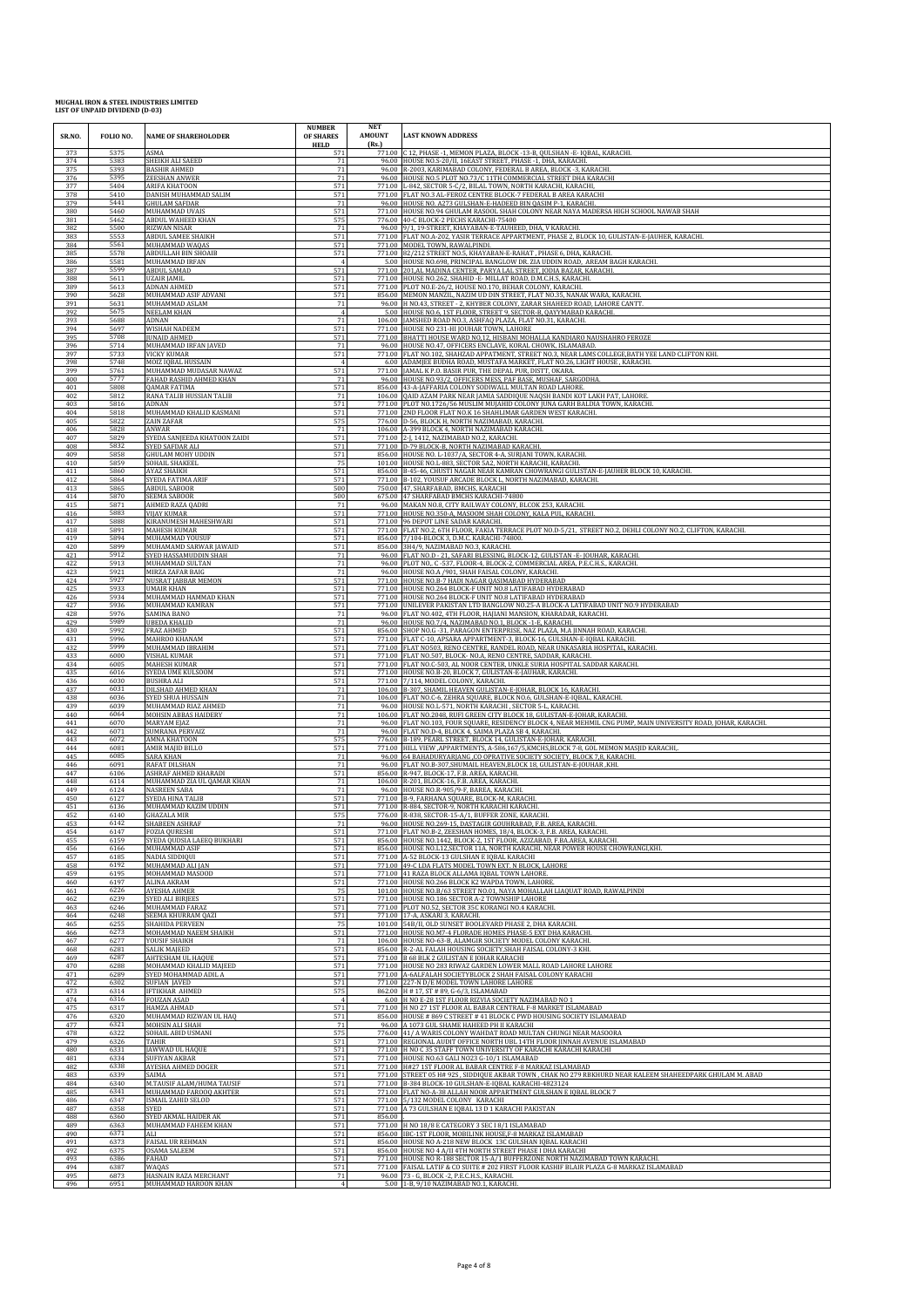| SR.NO.     | FOLIO NO.    | <b>NAME OF SHAREHOLODER</b>               | <b>NUMBER</b><br>OF SHARES<br><b>HELD</b> | <b>NET</b><br>AMOUNT<br>(Rs.) | <b>LAST KNOWN ADDRESS</b>                                                                                                                                   |
|------------|--------------|-------------------------------------------|-------------------------------------------|-------------------------------|-------------------------------------------------------------------------------------------------------------------------------------------------------------|
| 373        | 5375         | ASMA                                      | 571                                       |                               | 771.00 C 12, PHASE -1, MEMON PLAZA, BLOCK -13-B, QULSHAN -E- IQBAL, KARACHI.                                                                                |
| 374        | 5383         | SHEIKH ALI SAEED                          | 71                                        |                               | 96.00 HOUSE NO.S-20/II, 16EAST STREET, PHASE -1, DHA, KARACHI.                                                                                              |
| 375        | 5393         | <b>BASHIR AHMED</b>                       | 71                                        |                               | 96.00 R-2003, KARIMABAD COLONY, FEDERAL B AREA, BLOCK -3, KARACHI.                                                                                          |
| 376        | 5395         | ZEESHAN ANWER                             | 71                                        |                               | 96.00 HOUSE NO.5 PLOT NO.73/C 11TH COMMERCIAL STREET DHA KARACHI                                                                                            |
| 377        | 5404         | <b>ARIFA KHATOON</b>                      | 571                                       |                               | 771.00 L-842, SECTOR 5-C/2, BILAL TOWN, NORTH KARACHI, KARACHI,                                                                                             |
| 378        | 5410         | DANISH MUHAMMAD SALIM                     | 571                                       |                               | 771.00 FLAT NO.3 AL-FEROZ CENTRE BLOCK-7 FEDERAL B AREA KARACHI                                                                                             |
| 379        | 5441         | GHULAM SAFDAR                             | 71                                        |                               | 96.00 HOUSE NO. A273 GULSHAN-E-HADEED BIN QASIM P-1, KARACHI.                                                                                               |
| 380        | 5460         | MUHAMMAD UVAIS                            | 571                                       |                               | 771.00 HOUSE NO.94 GHULAM RASOOL SHAH COLONY NEAR NAYA MADERSA HIGH SCHOOL NAWAB SHAH                                                                       |
| 381        | 5462         | ABDUL WAHEED KHAN                         | 575                                       |                               | 776.00 40-C BLOCK-2 PECHS KARACHI-75400                                                                                                                     |
| 382<br>383 | 5500<br>5553 | <b>RIZWAN NISAR</b>                       | 71<br>571                                 |                               | 96.00 9/1, 19-STREET, KHAYABAN-E-TAUHEED, DHA, V KARACHI.<br>771.00 FLAT NO.A-202, YASIR TERRACE APPARTMENT, PHASE 2, BLOCK 10, GULISTAN-E-JAUHER, KARACHI. |
| 384        | 5561         | ABDUL SAMEE SHAIKH<br>MUHAMMAD WAQAS      | 571                                       |                               | 771.00 MODEL TOWN, RAWALPINDI.                                                                                                                              |
| 385        | 5578         | <b>ABDULLAH BIN SHOAIB</b>                | 571                                       |                               | 771.00 82/212 STREET NO.5, KHAYABAN-E-RAHAT, PHASE 6, DHA, KARACHI.                                                                                         |
| 386        | 5581         | MUHAMMAD IRFAN                            | $\boldsymbol{\Lambda}$                    |                               | 5.00 HOUSE NO.698, PRINCIPAL BANGLOW DR. ZIA UDDIN ROAD, AREAM BAGH KARACHI.                                                                                |
| 387        | 5599         | ABDUL SAMAD                               | 571                                       |                               | 771.00 201, AL MADINA CENTER, PARYA LAL STREET, JODIA BAZAR, KARACHI                                                                                        |
| 388        | 5611         | UZAIR JAMIL                               | 571                                       |                               | 771.00 HOUSE NO.262, SHAHID - E- MILLAT ROAD, D.M.C.H.S, KARACHI.                                                                                           |
| 389        | 5613         | <b>ADNAN AHMED</b>                        | 571                                       |                               | 771.00 PLOT NO.E-26/2, HOUSE NO.170, BEHAR COLONY, KARACHI.                                                                                                 |
| 390        | 5628         | MUHAMMAD ASIF ADVANI                      | 571                                       |                               | 856.00 MEMON MANZIL, NAZIM UD DIN STREET, FLAT NO.35, NANAK WARA, KARACHI.                                                                                  |
| 391        | 5631         | MUHAMMAD ASLAM                            | 71                                        |                               | 96.00 H NO.43, STREET - 2, KHYBER COLONY, ZARAR SHAHEED ROAD, LAHORE CANTT.                                                                                 |
| 392        | 5675         | <b>NEELAM KHAN</b>                        | $\boldsymbol{\Lambda}$                    |                               | 5.00 HOUSE NO.6, 1ST FLOOR, STREET 9, SECTOR-B, QAYYMABAD KARACHI                                                                                           |
| 393        | 5688         | ADNAN                                     | 71                                        |                               | 106.00 JAMSHED ROAD NO.3, ASHFAQ PLAZA, FLAT NO.31, KARACHI.                                                                                                |
| 394        | 5697         | WISHAH NADEEM                             | 571                                       |                               | 771.00 HOUSE NO 231-HI JOUHAR TOWN, LAHORE                                                                                                                  |
| 395        | 5708         | <b>JUNAID AHMED</b>                       | 571                                       |                               | BHATTI HOUSE WARD NO,12, HISBANI MOHALLA KANDIARO NAUSHAHRO FEROZE                                                                                          |
| 396        | 5714         | MUHAMMAD IRFAN JAVED                      | 71                                        | 96.00                         | HOUSE NO.47, OFFICERS ENCLAVE, KORAL CHOWK, ISLAMABAD.                                                                                                      |
| 397        | 5733         | <b>VICKY KUMAR</b>                        | 571                                       |                               | 771.00 FLAT NO.102, SHAHZAD APPATMENT, STREET NO.3, NEAR LAMS COLLEGE, BATH YEE LAND CLIFTON KHI                                                            |
| 398        | 5748         | MOIZ IQBAL HUSSAIN                        | $\mathbf{A}$                              |                               | 6.00 ADAMJEE BUDHA ROAD, MUSTAFA MARKET, FLAT NO.26, LIGHT HOUSE, KARACHI.                                                                                  |
| 399        | 5761         | MUHAMMAD MUDASAR NAWAZ                    | 571                                       |                               | 771.00 JAMAL K P.O. BASIR PUR, THE DEPAL PUR, DISTT, OKARA                                                                                                  |
| 400        | 5777         | FAHAD RASHID AHMED KHAN                   | 71                                        |                               | 96.00 HOUSE NO.93/2, OFFICERS MESS, PAF BASE, MUSHAF, SARGODHA.                                                                                             |
| 401        | 5808         | QAMAR FATIMA                              | 571                                       |                               | 856.00 43-A-JAFFARIA COLONY SODIWALL MULTAN ROAD LAHORE.                                                                                                    |
| 402        | 5812         | RANA TALIB HUSSIAN TALIB                  | 71                                        |                               | 106.00 QAID AZAM PARK NEAR JAMIA SADDIQUE NAQSH BANDI KOT LAKH PAT, LAHORE                                                                                  |
| 403        | 5816         | ADNAN                                     | 571                                       |                               | 771.00 PLOT NO.1726/56 MUSLIM MUJAHID COLONY JUNA GARH BALDIA TOWN, KARACHI.                                                                                |
| 404        | 5818         | MUHAMMAD KHALID KASMANI                   | 571                                       |                               | 771.00 2ND FLOOR FLAT NO.K 16 SHAHLIMAR GARDEN WEST KARACHI.                                                                                                |
| 405        | 5822         | ZAIN ZAFAR                                | 575                                       |                               | 776.00 D-56, BLOCK H, NORTH NAZIMABAD, KARACHI.                                                                                                             |
| 406        | 5828         | ANWAR                                     | 71                                        |                               | 106.00 A-399 BLOCK 4, NORTH NAZIMABAD KARACHI.                                                                                                              |
| 407        | 5829         | SYEDA SANJEEDA KHATOON ZAIDI              | 571                                       |                               | 771.00 2-J, 1412, NAZIMABAD NO.2, KARACHI.                                                                                                                  |
| 408        | 5832         | SYED SAFDAR ALI                           | 571                                       |                               | 771.00 D-79 BLOCK-B, NORTH NAZIMABAD KARACHI                                                                                                                |
| 409        | 5858         | GHULAM MOHY UDDIN                         | 571                                       |                               | 856.00 HOUSE NO. L-1037/A, SECTOR 4-A, SURJANI TOWN, KARACHI.                                                                                               |
| 410        | 5859         | SOHAIL SHAKEEL                            | 75                                        |                               | 101.00 HOUSE NO.L-883, SECTOR 5A2, NORTH KARACHI, KARACHI.                                                                                                  |
| 411        | 5860         | AYAZ SHAIKH                               | 571                                       |                               | 856.00 B-45-46, CHUSTI NAGAR NEAR KAMRAN CHOWRANGI GULISTAN-E-JAUHER BLOCK 10, KARACHI                                                                      |
| 412        | 5864         | SYEDA FATIMA ARIF                         | 571                                       |                               | 771.00 B-102, YOUSUF ARCADE BLOCK L, NORTH NAZIMABAD, KARACHI.                                                                                              |
| 413        | 5865         | ABDUL SABOOR                              | 500                                       |                               | 750.00 47, SHARFABAD, BMCHS, KARACHI                                                                                                                        |
| 414        | 5870         | SEEMA SABOOR                              | 500                                       |                               | 675.00 47 SHARFABAD BMCHS KARACHI-74800                                                                                                                     |
| 415        | 5871         | AHMED RAZA QADRI                          | 71                                        |                               | 96.00 MAKAN NO.8, CITY RAILWAY COLONY, BLCOK 253, KARACHI.                                                                                                  |
| 416        | 5883         | <b>VIJAY KUMAR</b>                        | 571                                       |                               | 771.00 HOUSE NO.350-A, MASOOM SHAH COLONY, KALA PUL, KARACH                                                                                                 |
| 417        | 5888         | KIRANUMESH MAHESHWARI                     | 571                                       |                               | 771.00 96 DEPOT LINE SADAR KARACHI.                                                                                                                         |
| 418        | 5891<br>5894 | <b>MAHESH KUMAR</b>                       | 571                                       |                               | 771.00 FLAT NO.2, 6TH FLOOR, FAKIA TERRACE PLOT NO.D-5/21, STREET NO.2, DEHLI COLONY NO.2, CLIFTON, KARACHI.<br>856.00 7/104-BLOCK 3, D.M.C. KARACHI-74800. |
| 419<br>420 | 5899         | MUHAMMAD YOUSUF<br>MUHAMAMD SARWAR JAWAID | 571<br>571                                |                               | 856.00 3H4/9, NAZIMABAD NO.3, KARACHI.                                                                                                                      |
| 421        | 5912         | SYED HASSAMUDDIN SHAH                     | 71                                        |                               | 96.00 FLAT NO.D - 21, SAFARI BLESSING, BLOCK-12, GULISTAN -E-JOUHAR, KARACHI                                                                                |
| 422        | 5913         | MUHAMMAD SULTAN                           | 71                                        |                               | 96.00 PLOT NO. C -537, FLOOR-4, BLOCK-2, COMMERCIAL AREA, P.E.C.H.S., KARACHI                                                                               |
| 423        | 5921         | MIRZA ZAFAR BAIG                          | 71                                        |                               | 96.00 HOUSE NO.A /901, SHAH FAISAL COLONY, KARACHI.                                                                                                         |
| 424        | 5927         | <b>NUSRAT JABBAR MEMON</b>                | 571                                       |                               | 771.00 HOUSE NO.B-7 HADI NAGAR QASIMABAD HYDERABAD                                                                                                          |
| 425        | 5933         | <b>UMAIR KHAN</b>                         | 571                                       |                               | 771.00 HOUSE NO.264 BLOCK-F UNIT NO.8 LATIFABAD HYDERABAD                                                                                                   |
| 426        | 5934         | MUHAMMAD HAMMAD KHAN                      | 571                                       |                               | 771.00 HOUSE NO.264 BLOCK-F UNIT NO.8 LATIFABAD HYDERABAD                                                                                                   |
| 427        | 5936         | MUHAMMAD KAMRAN                           | 571                                       |                               | 771.00 UNILEVER PAKISTAN LTD BANGLOW NO.25-A BLOCK-A LATIFABAD UNIT NO.9 HYDERABAD                                                                          |
| 428        | 5976         | SAMINA BANO                               | 71                                        |                               | 96.00 FLAT NO.402, 4TH FLOOR, HAJIANI MANSION, KHARADAR, KARACHI.                                                                                           |
| 429        | 5989         | <b>UBEDA KHALID</b>                       | 71                                        |                               | 96.00 HOUSE NO.7/4, NAZIMABAD NO.1, BLOCK -1-E, KARACHI.                                                                                                    |
| 430        | 5992         | <b>FRAZ AHMED</b>                         | 571                                       | 856.00                        | SHOP NO.G -31, PARAGON ENTERPRISE, NAZ PLAZA, M.A JINNAH ROAD, KARACHI.                                                                                     |
| 431        | 5996         | MAHROO KHANAM                             | 571                                       |                               | 771.00 FLAT C-10, APSARA APPARTMENT-3, BLOCK-16, GULSHAN-E-IQBAL KARACHI.                                                                                   |
| 432        | 5999         | MUHAMMAD IBRAHIM                          | 571                                       |                               | 771.00 FLAT NO503, RENO CENTRE, RANDEL ROAD, NEAR UNKASARIA HOSPITAL, KARACHI.                                                                              |
| 433        | 6000         | VISHAL KUMAR                              | 571                                       |                               | 771.00 FLAT NO.507, BLOCK- NO.A, RENO CENTRE, SADDAR, KARACHI.                                                                                              |
| 434        | 6005         | <b>MAHESH KUMAR</b>                       | 571                                       |                               | 771.00 FLAT NO.C-503, AL NOOR CENTER, UNKLE SURIA HOSPITAL SADDAR KARACHI.                                                                                  |
| 435        | 6016         | SYEDA UME KULSOOM                         | 571                                       |                               | 771.00 HOUSE NO.B-20, BLOCK 7, GULISTAN-E-JAUHAR, KARACHI.                                                                                                  |
| 436        | 6030         | <b>BUSHRA ALI</b>                         | 571                                       |                               | 771.00 7/114, MODEL COLONY, KARACHI.                                                                                                                        |
| 437        | 6031         | DILSHAD AHMED KHAN                        | 71                                        |                               | 106.00 B-307, SHAMIL HEAVEN GULISTAN-E-JOHAR, BLOCK 16, KARACHI.                                                                                            |
| 438        | 6036         | SYED SHUA HUSSAIN                         | 71                                        |                               | 106.00 FLAT NO.C-6, ZEHRA SQUARE, BLOCK NO.6, GULSHAN-E-IQBAL, KARACHI.                                                                                     |
| 439        | 6039         | MUHAMMAD RIAZ AHMED                       | 71                                        |                               | 96.00 HOUSE NO.L-571, NORTH KARACHI, SECTOR 5-L, KARACHI.                                                                                                   |
| 440        | 6064         | <b>MOHSIN ABBAS HAIDERY</b>               | 71                                        |                               | 106.00 FLAT NO.2048, RUFI GREEN CITY BLOCK 18, GULISTAN-E-JOHAR, KARACHI.                                                                                   |
| 441        | 6070         | MARYAM EJAZ                               | 71                                        |                               | 96.00 FLAT NO.103, FOUR SQUARE, RESIDENCY BLOCK 4, NEAR MEHMIL CNG PUMP, MAIN UNIVERSITY ROAD, JOHAR, KARACHI                                               |
| 442        | 6071         | SUMRANA PERVAIZ                           | 71                                        |                               | 96.00 FLAT NO.D-4, BLOCK 4, SAIMA PLAZA SB 4, KARACHI.                                                                                                      |
| 443        | 6072         | AMNA KHATOON                              | 575                                       |                               | 776.00 B-189, PEARL STREET, BLOCK 14, GULISTAN-E-JOHAR, KARACHI                                                                                             |
| 444        | 6081         | AMIR MAJID BILLO                          | 571                                       |                               | 771.00 HILL VIEW , APPARTMENTS, A-586, 167/5, KMCHS, BLOCK 7-8, GOL MEMON MASJID KARACHI,                                                                   |
| 445        | 6085         | SARA KHAN                                 | 71                                        |                               | 96.00 64 BAHADURYARJANG ,CO OPRATIVE SOCIETY SOCIETY, BLOCK 7,8, KARACHI.                                                                                   |
| 446        | 6091         | RAFAT DILSHAN                             | 71                                        |                               | 96.00 FLAT NO.B-307, SHUMAIL HEAVEN, BLOCK 18, GULISTAN-E-JOUHAR, KHI.                                                                                      |
| 447        | 6106         | ASHRAF AHMED KHARADI                      | 571                                       |                               | 856.00 R-947, BLOCK-17, F.B. AREA, KARACHI.                                                                                                                 |
| 448        | 6114         | MUHAMMAD ZIA UL QAMAR KHAN                | 71                                        |                               | 106.00 R-201, BLOCK-16, F.B. AREA, KARACHI                                                                                                                  |
| 449        | 6124         | NASREEN SABA                              | 71                                        |                               | 96.00 HOUSE NO.R-905/9-F, BAREA, KARACHI.                                                                                                                   |
| 450        | 6127         | SYEDA HINA TALIB                          | 571                                       |                               | 771.00 B-9, FARHANA SQUARE, BLOCK-M, KARACHI.                                                                                                               |
| 451        | 6136         | MUHAMMAD KAZIM UDDIN                      | 571                                       |                               | 771.00 R-884, SECTOR-9, NORTH KARACHI KARACHI.                                                                                                              |
| 452        | 6140         | <b>GHAZALA MIR</b>                        | 575                                       |                               | 776.00 R-838, SECTOR-15-A/1, BUFFER ZONE, KARACHI.                                                                                                          |
| 453        | 6142         | SHABEEN ASHRAF                            | 71                                        |                               | 96.00 HOUSE NO.269-15, DASTAGIR GOUHRABAD, F.B. AREA, KARACHI                                                                                               |
| 454        | 6147         | FOZIA QURESHI                             | 571                                       |                               | 771.00 FLAT NO.B-2, ZEESHAN HOMES, 18/4, BLOCK-3, F.B. AREA, KARACHI.                                                                                       |
| 455        | 6159         | SYEDA QUDSIA LAEEQ BUKHARI                | 571                                       |                               | 856.00 HOUSE NO.1442, BLOCK-2, 1ST FLOOR, AZIZABAD, F.BA.AREA, KARACHI.                                                                                     |
| 456        | 6166         | MUHAMMAD ASIF                             | 571                                       |                               | 856.00 HOUSE NO.L12, SECTOR 11A, NORTH KARACHI, NEAR POWER HOUSE CHOWRANGI, KHI                                                                             |
| 457        | 6185         | NADIA SIDDIOUI                            | 571                                       |                               | 771.00 A-52 BLOCK-13 GULSHAN E IQBAL KARACHI                                                                                                                |
| 458        | 6192         | MUHAMMAD ALI JAN<br>MOHAMMAD MASOOD       | 571                                       |                               | 771.00 49-C LDA FLATS MODEL TOWN EXT. N BLOCK, LAHORE<br>771.00 41 RAZA BLOCK ALLAMA IQBAL TOWN LAHORE.                                                     |
| 459<br>460 | 6195<br>6197 | ALINA AKRAM                               | 571<br>571                                |                               | 771.00 HOUSE NO.266 BLOCK K2 WAPDA TOWN, LAHORE                                                                                                             |
| 461        | 6226         | AYESHA AHMER                              | 75                                        |                               | 101.00 HOUSE NO.B/63 STREET NO.01, NAYA MOHALLAH LIAQUAT ROAD, RAWALPINDI                                                                                   |
| 462        | 6239         | <b>SYED ALI BIRJEES</b>                   | 571                                       |                               | 771.00 HOUSE NO.186 SECTOR A-2 TOWNSHIP LAHORE                                                                                                              |
| 463        | 6246         | MUHAMMAD FARAZ                            | 571                                       |                               | 771.00 PLOT NO.52, SECTOR 35C KORANGI NO.4 KARACHI                                                                                                          |
| 464        | 6248         | SEEMA KHURRAM QAZI                        | 571                                       |                               | 771.00 17-A, ASKARI 3, KARACHI.                                                                                                                             |
| 465        | 6255         | SHAHIDA PERVEEN                           | 75                                        |                               | 101.00 54B/II, OLD SUNSET BOOLEVARD PHASE 2, DHA KARACHI.                                                                                                   |
| 466        | 6273         | MOHAMMAD NAEEM SHAIKH                     | 571                                       |                               | 771.00 HOUSE NO.M7-4 FLORADE HOMES PHASE-5 EXT DHA KARACHI.                                                                                                 |
| 467        | 6277         | YOUSIF SHAIKH                             | 71                                        |                               | 106.00 HOUSE NO-63-B, ALAMGIR SOCIETY MODEL COLONY KARACHI.                                                                                                 |
| 468        | 6281         | <b>SALIK MAJEED</b>                       | 571                                       |                               | 856.00 R-2-AL FALAH HOUSING SOCIETY SHAH FAISAL COLONY-3 KHI.                                                                                               |
| 469        | 6287         | AHTESHAM UL HAQUE                         | 571                                       |                               | 771.00 B 68 BLK 2 GULISTAN E JOHAR KARACHI                                                                                                                  |
| 470        | 6288         | MOHAMMAD KHALID MAIEED                    | 571                                       |                               | 771.00 HOUSE NO 283 RIWAZ GARDEN LOWER MALL ROAD LAHORE LAHORE                                                                                              |
| 471        | 6289         | SYED MOHAMMAD ADIL A                      | 571                                       |                               | 771.00 A-6ALFALAH SOCIETYBLOCK 2 SHAH FAISAL COLONY KARACHI                                                                                                 |
| 472        | 6302         | SUFIAN JAVED                              | 571                                       |                               | 771.00 227-N D/E MODEL TOWN LAHORE LAHORE                                                                                                                   |
| 473        | 6314         | <b>IFTIKHAR AHMED</b>                     | 575                                       |                               | 862.00 H # 17, ST # 89, G-6/3, ISLAMABAD                                                                                                                    |
| 474        | 6316         | FOUZAN ASAD                               | $\overline{4}$                            |                               | 6.00 H NO E-28 1ST FLOOR RIZVIA SOCIETY NAZIMABAD NO 1                                                                                                      |
| 475        | 6317         | HAMZA AHMAD                               | 571                                       |                               | 771.00 H NO 27 1ST FLOOR AL BABAR CENTRAL F-8 MARKET ISLAMABAD                                                                                              |
| 476        | 6320         | MUHAMMAD RIZWAN UL HAQ                    | 571                                       |                               | 856.00 HOUSE # 869 C STREET # 41 BLOCK C PWD HOUSING SOCIETY ISLAMABAD                                                                                      |
| 477        | 6321         | MOHSIN ALI SHAH                           | 71                                        |                               | 96.00 A 1073 GUL SHAME HAHEED PH II KARACHI                                                                                                                 |
| 478        | 6322         | SOHAIL ABID USMANI                        | 575                                       |                               | 776.00 41/ A WARIS COLONY WAHDAT ROAD MULTAN CHUNGI NEAR MASOORA                                                                                            |
| 479        | 6326         | TAHIR                                     | 571                                       |                               | 771.00 REGIONAL AUDIT OFFICE NORTH UBL 14TH FLOOR JINNAH AVENUE ISLAMABAD                                                                                   |
| 480        | 6331         | JAWWAD UL HAQUE                           | 571                                       |                               | 771.00 H NO C 35 STAFF TOWN UNIVERSITY OF KARACHI KARACHI KARACHI                                                                                           |
| 481        | 6334         | SUFIYAN AKBAR                             | 571                                       |                               | 771.00 HOUSE NO.63 GALI NO23 G-10/1 ISLAMABAD                                                                                                               |
| 482        | 6338         | AYESHA AHMED DOGER                        | 571                                       |                               | 771.00 H#27 1ST FLOOR AL BABAR CENTRE F-8 MARKAZ ISLAMABAD                                                                                                  |
| 483        | 6339         | SAIMA                                     | 571                                       |                               | 771.00 STREET 05 H# 92S, SIDDIQUE AKBAR TOWN, CHAK NO 279 RBKHURD NEAR KALEEM SHAHEEDPARK GHULAM M. ABAD                                                    |
| 484        | 6340         | M.TAUSIF ALAM/HUMA TAUSIF                 | 571                                       |                               | 771.00 B-384 BLOCK-10 GULSHAN-E-IQBAL KARACHI-4823124                                                                                                       |
| 485        | 6341         | MUHAMMAD FAROOQ AKHTER                    | 571                                       |                               | 771.00 FLAT NO-A-38 ALLAH NOOR APPARTMENT GULSHAN E IQBAL BLOCK 7                                                                                           |
| 486        | 6347         | ISMAIL ZAHID SELOD                        | 571                                       |                               | 771.00 5/132 MODEL COLONY KARACHI                                                                                                                           |
| 487<br>488 | 6358<br>6360 | <b>SYED</b><br>SYED AKMAL HAIDER AK       | 571<br>571                                | 856.00                        | 771.00 A 73 GULSHAN E IQBAL 13 D 1 KARACHI PAKISTAN                                                                                                         |
| 489        | 6363         | MUHAMMAD FAHEEM KHAN                      | 571                                       |                               | 771.00 H NO 18/8 E CATEGORY 3 SEC I 8/1 ISLAMABAD                                                                                                           |
| 490        | 6371         | ALI.                                      | 571                                       |                               | 856.00 IBC-1ST FLOOR, MOBILINK HOUSE, F-8 MARKAZ ISLAMABAD                                                                                                  |
| 491        | 6373         | FAISAL UR REHMAN                          | 571                                       |                               | 856.00 HOUSE NO A-218 NEW BLOCK 13C GULSHAN IQBAL KARACHI                                                                                                   |
| 492        | 6375         | <b>OSAMA SALEEM</b>                       | 571                                       |                               | 856.00 HOUSE NO 4 A/II 4TH NORTH STREET PHASE I DHA KARACHI                                                                                                 |
| 493        | 6386         | FAHAD                                     | 571                                       |                               | 771.00 HOUSE NO R-188 SECTOR 15-A/1 BUFFERZONE NORTH NAZIMABAD TOWN KARACHI                                                                                 |
| 494        | 6387         | WAQAS                                     | 571                                       |                               | 771.00 FAISAL LATIF & CO SUITE # 202 FIRST FLOOR KASHIF BLAIR PLAZA G-8 MARKAZ ISLAMABAD                                                                    |
| 495        | 6873         | HASNAIN RAZA MERCHANT                     | 71                                        |                               | 96.00 73 - G, BLOCK - 2, P.E.C.H.S., KARACHI.                                                                                                               |
| 496        | 6951         | MUHAMMAD HAROON KHAN                      | $\overline{4}$                            |                               | 5.00 1-B, 9/10 NAZIMABAD NO.1, KARACHI.                                                                                                                     |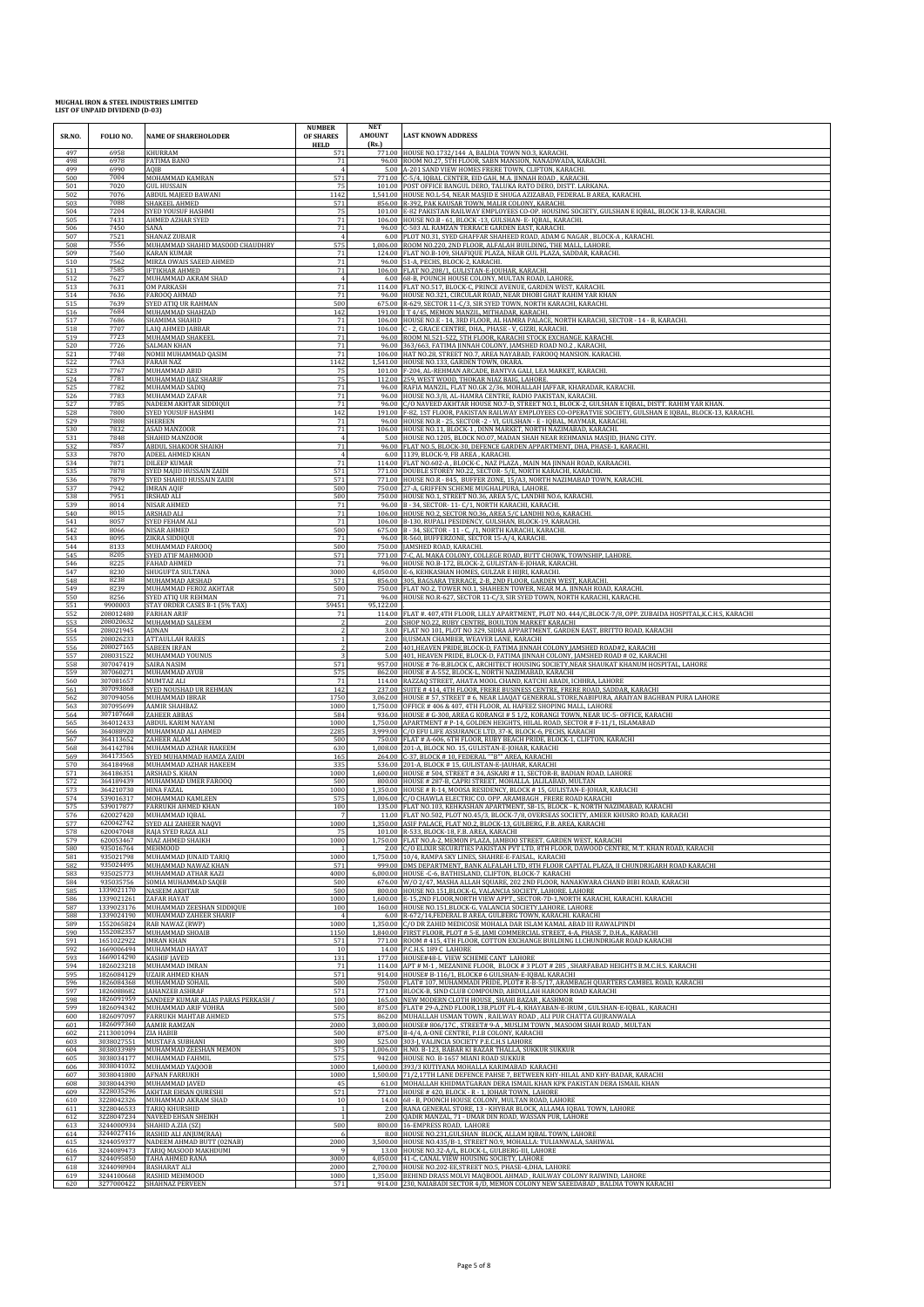| SR.NO.            | FOLIO NO.                | <b>NAME OF SHAREHOLODER</b>                      | <b>NUMBER</b><br>OF SHARES<br><b>HELD</b> | <b>NET</b><br><b>AMOUNT</b><br>(Rs.) | <b>LAST KNOWN ADDRESS</b>                                                                                                                                                       |
|-------------------|--------------------------|--------------------------------------------------|-------------------------------------------|--------------------------------------|---------------------------------------------------------------------------------------------------------------------------------------------------------------------------------|
| 497               | 6958                     | KHURRAM                                          | 571                                       | 771.00                               | HOUSE NO.1732/144 A. BALDIA TOWN NO.3. KARACHI                                                                                                                                  |
| 498               | 6978                     | FATIMA BANO                                      | 71                                        | 96.00                                | ROOM NO.27, 5TH FLOOR, SABN MANSION, NANADWADA, KARACHI.                                                                                                                        |
| 499               | 6990                     | AOIB                                             | $\overline{4}$                            | 5.00                                 | A-201 SAND VIEW HOMES FRERE TOWN, CLIFTON, KARACHI.                                                                                                                             |
| 500               | 7004                     | MOHAMMAD KAMRAN                                  | 571                                       | 771.00                               | C-5/4, IQBAL CENTER, EID GAH, M.A. JINNAH ROAD, KARACHI.                                                                                                                        |
| 501               | 7020                     | <b>GUL HUSSAIN</b>                               | 75                                        | 1,541.00                             | 101.00 POST OFFICE BANGUL DERO, TALUKA RATO DERO, DISTT. LARKANA                                                                                                                |
| 502               | 7076                     | ABDUL MAJEED BAWANI                              | 1142                                      |                                      | HOUSE NO.L-54, NEAR MASJID E SHUGA AZIZABAD, FEDERAL B AREA, KARACHI                                                                                                            |
| 503               | 7088                     | SHAKEEL AHMED                                    | 571                                       |                                      | 856.00 R-392, PAK KAUSAR TOWN, MALIR COLONY, KARACHI.                                                                                                                           |
| 504               | 7204                     | SYED YOUSUF HASHMI                               | 75                                        |                                      | 101.00 E-82 PAKISTAN RAILWAY EMPLOYEES CO-OP. HOUSING SOCIETY, GULSHAN E IQBAL, BLOCK 13-B, KARACHI.                                                                            |
| 505               | 7431                     | AHMED AZHAR SYED                                 | 71                                        | 106.00                               | HOUSE NO.B - 61, BLOCK -13, GULSHAN- E- IQBAL, KARACHI.                                                                                                                         |
| 506               | 7450                     | SANA                                             | 71                                        | 96.00                                | C-503 AL RAMZAN TERRACE GARDEN EAST, KARACHI.                                                                                                                                   |
| 507<br>508        | 7521<br>7556             | SHANAZ ZUBAIR<br>MUHAMMAD SHAHID MASOOD CHAUDHRY | 575                                       | 6.00                                 | PLOT NO.31, SYED GHAFFAR SHAHEED ROAD, ADAM G NAGAR, BLOCK-A, KARACHI.<br>1,006.00 ROOM NO.220, 2ND FLOOR, ALFALAH BUILDING, THE MALL, LAHORE.                                  |
| 509               | 7560                     | KARAN KUMAR                                      | 71                                        | 124.00                               | FLAT NO.B-109, SHAFIQUE PLAZA, NEAR GUL PLAZA, SADDAR, KARACHI                                                                                                                  |
| 510               | 7562                     | MIRZA OWAIS SAEED AHMED                          | 71                                        | 96.00                                | 51-A, PECHS, BLOCK-2, KARACHI.                                                                                                                                                  |
| 511               | 7585                     | <b>IFTIKHAR AHMED</b>                            | 71                                        | 106.00                               | FLAT NO.208/1, GULISTAN-E-JOUHAR, KARACHI.                                                                                                                                      |
| 512               | 7627                     | MUHAMMAD AKRAM SHAD                              |                                           | 6.00                                 | 68-B. POUNCH HOUSE COLONY, MULTAN ROAD, LAHORE                                                                                                                                  |
| 513               | 7631                     | OM PARKASH                                       | 71                                        | 96.00                                | 114.00 FLAT NO.517, BLOCK-C, PRINCE AVENUE, GARDEN WEST, KARACHI.                                                                                                               |
| 514               | 7636                     | FAROOQ AHMAD                                     | 71                                        |                                      | HOUSE NO.321, CIRCULAR ROAD, NEAR DHOBI GHAT RAHIM YAR KHAN                                                                                                                     |
| 515               | 7639                     | SYED ATIQ UR RAHMAN                              | 500                                       | 675.00                               | R-629, SECTOR 11-C/3, SIR SYED TOWN, NORTH KARACHI, KARACHI.                                                                                                                    |
| 516               | 7684                     | MUHAMMAD SHAHZAD                                 | 142                                       | 191.00                               | J T 4/45, MEMON MANZIL, MITHADAR, KARACHI.                                                                                                                                      |
| 517               | 7686                     | SHAMIMA SHAHID                                   | 71                                        | 106.00                               | HOUSE NO.E - 14, 3RD FLOOR, AL HAMRA PALACE, NORTH KARACHI, SECTOR - 14 - B, KARACHI                                                                                            |
| 518               | 7707                     | LAIQ AHMED JABBAR                                | 71                                        |                                      | 106.00 C - 2, GRACE CENTRE, DHA., PHASE - V, GIZRI, KARACHI.                                                                                                                    |
| 519               | 7723                     | MUHAMMAD SHAKEEI                                 | 71                                        | 96.00                                | ROOM NL521-522, 5TH FLOOR, KARACHI STOCK EXCHANGE. KARACHI.                                                                                                                     |
| 520               | 7726                     | SALMAN KHAN                                      | 71                                        | 96.00                                | 363/663, FATIMA JINNAH COLONY, JAMSHED ROAD NO.2, KARACHI,                                                                                                                      |
| 521               | 7748                     | NOMII MUHAMMAD QASIM                             | 71                                        | 106.00                               | HAT NO.28, STREET NO.7, AREA NAYABAD, FAROOQ MANSION. KARACHI                                                                                                                   |
| 522               | 7763                     | <b>FARAH NAZ</b>                                 | 1142                                      | 1,541.00                             | HOUSE NO.133, GARDEN TOWN, OKARA.                                                                                                                                               |
| 523               | 7767                     | MUHAMMAD ABID                                    | 75                                        | 112.00                               | 101.00 F-204, AL-REHMAN ARCADE, BANTVA GALI, LEA MARKET, KARACHI.                                                                                                               |
| 524               | 7781                     | MUHAMMAD IJAZ SHARIF                             | 75                                        |                                      | 259, WEST WOOD, THOKAR NIAZ BAIG, LAHORE.                                                                                                                                       |
| 525               | 7782                     | MUHAMMAD SADIQ                                   | 71                                        | 96.00                                | RAFIA MANZIL, FLAT NO.GK 2/36, MOHALLAH JAFFAR, KHARADAR, KARACHI.                                                                                                              |
| 526               | 7783                     | MUHAMMAD ZAFAR                                   | 71                                        | 96.00                                | HOUSE NO.3/8, AL-HAMRA CENTRE, RADIO PAKISTAN, KARACHI.                                                                                                                         |
| 527               | 7785                     | NADEEM AKHTAR SIDDIQUI                           | 71                                        | 96.00                                | C/O NAVEED AKHTAR HOUSE NO.7-D, STREET NO.1, BLOCK-2, GULSHAN E IQBAL, DISTT. RAHIM YAR KHAN                                                                                    |
| 528               | 7800                     | <b>SYED YOUSUF HASHMI</b>                        | 142                                       |                                      | 191.00 F-82, 1ST FLOOR, PAKISTAN RAILWAY EMPLOYEES CO-OPERATVIE SOCIETY, GULSHAN E IQBAL, BLOCK-13, KARACHI.                                                                    |
| 529               | 7808                     | SHEREEN                                          | $71\,$                                    | 96.00                                | HOUSE NO.R - 25, SECTOR -2 - VI, GULSHAN - E - IQBAL, MAYMAR, KARACHI.                                                                                                          |
| 530               | 7832                     | ASAD MANZOOR                                     | 71                                        | 106.00                               | HOUSE NO.11, BLOCK-1, DINN MARKET, NORTH NAZIMABAD, KARACHI                                                                                                                     |
| 531               | 7848                     | SHAHID MANZOOF                                   | $\mathbf{A}$                              | 5.00                                 | HOUSE NO.1205, BLOCK NO.07, MADAN SHAH NEAR REHMANIA MASJID, JHANG CITY.                                                                                                        |
| 532               | 7857                     | ABDUL SHAKOOR SHAIKH                             | 71                                        | 96.00                                | FLAT NO.5, BLOCK-30, DEFENCE GARDEN APPARTMENT, DHA, PHASE-1, KARACHI                                                                                                           |
| 533               | 7870                     | ADEEL AHMED KHAN                                 | $\mathbf{A}$                              |                                      | 6.00 1139, BLOCK-9, FB AREA, KARACHI.                                                                                                                                           |
| 534               | 7871                     | DILEEP KUMAR                                     | 71                                        |                                      | 114.00 FLAT NO.602-A , BLOCK-C , NAZ PLAZA , MAIN MA JINNAH ROAD, KARAACHI.                                                                                                     |
| 535               | 7878                     | SYED MAJID HUSSAIN ZAIDI                         | 571<br>571                                | 771.00                               | DOUBLE STOREY NO.22, SECTOR- 5/E, NORTH KARACHI, KARACHI                                                                                                                        |
| 536               | 7879                     | SYED SHAHID HUSSAIN ZAID                         |                                           | 771.00                               | HOUSE NO.R - 845, BUFFER ZONE, 15/A3, NORTH NAZIMABAD TOWN, KARACHI                                                                                                             |
| 537               | 7942                     | <b>IMRAN AQIF</b>                                | 500                                       | 750.00                               | 27-A, GRIFFEN SCHEME MUGHALPURA, LAHORE.                                                                                                                                        |
| 538               | 7951                     | <b>IRSHAD ALI</b>                                | 500                                       |                                      | 750.00 HOUSE NO.1, STREET NO.36, AREA 5/C, LANDHI NO.6, KARACHI.                                                                                                                |
| 539               | 8014                     | NISAR AHMED                                      | $71\,$                                    | 106.00                               | 96.00 B - 34, SECTOR- 11- C/1, NORTH KARACHI, KARACHI.                                                                                                                          |
| 540               | 8015                     | ARSHAD ALI                                       | 71                                        |                                      | HOUSE NO.2, SECTOR NO.36, AREA 5/C LANDHI NO.6, KARACHI.                                                                                                                        |
| 541               | 8057                     | SYED FEHAM ALI                                   | 71                                        | 106.00                               | B-130, RUPALI PESIDENCY, GULSHAN, BLOCK-19, KARACHI                                                                                                                             |
| 542               | 8066                     | NISAR AHMED                                      | 500                                       |                                      | 675.00 B - 34, SECTOR - 11 - C, /1, NORTH KARACHI, KARACHI.                                                                                                                     |
| 543               | 8095                     | ZIKRA SIDDIQUI                                   | 71                                        | 750.00                               | 96.00 R-560, BUFFERZONE, SECTOR 15-A/4, KARACHI.                                                                                                                                |
| 544               | 8133                     | MUHAMMAD FAROOQ                                  | 500                                       |                                      | JAMSHED ROAD, KARACHI.                                                                                                                                                          |
| 545               | 8205                     | SYED ATIF MAHMOOD                                | 571                                       | 771.00                               | 7-C, AL MAKA COLONY, COLLEGE ROAD, BUTT CHOWK, TOWNSHIP, LAHORE.                                                                                                                |
| 546               | 8225                     | FAHAD AHMED                                      | 71                                        | 96.00                                | HOUSE NO.B-172, BLOCK-2, GULISTAN-E-JOHAR, KARACHI.                                                                                                                             |
| 547               | 8230                     | SHUGUFTA SULTANA                                 | 3000                                      |                                      | 4,050.00 E-6, KEHKASHAN HOMES, GULZAR E HIJRI, KARACHI.                                                                                                                         |
| 548               | 8238                     | MUHAMMAD ARSHAD                                  | 571                                       |                                      | 856.00 305, BAGSARA TERRACE, 2-B, 2ND FLOOR, GARDEN WEST, KARACHI.                                                                                                              |
| 549               | 8239                     | MUHAMMAD FEROZ AKHTAR                            | 500                                       | 96.00                                | 750.00 FLAT NO.2, TOWER NO.1, SHAHEEN TOWER, NEAR M.A. JINNAH ROAD, KARACHI.                                                                                                    |
| 550               | 8256                     | SYED ATIQ UR REHMAN                              | 71                                        |                                      | HOUSE NO.R-627, SECTOR 11-C/3, SIR SYED TOWN, NORTH KARACHI, KARACHI.                                                                                                           |
| 551               | 9900003                  | STAY ORDER CASES B-1 (5% TAX)                    | 5945                                      | 95,122.00                            | FLAT #. 407,4TH FLOOR, LILLY APARTMENT, PLOT NO. 444/C,BLOCK-7/8, OPP. ZUBAIDA HOSPITAL,K.C.H.S, KARACHI                                                                        |
| 552               | 208012480                | <b>FARHAN ARIF</b>                               | 71                                        | 114.00                               |                                                                                                                                                                                 |
| 553<br>554        | 208020632<br>208021945   | MUHAMMAD SALEEM<br>ADNAN                         | 2                                         |                                      | 2.00 SHOP NO.22, RUBY CENTRE, BOULTON MARKET KARACHI<br>3.00 FLAT NO 101, PLOT NO 329, SIDRA APPARTMENT, GARDEN EAST, BRITTO ROAD, KARACHI                                      |
| 555               | 208026233                | <b>ATTAULLAH RAEES</b>                           |                                           | 2.00                                 | 8,USMAN CHAMBER, WEAVER LANE, KARACHI                                                                                                                                           |
| 556               | 208027165                | SABEEN IRFAN                                     |                                           | 2.00                                 | 401, HEAVEN PRIDE, BLOCK-D, FATIMA JINNAH COLONY, JAMSHED ROAD#2, KARACHI                                                                                                       |
| 557<br>558        | 208031522<br>307047419   | MUHAMMAD YOUNUS<br>SAIRA NASIM                   | 571                                       | 5.00                                 | 401, HEAVEN PRIDE, BLOCK-D, FATIMA JINNAH COLONY, JAMSHED ROAD # 02, KARACHI<br>957.00 HOUSE # 76-B, BLOCK C, ARCHITECT HOUSING SOCIETY, NEAR SHAUKAT KHANUM HOSPITAL, LAHORE   |
| 559               | 307060271                | MUHAMMAD AYUB                                    | 575                                       | 114.00                               | 862.00 HOUSE # A-552, BLOCK-L, NORTH NAZIMABAD, KARACHI                                                                                                                         |
| 560               | 307081657                | MUMTAZ ALI                                       | 7 <sup>2</sup>                            |                                      | RAZZAQ STREET, AHATA MOOL CHAND, KATCHI ABADI, ICHHRA, LAHORE                                                                                                                   |
| 561               | 307093868                | SYED NOUSHAD UR REHMAN                           | 142                                       | 237.00                               | SUITE #414,4TH FLOOR, FRERE BUSINESS CENTRE, FRERE ROAD, SADDAR, KARACHI                                                                                                        |
| 562               | 307094056                | MUHAMMAD IBRAR                                   | 1750                                      | 3.062.00                             | HOUSE # 57, STREET # 6, NEAR LIAQAT GENERRAL STORE, NABIPURA, ARAIYAN BAGHBAN PURA LAHORE                                                                                       |
| 563               | 307095699                | <b>AAMIR SHAHBAZ</b>                             | 1000                                      | 1.750.00                             | OFFICE #406 & 407, 4TH FLOOR, AL HAFEEZ SHOPING MALL, LAHORE                                                                                                                    |
| 564               | 307107668                | ZAHEER ABBAS                                     | 584                                       | 936.00                               | HOUSE # G-300, AREA G KORANGI # 5 1/2, KORANGI TOWN, NEAR UC-5- OFFICE, KARACHI                                                                                                 |
| 565               | 364012433                | <b>ABDUL KARIM NAYANI</b>                        | 1000                                      | 1.750.00                             | APARTMENT # P-14, GOLDEN HEIGHTS, HILAL ROAD, SECTOR # F-11/1, ISLAMABAD                                                                                                        |
| 566               | 364088920                | MUHAMMAD ALI AHMED                               | 2285                                      | 3,999.00                             | C/O EFU LIFE ASSURANCE LTD, 37-K, BLOCK-6, PECHS, KARACHI                                                                                                                       |
| 567               | 364113652                | ZAHEER ALAM                                      | 500                                       |                                      | 750.00 FLAT # A-606, 6TH FLOOR, RUBY BEACH PRIDE, BLOCK-1, CLIFTON, KARACHI                                                                                                     |
| 568               | 364142784                | MUHAMMAD AZHAR HAKEEM                            | 630                                       |                                      | 1,008.00 201-A, BLOCK NO. 15, GULISTAN-E-JOHAR, KARACHI                                                                                                                         |
| 569               | 364173565                | SYED MUHAMMAD HAMZA ZAIDI                        | 165                                       | 536.00                               | 264.00 C-37, BLOCK #10, FEDERAL ""B"" AREA, KARACHI                                                                                                                             |
| 570               | 364184968                | MUHAMMAD AZHAR HAKEEM                            | 335                                       |                                      | 201-A, BLOCK #15, GULISTAN-E-JAUHAR, KARACHI                                                                                                                                    |
| 571               | 364186351                | ARSHAD S. KHAN                                   | 1000                                      | 1,600.00                             | HOUSE # 504, STREET # 34, ASKARI # 11, SECTOR-B, BADIAN ROAD, LAHORE                                                                                                            |
| 572               | 364189439                | MUHAMMAD UMER FAROOQ                             | 500                                       | 800.00                               | HOUSE # 287-B, CAPRI STREET, MOHALLA. JALILABAD, MULTAN                                                                                                                         |
| 573               | 364210730                | <b>HINA FAZAL</b>                                | 1000                                      |                                      | 1,350.00 HOUSE # R-14, MOOSA RESIDENCY, BLOCK # 15, GULISTAN-E-JOHAR, KARACHI                                                                                                   |
| 574               | 539016317                | MOHAMMAD KAMLEEN                                 | 575                                       |                                      | 1,006.00 C/O CHAWLA ELECTRIC CO. OPP. ARAMBAGH, FRERE ROAD KARACHI                                                                                                              |
| 575<br>576        | 539017877<br>620027420   | <b>FARRUKH AHMED KHAN</b><br>MUHAMMAD IQBAL      | 100                                       |                                      | 135.00 FLAT NO.103, KEHKASHAN APARTMENT, SB-15, BLOCK - K, NORTH NAZIMABAD, KARACHI<br>11.00 FLAT NO.502, PLOT NO.45/3, BLOCK-7/8, OVERSEAS SOCIETY, AMEER KHUSRO ROAD, KARACHI |
| 577               | 620042742                | SYED ALI ZAHEER NAQVI                            | 1000                                      |                                      | 1,350.00 ASIF PALACE, FLAT NO.2, BLOCK-13, GULBERG, F.B. AREA, KARACHI                                                                                                          |
| 578               | 620047048                | RAJA SYED RAZA ALI                               | 75                                        |                                      | 101.00 R-533, BLOCK-18, F.B. AREA, KARACHI                                                                                                                                      |
| 579<br>580        | 620053467<br>935016764   | NIAZ AHMED SHAIKH<br><b>MEHMOOD</b>              | 1000                                      | 2.00                                 | 1,750.00 FLAT NO.A-2, MEMON PLAZA, JAMBOO STREET, GARDEN WEST, KARACHI<br>C/O ELIXIR SECURITIES PAKISTAN PVT LTD, 8TH FLOOR, DAWOOD CENTRE, M.T. KHAN ROAD, KARACHI             |
| 581               | 935021798                | MUHAMMAD JUNAID TARIQ                            | 1000                                      | 1.750.00                             | 10/4, RAMPA SKY LINES, SHAHRE-E-FAISAL, KARACHI                                                                                                                                 |
| 582               | 935024495                | MUHAMMAD NAWAZ KHAN                              | 571                                       | 999.00                               | DMS DEPARTMENT, BANK ALFALAH LTD, 8TH FLOOR CAPITAL PLAZA, II CHUNDRIGARH ROAD KARACHI                                                                                          |
| 583               | 935025773                | MUHAMMAD ATHAR KAZI                              | 4000                                      | 6.000.00                             | HOUSE -C-6, BATHISLAND, CLIFTON, BLOCK-7 KARACHI                                                                                                                                |
| 584               | 935035756                | SOMIA MUHAMMAD SAOIB                             | 500                                       |                                      | 676.00 W/O 2/47, MASHA ALLAH SQUARE, 202 2ND FLOOR, NANAKWARA CHAND BIBI ROAD, KARACHI                                                                                          |
| 585               | 1339021170               | <b>NASEEM AKHTAR</b>                             | 500                                       | 800.00                               | HOUSE NO.151, BLOCK-G, VALANCIA SOCIETY, LAHORE. LAHORE                                                                                                                         |
| 586               | 1339021261               | ZAFAR HAYAT                                      | 1000                                      | 1,600.00                             | E-15,2ND FLOOR, NORTH VIEW APPT., SECTOR-7D-1, NORTH KARACHI, KARACHI. KARACHI                                                                                                  |
| 587               | 1339023176               | MUHAMMAD ZEESHAN SIDDIQUE                        | 100                                       | 160.00                               | HOUSE NO.151, BLOCK-G, VALANCIA SOCIETY, LAHORE. LAHORE                                                                                                                         |
| 588               | 1339024190               | MUHAMMAD ZAHEER SHARIF                           | $\overline{4}$                            |                                      | 6.00 R-672/14, FEDERAL B AREA, GULBERG TOWN, KARACHI. KARACHI                                                                                                                   |
| 589               | 1552065824               | RAB NAWAZ (RWP)                                  | 1000                                      | 1,350.00                             | C/O DR ZAHID MEDICOSE MOHALA DAR ISLAM KAMAL ABAD III RAWALPINDI                                                                                                                |
| 590               | 1552082357               | MUHAMMAD SHOAIB                                  | 1150                                      | 1,840.00                             | FIRST FLOOR, PLOT # 5-E, JAMI COMMERCIAL STREET, 4-A, PHASE 7, D.H.A., KARACHI                                                                                                  |
| 591               | 1651022922               | <b>IMRAN KHAN</b>                                | 571                                       | 771.00                               | ROOM #415,4TH FLOOR, COTTON EXCHANGE BUILDING I.I.CHUNDRIGAR ROAD KARACHI                                                                                                       |
| 592               | 1669006494               | MUHAMMAD HAYAT                                   | 10                                        | 14.00                                | P.C.H.S. 189 C LAHORE                                                                                                                                                           |
| 593               | 1669014290<br>1826023218 | <b>KASHIF IAVED</b><br>MUHAMMAD IMRAN            | 131                                       |                                      | 177.00 HOUSE#48-L VIEW SCHEME CANT LAHORE<br>114.00 APT # M-1, MEZANINE FLOOR, BLOCK #3 PLOT #285, SHARFABAD HEIGHTS B.M.C.H.S. KARACHI                                         |
| 594<br>595<br>596 | 1826084129<br>1826084368 | <b>UZAIR AHMED KHAN</b><br>MUHAMMAD SOHAIL       | 71<br>571<br>500                          | 914.00<br>750.00                     | HOUSE# B-116/1, BLOCK# 6 GULSHAN-E-IQBAL KARACHI<br>FLAT# 107, MUHAMMADI PRIDE, PLOT# R-B-5/17, ARAMBAGH QUARTERS CAMBEL ROAD, KARACHI                                          |
| 597               | 1826088682               | JAHANZEB ASHRAF                                  | 571                                       | 771.00                               | BLOCK-B, SIND CLUB COMPOUND, ABDULLAH HAROON ROAD KARACHI                                                                                                                       |
| 598               | 1826091959               | SANDEEP KUMAR ALIAS PARAS PERKASH /              | 100                                       |                                      | 165.00 NEW MODERN CLOTH HOUSE, SHAHI BAZAR, KASHMOR                                                                                                                             |
| 599               | 1826094342               | MUHAMMAD ARIF VOHRA                              | 500                                       | 875.00                               | FLAT# 29-A,2ND FLOOR,13B,PLOT FL-4, KHAYABAN-E-IRUM, GULSHAN-E-IQBAL, KARACHI                                                                                                   |
| 600               | 1826097097               | FARRUKH MAHTAB AHMED                             |                                           | 862.00                               | MUHALLAH USMAN TOWN, RAILWAY ROAD, ALI PUR CHATTA GUJRANWALA                                                                                                                    |
| 601<br>602        | 1826097360               | AAMIR RAMZAN                                     | 575<br>2000<br>500                        | 3,000.00<br>875.00                   | HOUSE# 806/17C, STREET# 9-A, MUSLIM TOWN, MASOOM SHAH ROAD, MULTAN<br>B-4/4, A-ONE CENTRE, P.I.B COLONY, KARACHI                                                                |
| 603               | 2113001094<br>3038027551 | ZIA HABIB<br>MUSTAFA SUBHANI                     | 300                                       | 525.00                               | 303-J, VALINCIA SOCIETY P.E.C.H.S LAHORE                                                                                                                                        |
| 604               | 3038033989               | MUHAMMAD ZEESHAN MEMON                           | 575                                       | 1,006.00                             | H.NO. B-123, BABAR KI BAZAR THALLA, SUKKUR SUKKUR                                                                                                                               |
| 605               | 3038034177               | MUHAMMAD FAHMIL                                  | 575                                       | 942.00                               | HOUSE NO. B-1657 MIANI ROAD SUKKUR                                                                                                                                              |
| 606               | 3038041032               | MUHAMMAD YAQOOB                                  | 1000                                      | 1,600.00                             | 393/3 KUTIYANA MOHALLA KARIMABAD KARACHI                                                                                                                                        |
| 607               | 3038041800               | AFNAN FARRUKH                                    | 1000                                      | 1,500.00                             | 71/2,17TH LANE DEFENCE PAHSE 7, BETWEEN KHY-HILAL AND KHY-BADAR, KARACHI                                                                                                        |
| 608               | 3038044390               | MUHAMMAD JAVED                                   | 45                                        | 771.00                               | 61.00 MOHALLAH KHIDMATGARAN DERA ISMAIL KHAN KPK PAKISTAN DERA ISMAIL KHAN                                                                                                      |
| 609               | 3228035296               | <b>AKHTAR EHSAN QURESHI</b>                      | 571                                       |                                      | HOUSE #420, BLOCK - R - 1, JOHAR TOWN, LAHORE                                                                                                                                   |
| 610               | 3228042326               | MUHAMMAD AKRAM SHAD                              | 10                                        | 14.00                                | 68 - B, POONCH HOUSE COLONY, MULTAN ROAD, LAHORE                                                                                                                                |
| 611               | 3228046533               | TARIQ KHURSHID                                   |                                           | 2.00                                 | RANA GENERAL STORE, 13 - KHYBAR BLOCK, ALLAMA IQBAL TOWN, LAHORE                                                                                                                |
| 612               | 3228047234               | NAVEED EHSAN SHEIKH                              | 500                                       | 2.00                                 | QADIR MANZAL, 71 - UMAR DIN ROAD, WASSAN PUR, LAHORE                                                                                                                            |
| 613               | 3244000934               | SHAHID A.ZIA (SZ)                                |                                           | 800.00                               | 16-EMPRESS ROAD, LAHORE                                                                                                                                                         |
| 614               | 3244027416               | RASHID ALI ANJUM(RAA)                            | - 6                                       | 3,500.00                             | 8.00 HOUSE NO.231, GULSHAN BLOCK, ALLAM IQBAL TOWN, LAHORE                                                                                                                      |
| 615               | 3244059377               | NADEEM AHMAD BUTT (02NAB)                        | 2000                                      |                                      | HOUSE NO.435/B-1, STREET NO.9, MOHALLA: TULIANWALA, SAHIWAL                                                                                                                     |
| 616               | 3244089473               | TARIO MASOOD MAKHDUMI                            | 3000                                      | 13.00                                | HOUSE NO.32-A/L, BLOCK-L, GULBERG-III, LAHORE                                                                                                                                   |
| 617               | 3244095850               | TAHA AHMED RANA                                  |                                           | 4,050.00                             | 41-C, CANAL VIEW HOUSING SOCIETY, LAHORE                                                                                                                                        |
| 618               | 3244098904               | <b>BASHARAT ALI</b>                              | 2000                                      |                                      | 2,700.00 HOUSE NO.202-EE, STREET NO.5, PHASE-4, DHA, LAHORE                                                                                                                     |
| 619               | 3244100668               | RASHID MEHMOOD                                   | 1000                                      |                                      | 1,350.00 BEHIND DRASS MOLVI MAQBOOL AHMAD, RAILWAY COLONY RAIWIND, LAHORE                                                                                                       |
| 620               | 3277000422               | SHAHNAZ PERVEEN                                  | 571                                       |                                      | 914.00 230, NAIABADI SECTOR 4/D, MEMON COLONY NEW SAEEDABAD , BALDIA TOWN KARACHI                                                                                               |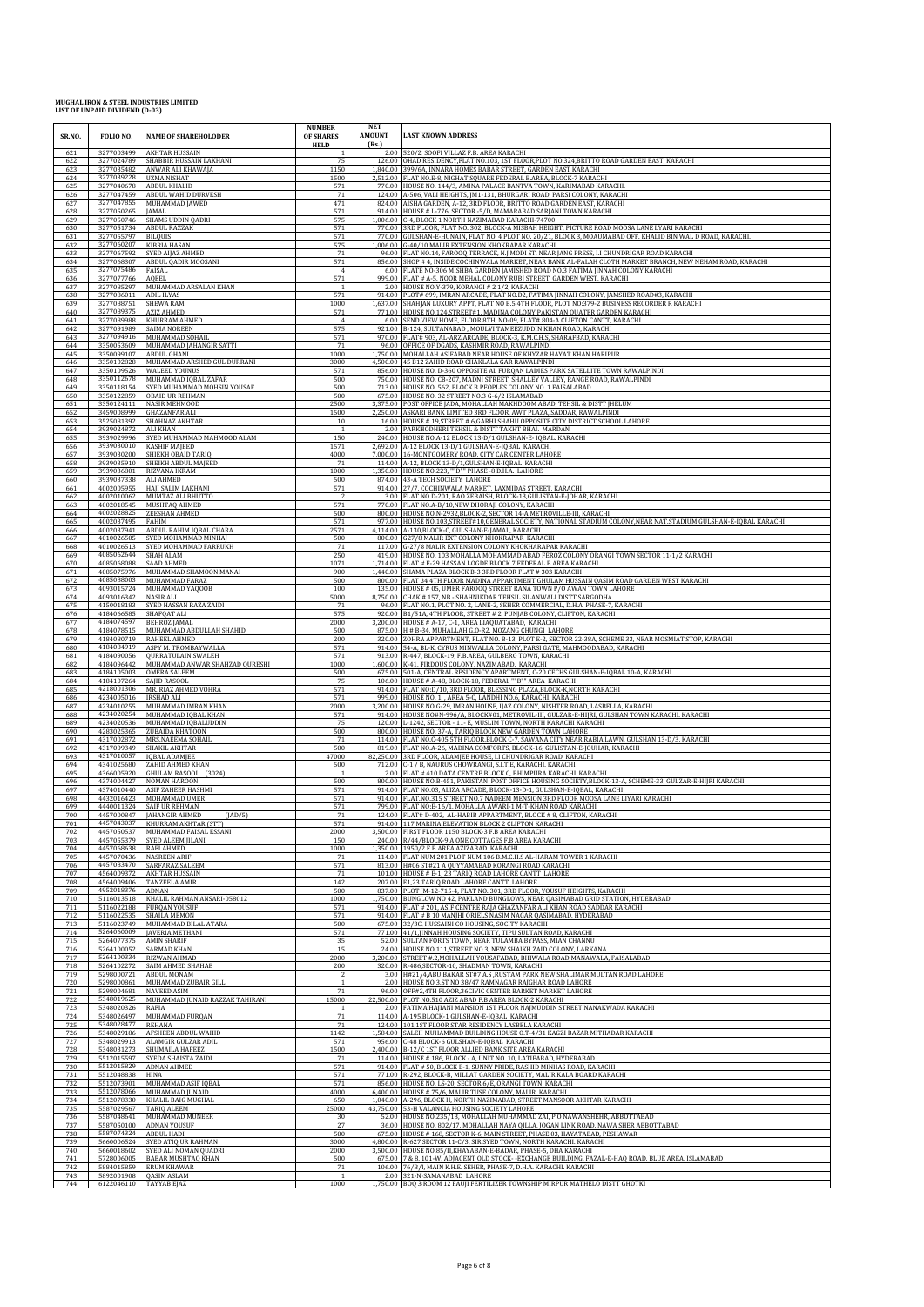| SR.NO.     | FOLIO NO.                            | <b>NAME OF SHAREHOLODER</b>                                                 | <b>NUMBER</b><br>OF SHARES<br><b>HELD</b> | NET<br><b>AMOUNT</b><br>(Rs.) | <b>LAST KNOWN ADDRESS</b>                                                                                                                                                                    |
|------------|--------------------------------------|-----------------------------------------------------------------------------|-------------------------------------------|-------------------------------|----------------------------------------------------------------------------------------------------------------------------------------------------------------------------------------------|
| 621<br>622 | 3277003499<br>3277024789             | <b>AKHTAR HUSSAIN</b><br>SHABBIR HUSSAIN LAKHANI                            |                                           |                               | 2.00 520/2, SOOFI VILLAZ F.B. AREA KARACHI<br>126.00 OHAD RESIDENCY, FLAT NO.103, 1ST FLOOR, PLOT NO.324, BRITTO ROAD GARDEN EAST, KARACHI                                                   |
| 623<br>624 | 3277035482<br>3277039228             | ANWAR ALI KHAWAJA<br><b>UZMA NISHAT</b>                                     | 1150<br>1500                              | 1.840.00<br>2,512.00          | 399/6A, INNARA HOMES BABAR STREET, GARDEN EAST KARACHI<br>FLAT NO.E-8, NIGHAT SQUARE FEDERAL B.AREA, BLOCK-7 KARACHI                                                                         |
| 625        | 3277040678                           | <b>ABDUL KHALID</b>                                                         | 571                                       | 770.00                        | HOUSE NO. 144/3, AMINA PALACE BANTVA TOWN, KARIMABAD KARACHI                                                                                                                                 |
| 626<br>627 | 3277047459<br>3277047855             | ABDUL WAHID DURVESH<br>MUHAMMAD JAWED                                       | 71<br>471                                 |                               | 124.00 A-506, VALI HEIGHTS, JM1-131, BHURGARI ROAD, PARSI COLONY, KARACHI<br>824.00 AISHA GARDEN, A-12, 3RD FLOOR, BRITTO ROAD GARDEN EAST, KARACHI                                          |
| 628<br>629 | 3277050265<br>3277050746             | <b>JAMAL</b><br>SHAMS UDDIN QADRI                                           | 571<br>575                                | 1,006.00                      | 914.00 HOUSE # L-776, SECTOR -5/D, MAMARABAD SARJANI TOWN KARACHI<br>C-4, BLOCK 1 NORTH NAZIMABAD KARACHI-74700                                                                              |
| 630<br>631 | 3277051734<br>3277055797             | <b>ABDUL RAZZAK</b><br><b>BILQUIS</b>                                       | 571<br>571                                | 770.00<br>770.00              | 3RD FLOOR, FLAT NO. 302, BLOCK-A MISBAH HEIGHT, PICTURE ROAD MOOSA LANE LYARI KARACHI<br>GULSHAN-E-HUNAIN, FLAT NO. 4 PLOT NO. 20/21, BLOCK 3, MOAUMABAD OFF. KHALID BIN WAL D ROAD, KARACHI |
| 632<br>633 | 3277060207<br>3277067592             | <b>KIBRIA HASAN</b><br>SYED AIJAZ AHMED                                     | 575<br>71                                 | 96.00                         | 1,006.00 G-40/10 MALIR EXTENSION KHOKRAPAR KARACHI<br>FLAT NO.14, FAROOQ TERRACE, N.J.MODI ST. NEAR JANG PRESS, I.I CHUNDRIGAR ROAD KARACHI                                                  |
| 634<br>635 | 3277068307<br>3277075486             | ABDUL QADIR MOOSANI<br>FAISAL                                               | 571                                       | 856.00<br>6.00                | SHOP # 4, INSIDE COCHINWALA MARKET, NEAR BANK AL-FALAH CLOTH MARKET BRANCH, NEW NEHAM ROAD, KARACHI<br>FLATE NO-306 MISHBA GARDEN JAMISHED ROAD NO.3 FATIMA JINNAH COLONY KARACHI            |
| 636<br>637 | 3277077766<br>3277085297             | AQEEL<br>MUHAMMAD ARSALAN KHAN                                              | 571                                       |                               | 999.00 FLAT # A-5, NOOR MEHAL COLONY RUBI STREET, GARDEN WEST, KARACHI<br>2.00 HOUSE NO.Y-379, KORANGI # 2 1/2, KARACHI                                                                      |
| 638<br>639 | 3277086011<br>3277088751             | <b>ADILILYAS</b><br><b>SHEWA RAM</b>                                        | 571<br>1000                               | 1.637.00                      | 914.00 PLOT# 699, IMRAN ARCADE, FLAT NO.D2, FATIMA JINNAH COLONY, JAMSHED ROAD#3, KARACHI<br>SHAHJAN LUXURY APPT, FLAT NO B.5 4TH FLOOR, PLOT NO:379-2 BUSINESS RECORDER R KARACHI           |
| 640        | 3277089375<br>3277089988             | <b>AZIZ AHMED</b>                                                           | 571                                       | 771.00<br>6.00                | HOUSE NO.124,STREET#1, MADINA COLONY,PAKISTAN QUATER GARDEN KARACHI<br>SEND VIEW HOME, FLOOR 8TH, NO-09, FLAT# 804-A CLIFTON CANTT, KARACHI                                                  |
| 641<br>642 | 3277091989                           | KHURRAM AHMED<br><b>SAIMA NOREEN</b>                                        | 575                                       | 921.00                        | B-124, SULTANABAD, MOULVI TAMEEZUDDIN KHAN ROAD, KARACH                                                                                                                                      |
| 643<br>644 | 3277094916<br>3350053609             | MUHAMMAD SOHAIL<br>MUHAMMAD JAHANGIR SATTI                                  | 571<br>71                                 | 970.00<br>96.00               | FLAT# 903, AL-ARZ ARCADE, BLOCK-3, K.M.C.H.S, SHARAFBAD, KARACHI<br>OFFICE OF DGADS, KASHMIR ROAD, RAWALPINDI                                                                                |
| 645<br>646 | 3350099107<br>3350102828             | <b>ABDUL GHANI</b><br>MUHAMMAD ARSHED GUL DURRANI                           | 1000<br>3000                              | 1.750.00                      | MOHALLAH ASIFABAD NEAR HOUSE OF KHYZAR HAYAT KHAN HARIPUR<br>4,500.00 45 B12 ZAHID ROAD CHAKLALA GAR RAWALPINDI                                                                              |
| 647<br>648 | 3350109526<br>3350112678             | <b>WALEED YOUNUS</b><br>MUHAMMAD IQBAL ZAFAR                                | 571<br>500                                |                               | 856.00 HOUSE NO. D-360 OPPOSITE AL FURQAN LADIES PARK SATELLITE TOWN RAWALPIND<br>750.00 HOUSE NO. CB-207, MADNI STREET, SHALLEY VALLEY, RANGE ROAD, RAWALPINDI                              |
| 649<br>650 | 3350118154<br>3350122859             | SYED MUHAMMAD MOHSIN YOUSAF<br><b>OBAID UR REHMAN</b>                       | 500<br>500                                | 713.00<br>675.00              | HOUSE NO. 562, BLOCK B PEOPLES COLONY NO. 1 FAISALABAD<br>HOUSE NO. 32 STREET NO.3 G-6/2 ISLAMABAD                                                                                           |
| 651<br>652 | 3350124111<br>3459008999             | <b>NASIR MEHMOOD</b><br><b>GHAZANFAR ALI</b>                                | 2500<br>1500                              | 2,250.00                      | 3,375.00 POST OFFICE JADA, MOHALLAH MAKHDOOM ABAD, TEHSIL & DISTT JHELUM<br>ASKARI BANK LIMITED 3RD FLOOR, AWT PLAZA, SADDAR, RAWALPINDI                                                     |
| 653<br>654 | 3525081392<br>3939024872             | SHAHNAZ AKHTAR<br><b>ALI KHAN</b>                                           | 10                                        |                               | 16.00 HOUSE #19, STREET #6, GARHI SHAHU OPPOSITE CITY DISTRICT SCHOOL LAHORE<br>2.00 PARKHODHERI TEHSIL & DISTT TAKHT BHAI. MARDAN                                                           |
| 655<br>656 | 3939029996                           | SYED MUHAMMAD MAHMOOD ALAM                                                  | 150<br>1571                               | 240.00                        | HOUSE NO.A-12 BLOCK 13-D/1 GULSHAN-E- IQBAL. KARACH<br>2,692.00 A-12 BLOCK 13-D/1 GULSHAN-E-IQBAL KARACHI                                                                                    |
| 657        | 3939030200                           | 3939030010 KASHIF MAJEED<br>SHIEKH OBAID TARIQ                              | 4000                                      |                               | 7,000.00 16-MONTGOMERY ROAD, CITY CAR CENTER LAHORE                                                                                                                                          |
| 658<br>659 | 3939036801                           | 3939035910 SHEIKH ABDUL MAJEED<br>RIZVANA IKRAM                             | 71<br>1000                                |                               | 114.00 A-12, BLOCK 13-D/1, GULSHAN-E-IQBAL KARACHI<br>1,350.00 HOUSE NO.223, ""D"" PHASE -8 D.H.A. LAHORE                                                                                    |
| 660<br>661 | 3939037338 ALI AHMED                 | 4002005955 HAJI SALIM LAKHANI                                               | 500<br>571                                |                               | 874.00 43-A TECH SOCIETY LAHORE<br>914.00 27/7, COCHINWALA MARKET, LAXMIDAS STREET, KARACHI                                                                                                  |
| 662<br>663 | 4002010062                           | MUMTAZ ALI BHUTTO<br>4002018545 MUSHTAQ AHMED                               | 571                                       | 3.00                          | FLAT NO.D-201, RAO ZEBAISH, BLOCK-13, GULISTAN-E-JOHAR, KARACHI<br>770.00 FLAT NO.A-B/10, NEW DHORAJI COLONY, KARACHI                                                                        |
| 664<br>665 | 4002028825<br>4002037495             | ZEESHAN AHMED<br>FAHIM                                                      | 500<br>571                                |                               | 800.00 HOUSE NO.N-2932, BLOCK-2, SECTOR 14-A, METROVILLE-III, KARACHI<br>977.00 HOUSE NO.103,STREET#10,GENERAL SOCIETY, NATIONAL STADIUM COLONY,NEAR NAT.STADIUM GULSHAN-E-IQBAL KARACHI     |
| 666<br>667 | 4002037941<br>4010026505             | ABDUL RAHIM IQBAL CHARA<br>SYED MOHAMMAD MINHA                              | 2571<br>500                               |                               | 4,114.00 A-130,BLOCK-C, GULSHAN-E-JAMAL, KARACHI<br>800.00 G27/8 MALIR EXT COLONY KHOKRAPAR KARACHI                                                                                          |
| 668        | 4010026513<br>4085062644             | SYED MOHAMMAD FARRUKH                                                       | 71                                        |                               | 117.00 G-27/8 MALIR EXTENSION COLONY KHOKHARAPAR KARACHI                                                                                                                                     |
| 669<br>670 | 4085068088                           | SHAH ALAM<br><b>SAAD AHMED</b>                                              | 250<br>1071                               |                               | 419.00 HOUSE NO. 103 MOHALLA MOHAMMAD ABAD FEROZ COLONY ORANGI TOWN SECTOR 11-1/2 KARACHI<br>1,714.00 FLAT # F-29 HASSAN LOGDE BLOCK 7 FEDERAL B AREA KARACHI                                |
| 671<br>672 | 4085088003                           | 4085075976 MUHAMMAD SHAMOON MANAI<br>MUHAMMAD FARAZ                         | 900<br>500                                |                               | 1,440.00 SHAMA PLAZA BLOCK B-3 3RD FLOOR FLAT # 303 KARACHI<br>800.00 FLAT 34 4TH FLOOR MADINA APPARTMENT GHULAM HUSSAIN QASIM ROAD GARDEN WEST KARACHI                                      |
| 673<br>674 | 4093016342                           | 4093015724 MUHAMMAD YAQOOB<br>NASIR ALI                                     | 100<br>5000                               | 8,750.00                      | 135.00 HOUSE # 05, UMER FAROOQ STREET RANA TOWN P/O AWAN TOWN LAHORE<br>CHAK # 157, NB - SHAHNIKDAR TEHSIL SILANWALI DISTT SARGODHA                                                          |
| 675<br>676 | 4150018183<br>4184066585 SHAFQAT ALI | SYED HASSAN RAZA ZAIDI                                                      | 71<br>575                                 |                               | 96.00 FLAT NO.1, PLOT NO.2, LANE-2, SEHER COMMERCIAL, D.H.A. PHASE-7, KARACHI<br>920.00 B1/51A, 4TH FLOOR, STREET # 2, PUNJAB COLONY, CLIFTON, KARACHI                                       |
| 677<br>678 | 4184074597                           | <b>BEHROZ JAMAL</b><br>4184078515 MUHAMMAD ABDULLAH SHAHID                  | 2000<br>500                               |                               | 3,200.00 HOUSE # A-17, C-1, AREA LIAQUATABAD, KARACHI<br>875.00 H # B-34, MUHALLAH G.O-R2, MOZANG CHUNGI LAHORE                                                                              |
| 679<br>680 | 4184080719                           | RAHEEL AHMED<br>4184084919 ASPY M. TROMBAYWALLA                             | 200<br>571                                | 320.00<br>914.00              | ZOHRA APPARTMENT, FLAT NO. B-13, PLOT E-2, SECTOR 22-38A, SCHEME 33, NEAR MOSMIAT STOP, KARACHI<br>54-A, BL-K, CYRUS MINWALLA COLONY, PARSI GATE, MAHMOODABAD, KARACHI                       |
| 681<br>682 |                                      | 4184090056  QURRATULAIN SWALEH<br>4184096442 MUHAMMAD ANWAR SHAHZAD QURESHI | 571<br>1000                               |                               | 913.00 R-447, BLOCK-19, F.B.AREA, GULBERG TOWN, KARACHI<br>1,600.00 K-41, FIRDOUS COLONY, NAZIMABAD, KARACHI                                                                                 |
| 683        | 4184107264                           | 4184105003 OMERA SALEEM                                                     | 500<br>75                                 |                               | 675.00 501-A, CENTRAL RESIDENCY APARTMENT, C-20 CECHS GULSHAN-E-IQBAL 10-A, KARACHI<br>106.00 HOUSE # A-48, BLOCK-18, FEDERAL ""B"" AREA KARACHI                                             |
| 684<br>685 | 4218001306                           | SAJID RASOOL<br>MR. RIAZ AHMED VOHRA                                        | 571                                       |                               | 914.00 FLAT NO:D/10, 3RD FLOOR, BLESSING PLAZA, BLOCK-K, NORTH KARACHI                                                                                                                       |
| 686<br>687 | 4234005016 IRSHAD ALI<br>4234010255  | MUHAMMAD IMRAN KHAN                                                         | 571<br>2000                               |                               | 999.00 HOUSE NO. 1, , AREA 5-C, LANDHI NO.6, KARACHI. KARACHI<br>3,200.00 HOUSE NO.G-29, IMRAN HOUSE, IJAZ COLONY, NISHTER ROAD, LASBELLA, KARACHI                                           |
| 688<br>689 | 4234020254<br>4234020536             | MUHAMMAD IQBAL KHAN<br>MUHAMMAD IQBALUDDIN                                  | 571<br>75                                 |                               | 914.00 HOUSE NO#N-996/A, BLOCK#01, METROVIL-III, GULZAR-E-HIJRI, GULSHAN TOWN KARACHI. KARACHI<br>120.00 L-1242, SECTOR - 11- E, MUSLIM TOWN, NORTH KARACHI KARACHI                          |
| 690<br>691 | 4283025365                           | ZUBAIDA KHATOON<br>4317002872 MRS.NAEEMA SOHAII                             | 500<br>71                                 | 800.00                        | HOUSE NO. 37-A, TARIQ BLOCK NEW GARDEN TOWN LAHORE<br>114.00 FLAT NO.C-405,5TH FLOOR,BLOCK C-7, SAWANA CITY NEAR RABIA LAWN, GULSHAN 13-D/3, KARACHI                                         |
| 692<br>693 | 4317009349<br>4317010057             | SHAKIL AKHTAR<br><b>IQBAL ADAMJEE</b>                                       | 500<br>47000                              | 819.00                        | FLAT NO.A-26, MADINA COMFORTS, BLOCK-16, GULISTAN-E-JOUHAR, KARACHI<br>82,250.00 3RD FLOOR, ADAMJEE HOUSE, I.I CHUNDRIGAR ROAD, KARACHI                                                      |
| 694<br>695 | 4341025680<br>4366005920             | ZAHID AHMED KHAN<br>GHULAM RASOOL (3024)                                    | 500                                       |                               | 712.00 C-1 / B, NAURUS CHOWRANGI, S.I.T.E, KARACHI. KARACHI<br>2.00 FLAT # 410 DATA CENTRE BLOCK C, BHIMPURA KARACHI. KARACHI                                                                |
| 696<br>697 |                                      | 4374004427 NOMAN HAROON<br>4374010440 ASIF ZAHEER HASHMI                    | 500<br>571                                |                               | 800.00 HOUSE NO.B-451, PAKISTAN POST OFFICE HOUSING SOCIETY, BLOCK-13-A, SCHEME-33, GULZAR-E-HIJRI KARACHI<br>914.00 FLAT NO.03, ALIZA ARCADE, BLOCK-13-D-1, GULSHAN-E-IQBAL, KARACHI        |
| 698<br>699 |                                      | 4432016423 MOHAMMAD UMER<br>4440011324 SAIF UR REHMAN                       | 571<br>571                                |                               | 914.00 FLAT.NO.315 STREET NO.7 NADEEM MENSION 3RD FLOOR MOOSA LANE LIYARI KARACHI<br>799.00 FLAT NO:E-16/1, MOHALLA AWARI-1 M-T-KHAN ROAD KARACHI                                            |
| 700        | 4457043037                           | 4457000847 JAHANGIR AHMED<br>$($ JAD $/5)$<br>KHURRAM AKHTAR (STT)          | 71                                        |                               | 124.00 FLAT# D-402, AL-HABIB APPARTMENT, BLOCK # 8, CLIFTON, KARACHI                                                                                                                         |
| 701<br>702 | 4457050537                           | MUHAMMAD FAISAL ESSANI                                                      | 57<br>2000                                |                               | 914.00 117 MARINA ELEVATION BLOCK 2 CLIFTON KARACHI<br>3.500.00 FIRST FLOOR 1150 BLOCK-3 F.B AREA KARACHI                                                                                    |
| 703<br>704 | 4457055379<br>4457068638             | SYED ALEEM JILANI<br><b>RAFI AHMED</b>                                      | 150<br>1000                               |                               | 240.00 R/44/BLOCK-9 A ONE COTTAGES F.B AREA KARACHI<br>1,350.00 1950/2 F.B AREA AZIZABAD KARACHI                                                                                             |
| 705<br>706 | 4457070436                           | <b>NASREEN ARIF</b><br>4457083470 SARFARAZ SALEEM                           | 71<br>571                                 |                               | 114.00 FLAT NUM 201 PLOT NUM 106 B.M.C.H.S AL-HARAM TOWER 1 KARACHI<br>813.00 H#06 ST#21 A QUYYAMABAD KORANGI ROAD KARACH                                                                    |
| 707<br>708 | 4564009372<br>4564009406             | <b>AKHTAR HUSSAIN</b><br>TANZEELA AMIR                                      | 71<br>142                                 |                               | 101.00 HOUSE # E-1, 23 TARIO ROAD LAHORE CANTT LAHORE<br>207.00 E1,23 TARIQ ROAD LAHORE CANTT LAHORE                                                                                         |
| 709<br>710 | 4952018376<br>5116013518             | ADNAN<br>KHALIL RAHMAN ANSARI-058012                                        | 500<br>1000                               |                               | 837.00 PLOT [M-12-715-4, FLAT NO. 301, 3RD FLOOR, YOUSUF HEIGHTS, KARACHI<br>1,750.00 BUNGLOW NO 42, PAKLAND BUNGLOWS, NEAR QASIMABAD GRID STATION, HYDERABAD                                |
| 711<br>712 | 5116022535                           | 5116022188 FURQAN YOUSUF<br>SHAILA MEMON                                    | 571<br>571                                |                               | 914.00 FLAT # 201, ASIF CENTRE RAJA GHAZANFAR ALI KHAN ROAD SADDAR KARACHI<br>914.00 FLAT # B 10 MANJHI ORIELS NASIM NAGAR QASIMABAD, HYDERABAD                                              |
| 713<br>714 | 5116023749<br>5264060009             | MUHAMMAD BILAL ATARA<br><b>JAVERIA METHANI</b>                              | 500<br>571                                |                               | 675.00 32/3C, HUSSAINI CO HOUSING, SOCITY KARACHI<br>771.00 41/1.IINNAH HOUSING SOCIETY. TIPU SULTAN ROAD, KARACHI                                                                           |
| 715<br>716 | 5264077375                           | <b>AMIN SHARIF</b><br>5264100052 SARMAD KHAN                                | 35<br>15                                  | 52.00                         | SULTAN FORTS TOWN, NEAR TULAMBA BYPASS, MIAN CHANNU<br>24.00 HOUSE NO.111, STREET NO.3, NEW SHAIKH ZAID COLONY, LARKANA                                                                      |
| 717        | 5264100334                           | RIZWAN AHMAD                                                                | 2000                                      | 3,200.00                      | STREET #.2, MOHALLAH YOUSAFABAD, BHIWALA ROAD, MANAWALA, FAISALABAD                                                                                                                          |
| 718<br>719 | 5264102272<br>5298000721             | SAIM AHMED SHAHAB<br>ABDIII. MONAM                                          | 200<br>2                                  |                               | 320.00 R-486, SECTOR-10, SHADMAN TOWN, KARACHI<br>3.00 H#21/4, ABU BAKAR ST#7 A.S , RUSTAM PARK NEW SHALIMAR MULTAN ROAD LAHORE                                                              |
| 720<br>721 | 5298000861<br>5298004681             | MUHAMMAD ZUBAIR GILL<br><b>NAVEED ASIM</b>                                  | 71                                        | 2.00<br>96.00                 | HOUSE NO 3,ST NO 38/47 RAMNAGAR RAJGHAR ROAD LAHORE<br>OFF#2,4TH FLOOR,36CIVIC CENTER BARKET MARKET LAHORE                                                                                   |
| 722<br>723 | 5348019625<br>5348020326             | MUHAMMAD JUNAID RAZZAK TAHIRANI<br><b>RAFIA</b>                             | 15000                                     |                               | 22,500.00 PLOT NO.510 AZIZ ABAD F.B AREA BLOCK-2 KARACHI<br>2.00 FATIMA HAJIANI MANSION 1ST FLOOR NAJMUDDIN STREET NANAKWADA KARACHI                                                         |
| 724<br>725 | 5348026497<br>5348028477             | MUHAMMAD FURQAN<br>REHANA                                                   | 71<br>71                                  | 124.00                        | 114.00 A-195, BLOCK-1 GULSHAN-E-IQBAL KARACHI<br>101,1ST FLOOR STAR RESIDENCY LASBELA KARACHI                                                                                                |
| 726<br>727 | 5348029186<br>5348029913             | <b>AFSHEEN ABDUL WAHID</b><br>ALAMGIR GULZAR ADIL                           | 1142<br>571                               | 956.00                        | 1,584.00 SALEH MUHAMMAD BUILDING HOUSE O.T-4/31 KAGZI BAZAR MITHADAR KARACHI<br>C-48 BLOCK-6 GULSHAN-E-IQBAL KARACHI                                                                         |
| 728<br>729 | 5348031273<br>5512015597             | SHUMAILA HAFEEZ<br>SYEDA SHAISTA ZAIDI                                      | 1500<br>71                                |                               | 2,400.00 B-12/C 1ST FLOOR ALLIED BANK SITE AREA KARACHI<br>114.00 HOUSE #186, BLOCK - A, UNIT NO. 10, LATIFABAD, HYDERABAD                                                                   |
| 730        | 5512015829                           | ADNAN AHMED                                                                 | 571                                       |                               | 914.00 FLAT # 50, BLOCK E-1, SUNNY PRIDE, RASHID MINHAS ROAD, KARACHI                                                                                                                        |
| 731<br>732 | 5512048838 HINA<br>5512073901        | MUHAMMAD ASIF IQBAL                                                         | 571<br>571                                | 856.00                        | 771.00 R-292, BLOCK-B, MILLAT GARDEN SOCIETY, MALIR KALA BOARD KARACHI<br>HOUSE NO. LS-20, SECTOR 6/E, ORANGI TOWN KARACHI                                                                   |
| 733<br>734 | 5512078066<br>5512078330             | MUHAMMAD JUNAID<br>KHALIL BAIG MUGHAL                                       | 4000<br>650                               |                               | 6,400.00 HOUSE # 75/6, MALIR TUSE COLONY, MALIR KARACHI<br>1,040.00 A-296, BLOCK H, NORTH NAZIMABAD, STREET MANSOOR AKHTAR KARACHI                                                           |
| 735<br>736 | 5587029567<br>5587048641             | TARIQ ALEEM<br>MUHAMMAD MUNEER                                              | 25000<br>30                               | 43.750.00                     | 53-H VALANCIA HOUSING SOCIETY LAHORE<br>52.00 HOUSE NO.235/13, MOHALLAH MUHAMMAD ZAI, P.O NAWANSHEHR, ABBOTTABAD                                                                             |
| 737<br>738 | 5587050100<br>5587074324             | <b>ADNAN YOUSUF</b><br>ABDUL HADI                                           | 27<br>500                                 | 36.00                         | HOUSE NO. 802/17, MOHALLAH NAYA QILLA, JOGAN LINK ROAD, NAWA SHER ABBOTTABAD<br>675.00 HOUSE #168, SECTOR K-6, MAIN STREET, PHASE 03, HAYATABAD, PESHAWAR                                    |
| 739<br>740 | 5660006524<br>5660018602             | SYED ATIQ UR RAHMAN<br>SYED ALI NOMAN QUADRI                                | 3000<br>2000                              | 3,500.00                      | 4,800.00 R-627 SECTOR 11-C/3, SIR SYED TOWN, NORTH KARACHI. KARACHI<br>HOUSE NO.85/II, KHAYABAN-E-BADAR, PHASE-5, DHA KARACHI                                                                |
| 741<br>742 | 5728006005<br>5884015859             | <b>BABAR MUSHTAQ KHAN</b><br><b>ERUM KHAWAR</b>                             | 500<br>71                                 | 106.00                        | 675.00 7 & 8, 101-W, ADJACENT OLD STOCK--EXCHANGE BUILDING, FAZAL-E-HAQ ROAD, BLUE AREA, ISLAMABAD<br>76/B/I, MAIN K.H.E. SEHER, PHASE-7, D.H.A. KARACHI. KARACHI                            |
| 743<br>744 | 6122046110 TAYYAB EJAZ               | 5892001908   QASIM ASLAM                                                    | 1000                                      |                               | 2.00 321-N-SAMANABAD LAHORE<br>1,750.00 BOQ 3 ROOM 12 FAUJI FERTILIZER TOWNSHIP MIRPUR MATHELO DISTT GHOTKI                                                                                  |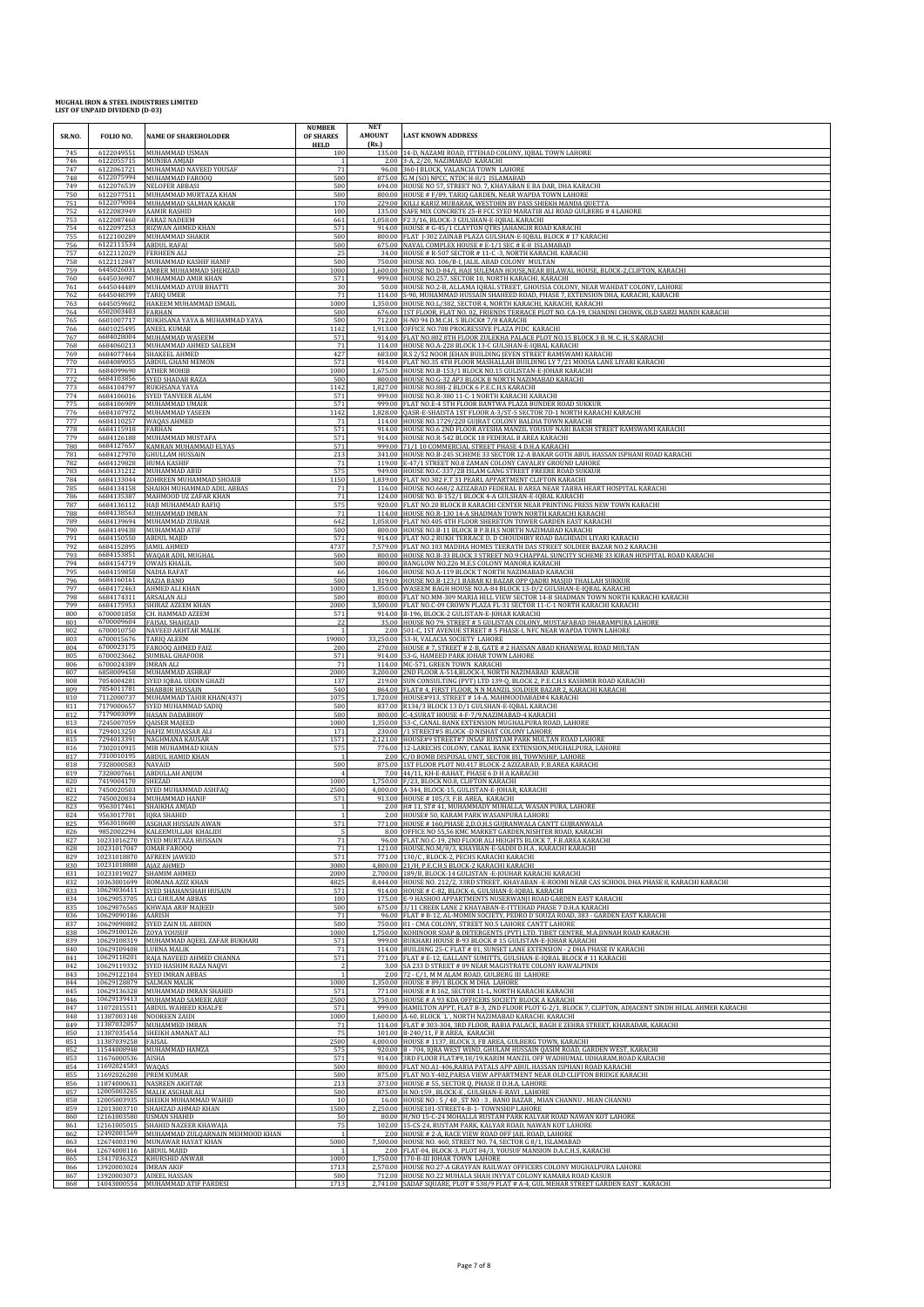| SR.NO.     | FOLIO NO.                                   | <b>NAME OF SHAREHOLODER</b>                                                       | <b>NUMBER</b><br>OF SHARES<br><b>HELD</b> | <b>NET</b><br><b>AMOUNT</b><br>(Rs.) | <b>LAST KNOWN ADDRESS</b>                                                                                                                                                                                                    |
|------------|---------------------------------------------|-----------------------------------------------------------------------------------|-------------------------------------------|--------------------------------------|------------------------------------------------------------------------------------------------------------------------------------------------------------------------------------------------------------------------------|
| 745<br>746 | 6122049551<br>6122055715                    | MUHAMMAD USMAN<br>MUNIBA AMJAD                                                    | 100                                       |                                      | 135.00 14-D, NAZAMI ROAD, ITTEHAD COLONY, IQBAL TOWN LAHORE<br>2.00 3-A, 2/20, NAZIMABAD KARACHI                                                                                                                             |
| 747        | 6122061721                                  | MUHAMMAD NAVEED YOUSAF                                                            | 71                                        |                                      | 96.00 360-J BLOCK, VALANCIA TOWN LAHORE                                                                                                                                                                                      |
| 748<br>749 | 6122075994<br>6122076539                    | MUHAMMAD FAROOQ<br><b>NELOFER ABBASI</b>                                          | 500<br>500                                |                                      | 875.00 G.M (SO) NPCC, NTDC H-8/1 ISLAMABAD<br>694.00 HOUSE NO 57, STREET NO. 7, KHAYABAN E BA DAR, DHA KARACHI                                                                                                               |
| 750<br>751 | 6122077511<br>6122079004                    | MUHAMMAD MURTAZA KHAN<br>MUHAMMAD SALMAN KAKAR                                    | 500<br>170                                | 800.00                               | HOUSE # F/89, TARIQ GARDEN, NEAR WAPDA TOWN LAHORE<br>229.00 KILLI KARIZ MUBARAK, WESTORN BY PASS SHIEKH MANDA QUETTA                                                                                                        |
| 752<br>753 | 6122083949<br>6122087460                    | <b>AAMIR RASHID</b><br><b>FARAZ NADEEM</b>                                        | 100<br>661                                | 135.00                               | SAFE MIX CONCRETE 25-B FCC SYED MARATIB ALI ROAD GULBERG # 4 LAHORE<br>1,058.00 F2 3/16, BLOCK-3 GULSHAN-E-IQBAL KARACHI                                                                                                     |
| 754<br>755 | 6122097253<br>6122100289                    | <b>RIZWAN AHMED KHAN</b><br>MUHAMMAD SHAKIR                                       | 571<br>500                                |                                      | 914.00 HOUSE # G-45/1 CLAYTON OTRS JAHANGIR ROAD KARACHI<br>800.00 FLAT J-302 ZAINAB PLAZA GULSHAN-E-IQBAL BLOCK # 17 KARACHI                                                                                                |
| 756<br>757 | 6122111534<br>6122112029                    | ABDUL RAFAI<br><b>FERHEEN ALI</b>                                                 | 500<br>25                                 |                                      | 675.00 NAVAL COMPLEX HOUSE # E-1/1 SEC # E-8 ISLAMABAD<br>34.00 HOUSE # R-507 SECTOR # 11-C -3, NORTH KARACHI. KARACHI                                                                                                       |
| 758<br>759 | 6122112847<br>6445026031                    | MUHAMMAD KASHIF HANIF                                                             | 500                                       |                                      | 750.00 HOUSE NO. 106/B-I, JALIL ABAD COLONY MULTAN                                                                                                                                                                           |
| 760        | 6445036907                                  | AMBER MUHAMMAD SHEHZA<br>MUHAMMAD AMIR KHAN                                       | 1000<br>571                               | 999.00                               | 1,600.00 HOUSE NO.D-84/I, HAJI SULEMAN HOUSE, NEAR BILAWAL HOUSE, BLOCK-2, CLIFTON, KARACHI<br>HOUSE NO.257, SECTOR 10, NORTH KARACHI, KARACHI                                                                               |
| 761<br>762 | 6445044489<br>6445048399                    | MUHAMMAD AYUB BHATTI<br><b>TARIO UMER</b>                                         | 30<br>71                                  | 114.00                               | 50.00 HOUSE NO.2-B, ALLAMA IQBAL STREET, GHOUSIA COLONY, NEAR WAHDAT COLONY, LAHORE<br>S-90, MUHAMMAD HUSSAIN SHAHEED ROAD, PHASE 7, EXTENSION DHA, KARACHI, KARACHI                                                         |
| 763<br>764 | 6445059602<br>6502003403                    | HAKEEM MUHAMMAD ISMAIL<br><b>FARHAN</b>                                           | 1000<br>500                               | 1.350.00<br>676.00                   | HOUSE NO.L/382, SECTOR 4, NORTH KARACHI, KARACHI, KARACHI<br>1ST FLOOR, FLAT NO. 02, FRIENDS TERRACE PLOT NO. CA-19, CHANDNI CHOWK, OLD SABZI MANDI KARACHI                                                                  |
| 765<br>766 | 6601007717<br>6601025495                    | RUKHSANA YAYA & MUHAMMAD YAYA<br>ANEEL KUMAR                                      | 500<br>1142                               | 712.00                               | H-NO 94 D.M.C.H. S BLOCK# 7/8 KARACHI<br>1,913.00 OFFICE NO.708 PROGRESSIVE PLAZA PIDC KARACHI                                                                                                                               |
| 767<br>768 | 6684028004<br>6684060213                    | MUHAMMAD WASEEM<br>MUHAMMAD AHMED SALEEM                                          | 571<br>71                                 | 114.00                               | 914.00 FLAT NO.802 8TH FLOOR ZULEKHA PALACE PLOT NO.15 BLOCK 3 B. M. C. H. S KARACHI<br>HOUSE NO.A-228 BLOCK 13-C GULSHAN-E-IQBAL KARACHI                                                                                    |
| 769<br>770 | 6684077464<br>6684089055                    | SHAKEEL AHMED<br>ABDUL GHANI MEMON                                                | 427<br>571                                | 914.00                               | 683.00 R.S 2/52 NOOR JEHAN BUILDING JEVEN STREET RAMSWAMI KARACHI<br>FLAT NO.35 4TH FLOOR MASHALLAH BUILDING LY 7/21 MOOSA LANE LIYARI KARACHI                                                                               |
| 771        | 6684099690                                  | <b>ATHER MOHIB</b>                                                                | 1000                                      |                                      | 1,675.00 HOUSE NO.B-153/1 BLOCK NO.15 GULISTAN-E-JOHAR KARACHI                                                                                                                                                               |
| 772<br>773 | 6684103856<br>6684104797                    | SYED SHADAB RAZA<br>RUKHSANA YAYA                                                 | 500<br>1142                               | 1.827.00                             | 800.00 HOUSE NO.G-32 AP3 BLOCK B NORTH NAZIMABAD KARACHI<br>HOUSE NO.88J-2 BLOCK 6 P.E.C.H.S KARACHI                                                                                                                         |
| 774<br>775 | 6684106016<br>6684106909                    | SYED TANVEER ALAM<br>MUHAMMAD UMAIR                                               | 571<br>571                                | 999.00                               | HOUSE NO.R-380 11-C-1 NORTH KARACHI KARACHI<br>999.00 FLAT NO.E-4 5TH FLOOR BANTWA PLAZA BUNDER ROAD SUKKUF                                                                                                                  |
| 776<br>777 | 6684107972<br>6684110257                    | MUHAMMAD YASEEN<br>WAQAS AHMED                                                    | 1142<br>71                                |                                      | 1,828.00 QASR-E-SHAISTA 1ST FLOOR A-3/ST-5 SECTOR 7D-1 NORTH KARACHI KARACHI<br>114.00 HOUSE NO.1729/220 GUJRAT COLONY BALDIA TOWN KARACHI                                                                                   |
| 778<br>779 | 6684115918<br>6684126188                    | FARHAN<br>MUHAMMAD MUSTAFA                                                        | 571<br>571                                | 914.00                               | HOUSE NO.6 2ND FLOOR AYESHA MANZIL YOUSUF NABI BAKSH STREET RAMSWAMI KARACHI<br>914.00 HOUSE NO.R-542 BLOCK 18 FEDERAL B AREA KARACHI                                                                                        |
| 780<br>781 | 6684127657<br>6684127970                    | KAMRAN MUHAMMAD ELYAS<br><b>GHULLAM HUSSAIN</b>                                   | 571<br>213                                | 999.00                               | 71/1 10 COMMERCIAL STREET PHASE 4 D.H.A KARACHI<br>341.00 HOUSE NO.B-245 SCHEME 33 SECTOR 12-A BAKAR GOTH ABUL HASSAN ISPHANI ROAD KARACHI                                                                                   |
| 782        | 6684131212                                  | 6684129828 HUMA KASHIF                                                            | 71<br>575                                 | 949.00                               | 119.00 E-47/1 STREET NO.8 ZAMAN COLONY CAVALRY GROUND LAHORE                                                                                                                                                                 |
| 783<br>784 | 6684133044                                  | MUHAMMAD ABID<br>ZOHREEN MUHAMMAD SHOAIB<br>6684134158 SHAIKH MUHAMMAD ADIL ABBAS | 1150                                      |                                      | HOUSE NO.C-337/2B ISLAM GANG STREET FREERE ROAD SUKKUR<br>1,839.00 FLAT NO.302 F.T 31 PEARL APPARTMENT CLIFTON KARACHI                                                                                                       |
| 785<br>786 | 6684135387                                  | MAHMOOD UZ ZAFAR KHAN                                                             | 71<br>71                                  |                                      | 116.00 HOUSE NO.668/2 AZIZABAD FEDERAL B AREA NEAR TABBA HEART HOSPITAL KARACHI<br>124.00 HOUSE NO. B-152/1 BLOCK 4-A GULSHAN-E-IQBAL KARACHI                                                                                |
| 787<br>788 | 6684136112<br>6684138563                    | HAJI MUHAMMAD RAFIQ<br>MUHAMMAD IMRAN                                             | 575<br>71                                 | 114.00                               | 920.00 FLAT NO.20 BLOCK B KARACHI CENTER NEAR PRINTING PRESS NEW TOWN KARACHI<br>HOUSE NO.R-130 14-A SHADMAN TOWN NORTH KARACHI KARACHI                                                                                      |
| 789<br>790 | 6684139694<br>6684149438                    | MUHAMMAD ZUBAIR<br>MUHAMMAD ATIF                                                  | 642<br>500                                |                                      | 1,058.00 FLAT NO.405 4TH FLOOR SHERETON TOWER GARDEN EAST KARACHI<br>800.00 HOUSE NO.B-11 BLOCK B P.B.H.S NORTH NAZIMABAD KARACHI                                                                                            |
| 791<br>792 | 6684150550<br>6684152895                    | <b>ABDUL MAJID</b><br><b>JAMIL AHMED</b>                                          | 571<br>4737                               |                                      | 914.00 FLAT NO.2 RUKH TERRACE D. D CHOUDHRY ROAD BAGHDADI LIYARI KARACHI<br>7,579.00 FLAT NO.103 MADIHA HOMES TEERATH DAS STREET SOLDIER BAZAR NO.2 KARACHI                                                                  |
| 793<br>794 | 6684153851<br>6684154719                    | WAQAR ADIL MUGHAL<br><b>OWAIS KHALIL</b>                                          | 500<br>500                                | 800.00                               | HOUSE NO.B-33 BLOCK 3 STREET NO.9 CHAPPAL SUNCITY SCHEME 33 KIRAN HOSPITAL ROAD KARACHI<br>800.00 BANGLOW NO.226 M.E.S COLONY MANORA KARACHI                                                                                 |
| 795<br>796 | 6684159858<br>6684160161                    | <b>NADIA RAFAT</b>                                                                | 66<br>500                                 |                                      | 106.00 HOUSE NO.A-119 BLOCK T NORTH NAZIMABAD KARACHI                                                                                                                                                                        |
| 797        | 6684172463                                  | RAZIA BANO<br>AHMED ALI KHAN                                                      | 1000                                      | 1,350.00                             | 819.00 HOUSE NO.B-123/1 BABAR KI BAZAR OPP QADRI MASJID THALLAH SUKKUR<br>WASEEM BAGH HOUSE NO.A-84 BLOCK 13-D/2 GULSHAN-E-IQBAL KARACHI                                                                                     |
| 798<br>799 | 6684174311<br>6684175953                    | <b>ARSALAN ALI</b><br>SHIRAZ AZEEM KHAN                                           | 500<br>2000                               | 800.00<br>3.500.00                   | FLAT NO.MM-309 MARIA HILL VIEW SECTOR 14-B SHADMAN TOWN NORTH KARACHI KARACHI<br>FLAT NO.C-09 CROWN PLAZA FL-31 SECTOR 11-C-1 NORTH KARACHI KARACHI                                                                          |
| 800<br>801 | 6700001858                                  | CH. HAMMAD AZEEM<br>6700009604 FAISAL SHAHZAD                                     | 571<br>22                                 |                                      | 914.00 B-196, BLOCK-2 GULISTAN-E-JOHAR KARACHI<br>35.00 HOUSE NO 79, STREET # 5 GULISTAN COLONY, MUSTAFABAD DHARAMPURA LAHORE                                                                                                |
| 802<br>803 | 6700015676                                  | 6700010750 NAVEED AKHTAR MALIK<br>TARIQ ALEEM                                     | $\overline{1}$<br>19000                   | 2.00<br>33,250.00                    | 501-C, 1ST AVENUE STREET # 5 PHASE-I, NFC NEAR WAPDA TOWN LAHORE<br>53-H, VALACIA SOCIETY LAHORE                                                                                                                             |
| 804<br>805 | 6700023175<br>6700023662                    | <b>FAROOQ AHMED FAIZ</b><br>SUMBAL GHAFOOR                                        | 200<br>571                                | 270.00                               | HOUSE # 7, STREET # 2-B, GATE # 2 HASSAN ABAD KHANEWAL ROAD MULTAN<br>914.00 53-G, HAMEED PARK JOHAR TOWN LAHORE                                                                                                             |
| 806<br>807 | 6700024389<br>6858009458                    | <b>IMRAN ALI</b><br>MUHAMMAD ASHRAF                                               | 71<br>2000                                | 3,200.00                             | 114.00 MC-571, GREEN TOWN KARACHI<br>2ND FLOOR A-514, BLOCK-I, NORTH NAZIMABAD KARACHI                                                                                                                                       |
| 808<br>809 | 7054004281<br>7054011781                    | SYED IQBAL UDDIN GHAZI<br>SHABBIR HUSSAIN                                         | 137<br>540                                | 219.00<br>864.00                     | SUN CONSULTING (PVT) LTD 139-Q, BLOCK 2, P.E.C.H.S KASHMIR ROAD KARACHI<br>FLAT# 4, FIRST FLOOR, N N MANZIL SOLDIER BAZAR 2, KARACHI KARACHI                                                                                 |
| 810<br>811 | 7112000737<br>7179000657                    | MUHAMMAD TAHIR KHAN(437)<br>SYED MUHAMMAD SADIO                                   | 1075<br>500                               |                                      | 1,720.00 HOUSE#913, STREET # 14-A, MAHMOODABAD#4 KARACHI<br>837.00 R134/3 BLOCK 13 D/1 GULSHAN-E-IQBAL KARACHI                                                                                                               |
| 812<br>813 | 7245007059                                  | 7179003099 HASAN DADABHOY<br><b>QAISER MAJEED</b>                                 | 500<br>1000                               | 1,350.00                             | 800.00 C-4, SURAT HOUSE 4-F-7/9, NAZIMABAD-4 KARACHI<br>53-C, CANAL BANK EXTENSION MUGHALPURA ROAD, LAHORE                                                                                                                   |
| 814<br>815 | 7294013250<br>7294013391                    | HAFIZ MUDASSAR AL<br>NAGHMANA KAUSAR                                              | 171<br>1571                               | 230.00                               | /1 STREET#5 BLOCK -D NISHAT COLONY LAHORE<br>2,121.00 HOUSE#9 STREET#7 INSAF RUSTAM PARK MULTAN ROAD LAHORE                                                                                                                  |
| 816<br>817 | 7302010915<br>7310010195                    | MIR MUHAMMAD KHAN<br>ABDUL HAMID KHAN                                             | 575<br>-1                                 |                                      | 776.00 12-LARECHS COLONY, CANAL BANK EXTENSION, MUGHALPURA, LAHORE<br>2.00 C/O BOMB DISPOSAL UNIT, SECTOR BII, TOWNSHIP, LAHORE                                                                                              |
| 818<br>819 | 7328000583<br>7328007661                    | NAVAID                                                                            | 500                                       | 875.00<br>7.00                       | 1ST FLOOR PLOT NO.417 BLOCK-2 AZIZABAD, F.B.AREA KARACHI<br>44/11, KH-E-RAHAT, PHASE 6 D H A KARACHI                                                                                                                         |
| 820        | 7419004170 SHEZAD                           | ABDULLAH ANJUM                                                                    | 1000                                      |                                      | 1.750.00 F/23, BLOCK NO.8, CLIFTON KARACHI                                                                                                                                                                                   |
| 821<br>822 | 7450020503                                  | SYED MUHAMMAD ASHFAQ<br>7450020834 MUHAMMAD HANIF                                 | 2500<br>571                               |                                      | 4,000.00 A-344, BLOCK-15, GULISTAN-E-JOHAR, KARACHI<br>913.00 HOUSE #105/3, F.B. AREA, KARACHI                                                                                                                               |
| 823<br>824 | 9563017461<br>9563017701 IQRA SHAHID        | SHAIKHA AMJAD                                                                     | $\mathbf{1}$                              |                                      | 2.00 H# 11, ST# 41, MUHAMMADY MUHALLA, WASAN PURA, LAHORE<br>2.00 HOUSE# 50, KARAM PARK WASANPURA LAHORE                                                                                                                     |
| 825<br>826 |                                             | 9563018600 ASGHAR HUSSAIN AWAN<br>9852002294 KALEEMULLAH KHALIDI                  | 571                                       |                                      | 771.00 HOUSE #160, PHASE 2, D.O.H.S GUJRANWALA CANTT GUJRANWALA<br>8.00 OFFICE NO 55,56 KMC MARKET GARDEN, NISHTER ROAD, KARACHI                                                                                             |
| 827<br>828 | 10231017047                                 | 10231016270 SYED MURTAZA HUSSAIN<br><b>OMAR FAROOQ</b>                            | 71<br>71                                  | 121.00                               | 96.00 FLAT.NO.C-19, 2ND FLOOR ALI HEIGHTS BLOCK 7, F.B.AREA KARACHI<br>HOUSE.NO.M/8/3, KHAYBAN-E-SADDI D.H.A, KARACHI KARACHI                                                                                                |
| 829<br>830 | 10231018888 AJAZ AHMED                      | 10231018870 AFREEN JAWEID                                                         | 571<br>3000                               |                                      | 771.00 130/C, BLOCK-2, PECHS KARACHI KARACHI<br>4,800.00 21/H, P.E.C.H.S BLOCK-2 KARACHI KARACHI                                                                                                                             |
| 831<br>832 |                                             | 10231019027 SHAMIM AHMED<br>10363001699 ROMANA AZIZ KHAN                          | 2000<br>4825                              |                                      | 2,700.00 189/B, BLOCK-14 GULISTAN - E-JOUHAR KARACHI KARACHI<br>8,444.00 HOUSE NO. 212/2, 33RD STREET, KHAYABAN -E-ROOMI NEAR CAS SCHOOL DHA PHASE 8, KARACHI KARACHI                                                        |
| 833<br>834 | 10629053705                                 | 10629036411 SYED SHAHANSHAH HUSAIN<br>ALI GHULAM ABBAS                            | 571<br>100                                | 914.00                               | HOUSE # C-82, BLOCK-6, GULSHAN-E-IQBAL KARACHI<br>175.00 E-9 HASHOO APPARTMENTS NUSERWANJI ROAD GARDEN EAST KARACHI                                                                                                          |
| 835<br>836 | 10629090186 AARISH                          | 10629076565 KHWAJA ARIF MAJEED                                                    | 500<br>71                                 |                                      | 675.00 3/11 CREEK LANE 2 KHAYABAN-E-ITTEHAD PHASE 7 D.H.A KARACHI                                                                                                                                                            |
| 837        |                                             | 10629098882 SYED ZAIN UL ABIDIN<br><b>ZOYA YOUSUF</b>                             | 500                                       |                                      | 96.00 FLAT # B-12, AL-MOMIN SOCIETY, PEDRO D'SOUZA ROAD, 383 - GARDEN EAST KARACHI<br>750.00 81 - CMA COLONY, STREET NO.5 LAHORE CANTT LAHORE<br>KOHINOOR SOAP & DETERGENTS (PVT) LTD. TIBET CENTRE, M.A.JINNAH ROAD KARACHI |
| 838<br>839 | 10629100126                                 | 10629108319 MUHAMMAD AQEEL ZAFAR BUKHARI                                          | 1000<br>571                               | 1.750.00                             | 999.00 BUKHARI HOUSE B-93 BLOCK #15 GULISTAN-E-JOHAR KARACHI                                                                                                                                                                 |
| 840<br>841 | 10629109408 LUBNA MALIK                     | 10629118201 RAJA NAVEED AHMED CHANNA                                              | 71<br>571                                 |                                      | 114.00 BUILDING 25-C FLAT # 01, SUNSET LANE EXTENSION - 2 DHA PHASE IV KARACHI<br>771.00 FLAT # E-12, GALLANT SUMITTS, GULSHAN-E-IQBAL BLOCK # 11 KARACHI                                                                    |
| 842<br>843 |                                             | 10629119332 SYED HASHIM RAZA NAQVI<br>10629122104 SYED IMRAN ABBAS                |                                           | 2.00                                 | 3.00 SA 233 D STREET # 09 NEAR MAGISTRATE COLONY RAWALPINDI<br>72 - C/1, M M ALAM ROAD, GULBERG III LAHORE                                                                                                                   |
| 844<br>845 |                                             | 10629128879 SALMAN MALIK<br>10629136328 MUHAMMAD IMRAN SHAHID                     | 1000<br>571                               |                                      | 1,350.00 HOUSE #89/1 BLOCK M DHA LAHORE<br>771.00 HOUSE # R 162, SECTOR 11-L, NORTH KARACHI KARACHI                                                                                                                          |
| 846<br>847 |                                             | 10629139413 MUHAMMAD SAMEER ARIF<br>11072015511 ABDUL WAHEED KHALFE               | 2500<br>571                               |                                      | 3,750.00 HOUSE # A 93 KDA OFFICERS SOCIETY BLOCK A KARACHI<br>999.00 HAMILTON APPT, FLAT B-3, 2ND FLOOR PLOT G-2/1, BLOCK 7, CLIFTON, ADJACENT SINDH HILAL AHMER KARACHI                                                     |
| 848<br>849 |                                             | 11387003148 NOOREEN ZAIDI<br>11387032857 MUHAMMED IMRAN                           | 1000<br>71                                | 1,600.00                             | A-60, BLOCK 'L', NORTH NAZIMABAD KARACHI. KARACHI<br>114.00 FLAT # 303-304, 3RD FLOOR, RABIA PALACE, BAGH E ZEHRA STREET, KHARADAR, KARACHI                                                                                  |
| 850<br>851 | 11387039258 FAISAL                          | 11387035454 SHEIKH AMANAT ALI                                                     | 75<br>2500                                |                                      | 101.00 B-240/11, F B AREA, KARACHI<br>4,000.00 HOUSE # 1137, BLOCK 3, FB AREA, GULBERG TOWN, KARACHI                                                                                                                         |
| 852<br>853 | 11676000536 AISHA                           | 11544008948 MUHAMMAD HAMZA                                                        | 575<br>571                                | 914.00                               | 920.00 B - 704, IQRA WEST WIND, GHULAM HUSSAIN QASIM ROAD, GARDEN WEST, KARACHI<br>3RD FLOOR FLAT#9,18/19, KARIM MANZIL OFF WADHUMAL UDHARAM, ROAD KARACHI                                                                   |
| 854<br>855 | 11692024583 WAQAS<br>11692026208 PREM KUMAR |                                                                                   | 500<br>500                                |                                      | 800.00 FLAT NO.A1-406, RABIA PATALS APP ABUL HASSAN ISPHANI ROAD KARACHI<br>875.00 FLAT NO.Y-402, PARSA VIEW APPARTMENT NEAR OLD CLIFTON BRIDGE KARACHI                                                                      |
| 856        |                                             | 11874000631 NASREEN AKHTAR                                                        | 213                                       |                                      | 373.00 HOUSE # 55, SECTOR Q, PHASE II D.H.A, LAHORE                                                                                                                                                                          |
| 857<br>858 |                                             | 12005003265 MALIK ASGHAR ALI<br>12005003935 SHEIKH MUHAMMAD WAHID                 | 500<br>10                                 | 16.00                                | 875.00 H NO:159, BLOCK-E, GULSHAN-E-RAVI, LAHORE<br>HOUSE NO: 5 / 40, ST NO: 3, BANO BAZAR, MIAN CHANNU. MIAN CHANNU                                                                                                         |
| 859<br>860 |                                             | 12013003710 SHAHZAD AHMAD KHAN<br>12161003580 USMAN SHAHID                        | 1500<br>50                                |                                      | 2,250.00 HOUSE181-STREET4-B-1- TOWNSHIP LAHORE<br>80.00 H/NO 15-C-24 MOHALLA RUSTAM PARK KALYAR ROAD NAWAN KOT LAHORE                                                                                                        |
| 861<br>862 |                                             | 12161005015 SHAHID NAZEER KHAWAJA<br>12492001569 MUHAMMAD ZULQARNAIN MEHMOOD KHAN | 75                                        |                                      | 102.00 15-CS-24, RUSTAM PARK, KALYAR ROAD, NAWAN KOT LAHORE<br>2.00 HOUSE # 2-A, RACE VIEW ROAD OFF JAIL ROAD, LAHORE                                                                                                        |
| 863<br>864 | 12674008116 ABDUL MAJID                     | 12674003190 MUNAWAR HAYAT KHAN                                                    | 5000                                      | 7,500.00                             | HOUSE NO. 460, STREET NO. 74, SECTOR G 8/1, ISLAMABAD<br>2.00 FLAT-04, BLOCK-3, PLOT 84/3, YOUSUF MANSION D.A.C.H.S, KARACHI                                                                                                 |
| 865<br>866 | 13920003024 IMRAN AKIF                      | 13417036323 KHURSHID ANWAR                                                        | 1000<br>1713                              |                                      | 1,750.00 170-B-III JOHAR TOWN LAHORE<br>2,570.00 HOUSE NO.27-A GRAYFAN RAILWAY OFFICERS COLONY MUGHALPURA LAHORE                                                                                                             |
| 867<br>868 |                                             | 13920003073 ADEEL HASSAN<br>14043000554 MUHAMMAD ATIF PARDESI                     | 500<br>1713                               |                                      | 712.00 HOUSE NO.22 MUHALA SHAH INYYAT COLONY KAMARA ROAD KASUR<br>2,741.00 SADAF SQUARE, PLOT #538/9 FLAT # A-4, GUL MEHAR STREET GARDEN EAST. KARACHI                                                                       |